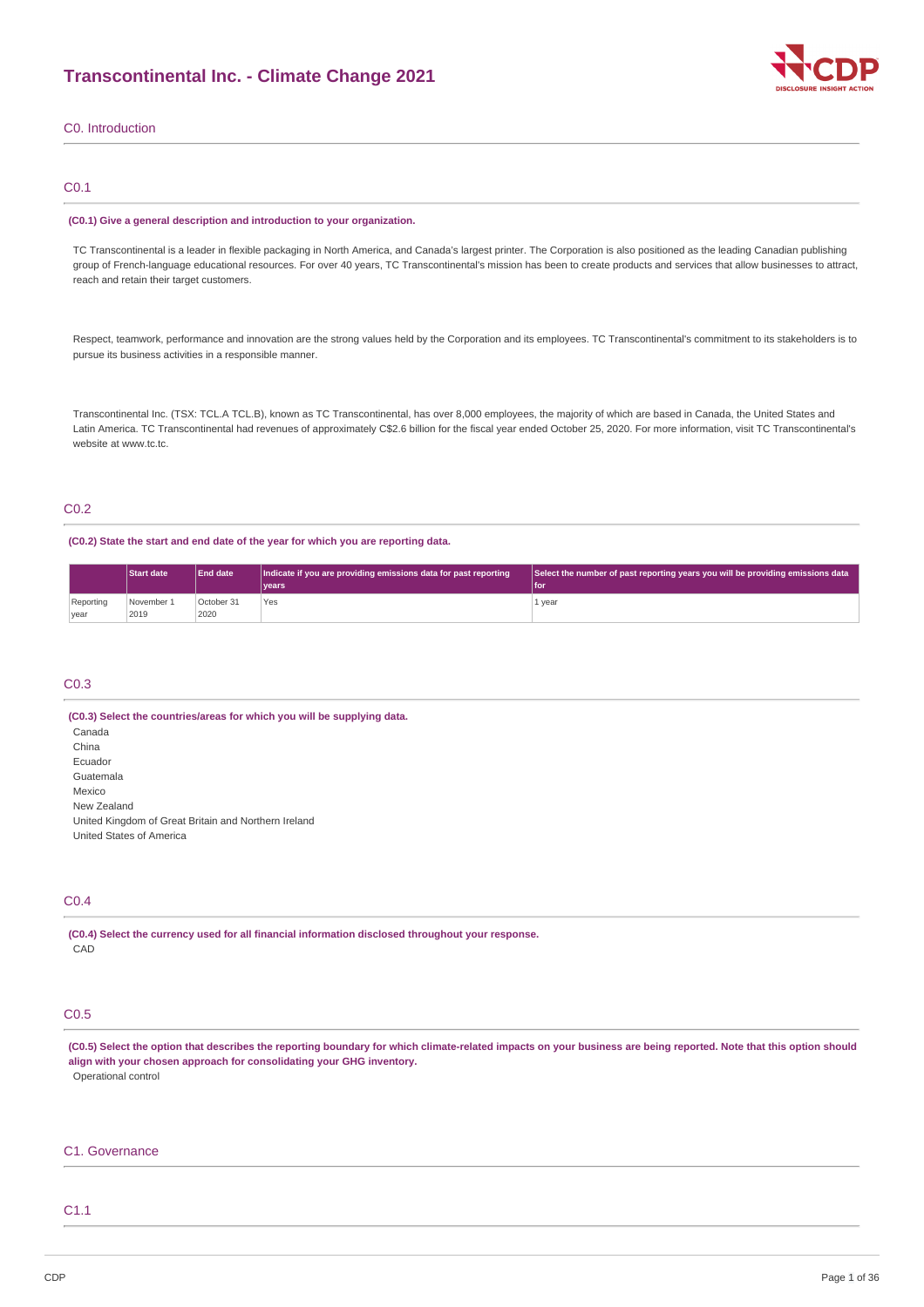

### C0. Introduction

### C0.1

#### **(C0.1) Give a general description and introduction to your organization.**

TC Transcontinental is a leader in flexible packaging in North America, and Canada's largest printer. The Corporation is also positioned as the leading Canadian publishing group of French-language educational resources. For over 40 years, TC Transcontinental's mission has been to create products and services that allow businesses to attract, reach and retain their target customers.

Respect, teamwork, performance and innovation are the strong values held by the Corporation and its employees. TC Transcontinental's commitment to its stakeholders is to pursue its business activities in a responsible manner.

Transcontinental Inc. (TSX: TCL.A TCL.B), known as TC Transcontinental, has over 8,000 employees, the majority of which are based in Canada, the United States and Latin America. TC Transcontinental had revenues of approximately C\$2.6 billion for the fiscal year ended October 25, 2020. For more information, visit TC Transcontinental's website at www.tc.tc.

### C0.2

#### **(C0.2) State the start and end date of the year for which you are reporting data.**

| <b>Start date</b> |            | <b>End date</b> | Indicate if you are providing emissions data for past reporting | Select the number of past reporting years you will be providing emissions data |  |
|-------------------|------------|-----------------|-----------------------------------------------------------------|--------------------------------------------------------------------------------|--|
|                   |            |                 | vears                                                           | 'l for                                                                         |  |
| Reporting         | November 1 | October 31      | Yes                                                             | 1 year                                                                         |  |
| year              | 2019       | 2020            |                                                                 |                                                                                |  |

### C0.3

**(C0.3) Select the countries/areas for which you will be supplying data.** Canada China Ecuador Guatemala Mexico New Zealand United Kingdom of Great Britain and Northern Ireland United States of America

### C0.4

**(C0.4) Select the currency used for all financial information disclosed throughout your response. CAD** 

### C0.5

(C0.5) Select the option that describes the reporting boundary for which climate-related impacts on your business are being reported. Note that this option should **align with your chosen approach for consolidating your GHG inventory.** Operational control

### C1. Governance

### C1.1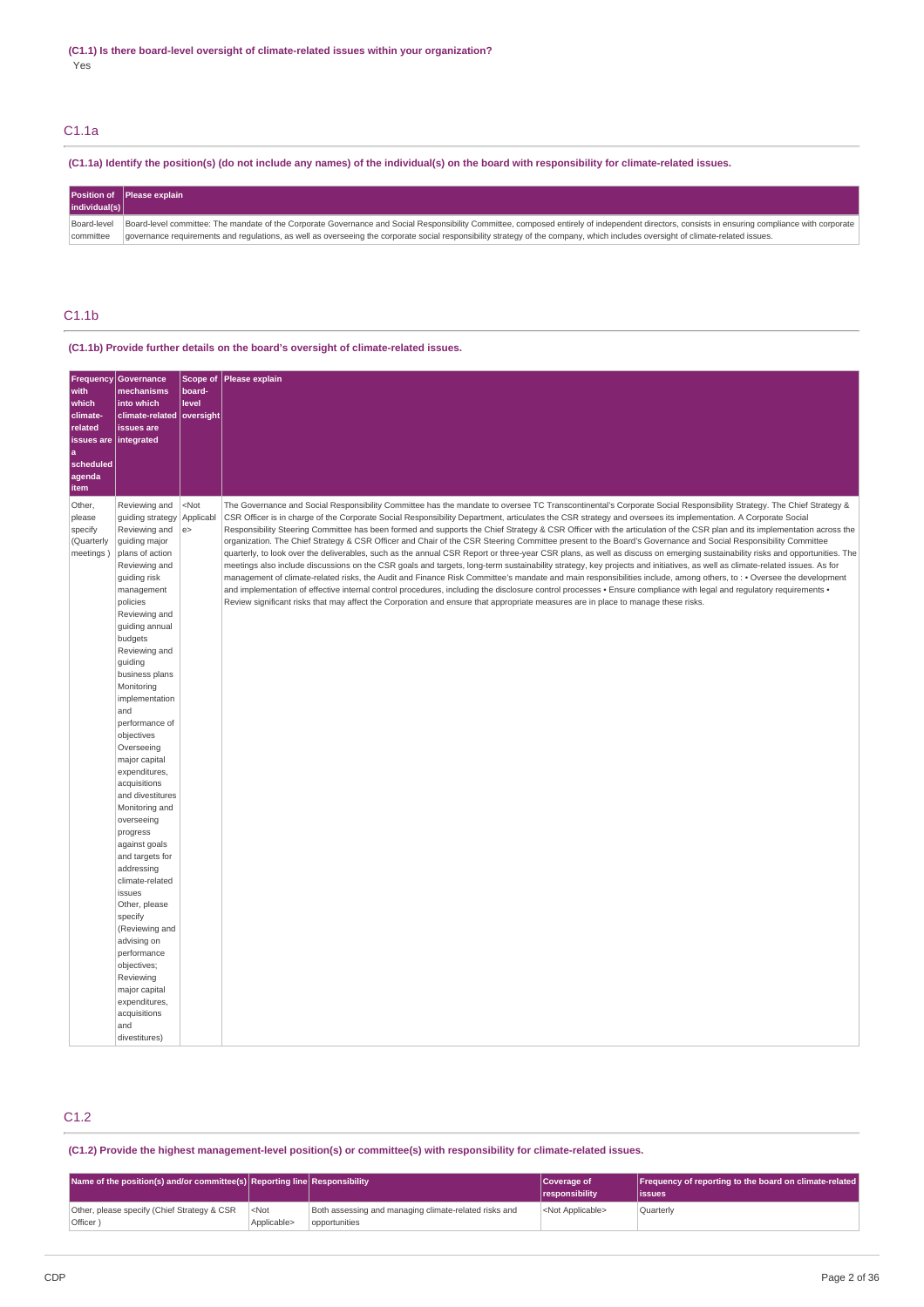### C1.1a

## (C1.1a) Identify the position(s) (do not include any names) of the individual(s) on the board with responsibility for climate-related issues.

| individual(s) | Position of Please explain                                                                                                                                                                     |
|---------------|------------------------------------------------------------------------------------------------------------------------------------------------------------------------------------------------|
| Board-level   | Board-level committee: The mandate of the Corporate Governance and Social Responsibility Committee, composed entirely of independent directors, consists in ensuring compliance with corporate |
| committee     | governance requirements and regulations, as well as overseeing the corporate social responsibility strategy of the company, which includes oversight of climate-related issues.                |

# C1.1b

### **(C1.1b) Provide further details on the board's oversight of climate-related issues.**

| <b>Frequency</b><br>with<br>which<br>climate-<br>related<br>issues are   integrated | Governance<br>mechanisms<br>into which<br>climate-related oversight<br>issues are                                                                                                                                                                                                                                                                                                                                                                                                                                                                                                                                                                                                                                     | Scope of<br>board-<br>level | Please explain                                                                                                                                                                                                                                                                                                                                                                                                                                                                                                                                                                                                                                                                                                                                                                                                                                                                                                                                                                                                                                                                                                                                                                                                                                                                                                                                                                                                                                                                                                                |
|-------------------------------------------------------------------------------------|-----------------------------------------------------------------------------------------------------------------------------------------------------------------------------------------------------------------------------------------------------------------------------------------------------------------------------------------------------------------------------------------------------------------------------------------------------------------------------------------------------------------------------------------------------------------------------------------------------------------------------------------------------------------------------------------------------------------------|-----------------------------|-------------------------------------------------------------------------------------------------------------------------------------------------------------------------------------------------------------------------------------------------------------------------------------------------------------------------------------------------------------------------------------------------------------------------------------------------------------------------------------------------------------------------------------------------------------------------------------------------------------------------------------------------------------------------------------------------------------------------------------------------------------------------------------------------------------------------------------------------------------------------------------------------------------------------------------------------------------------------------------------------------------------------------------------------------------------------------------------------------------------------------------------------------------------------------------------------------------------------------------------------------------------------------------------------------------------------------------------------------------------------------------------------------------------------------------------------------------------------------------------------------------------------------|
| a<br>scheduled<br>agenda<br>item                                                    |                                                                                                                                                                                                                                                                                                                                                                                                                                                                                                                                                                                                                                                                                                                       |                             |                                                                                                                                                                                                                                                                                                                                                                                                                                                                                                                                                                                                                                                                                                                                                                                                                                                                                                                                                                                                                                                                                                                                                                                                                                                                                                                                                                                                                                                                                                                               |
| Other,<br>please<br>specify<br>(Quarterly<br>meetings)                              | Reviewing and<br>guiding strategy<br>Reviewing and<br>guiding major<br>plans of action<br>Reviewing and<br>guiding risk<br>management<br>policies<br>Reviewing and<br>guiding annual<br>budgets<br>Reviewing and<br>guiding<br>business plans<br>Monitoring<br>implementation<br>and<br>performance of<br>objectives<br>Overseeing<br>major capital<br>expenditures,<br>acquisitions<br>and divestitures<br>Monitoring and<br>overseeing<br>progress<br>against goals<br>and targets for<br>addressing<br>climate-related<br>issues<br>Other, please<br>specify<br>(Reviewing and<br>advising on<br>performance<br>objectives;<br>Reviewing<br>major capital<br>expenditures,<br>acquisitions<br>and<br>divestitures) | $<$ Not<br>Applicabl<br>e   | The Governance and Social Responsibility Committee has the mandate to oversee TC Transcontinental's Corporate Social Responsibility Strategy. The Chief Strategy &<br>CSR Officer is in charge of the Corporate Social Responsibility Department, articulates the CSR strategy and oversees its implementation. A Corporate Social<br>Responsibility Steering Committee has been formed and supports the Chief Strategy & CSR Officer with the articulation of the CSR plan and its implementation across the<br>organization. The Chief Strategy & CSR Officer and Chair of the CSR Steering Committee present to the Board's Governance and Social Responsibility Committee<br>quarterly, to look over the deliverables, such as the annual CSR Report or three-year CSR plans, as well as discuss on emerging sustainability risks and opportunities. The<br>meetings also include discussions on the CSR goals and targets, long-term sustainability strategy, key projects and initiatives, as well as climate-related issues. As for<br>management of climate-related risks, the Audit and Finance Risk Committee's mandate and main responsibilities include, among others, to: • Oversee the development<br>and implementation of effective internal control procedures, including the disclosure control processes . Ensure compliance with legal and regulatory requirements .<br>Review significant risks that may affect the Corporation and ensure that appropriate measures are in place to manage these risks. |

# C1.2

**(C1.2) Provide the highest management-level position(s) or committee(s) with responsibility for climate-related issues.**

| Name of the position(s) and/or committee(s) Reporting line Responsibility |                        |                                                                        | Coverage of<br><i><u><b>I</b></u></i> responsibility | Frequency of reporting to the board on climate-related<br>lissues |
|---------------------------------------------------------------------------|------------------------|------------------------------------------------------------------------|------------------------------------------------------|-------------------------------------------------------------------|
| Other, please specify (Chief Strategy & CSR<br>Officer )                  | $<$ Not<br>Applicable> | Both assessing and managing climate-related risks and<br>opportunities | <not applicable=""></not>                            | Ouarterly                                                         |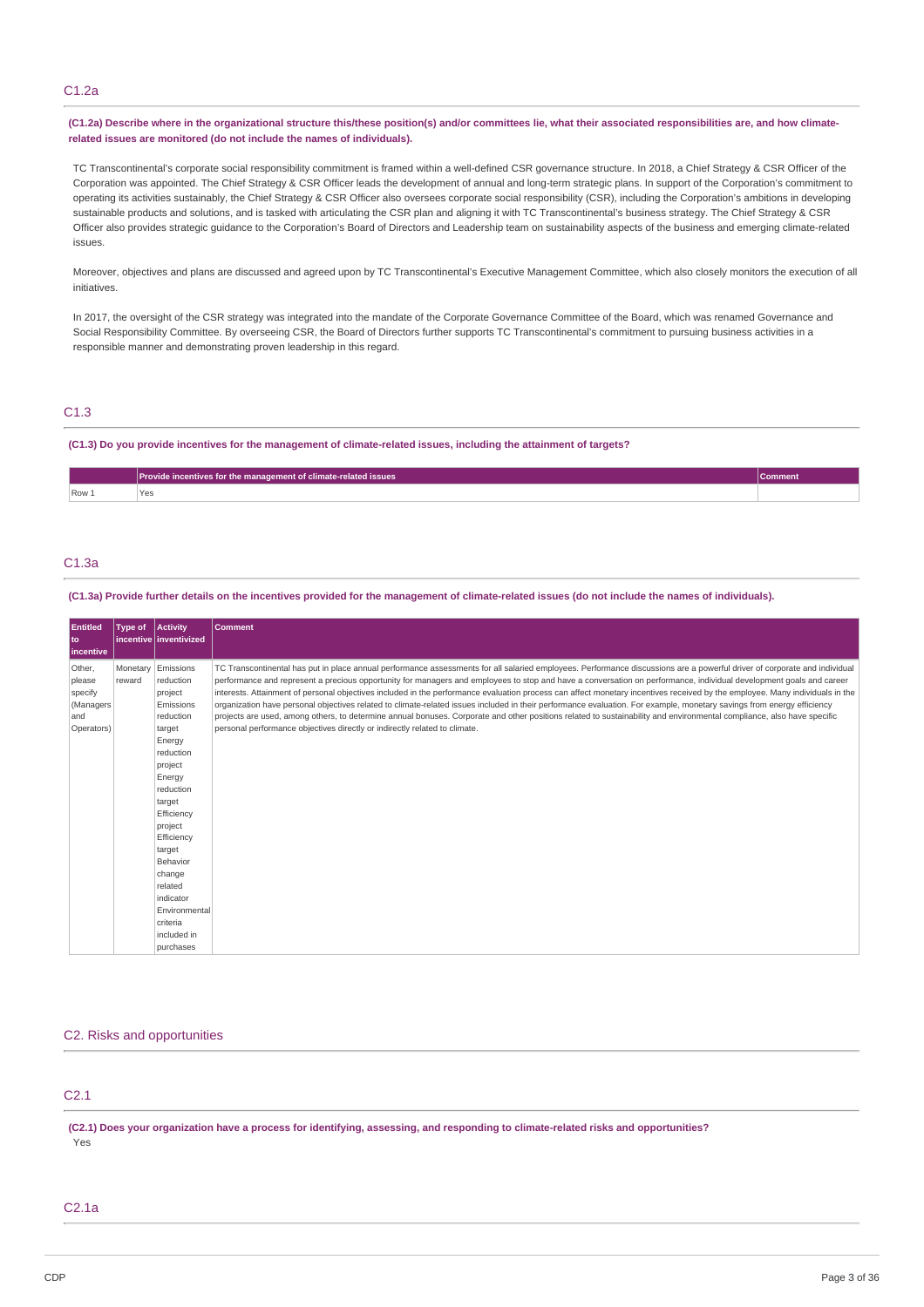#### C1.2a

(C1.2a) Describe where in the organizational structure this/these position(s) and/or committees lie, what their associated responsibilities are, and how climate**related issues are monitored (do not include the names of individuals).**

TC Transcontinental's corporate social responsibility commitment is framed within a well-defined CSR governance structure. In 2018, a Chief Strategy & CSR Officer of the Corporation was appointed. The Chief Strategy & CSR Officer leads the development of annual and long-term strategic plans. In support of the Corporation's commitment to operating its activities sustainably, the Chief Strategy & CSR Officer also oversees corporate social responsibility (CSR), including the Corporation's ambitions in developing sustainable products and solutions, and is tasked with articulating the CSR plan and aligning it with TC Transcontinental's business strategy. The Chief Strategy & CSR Officer also provides strategic guidance to the Corporation's Board of Directors and Leadership team on sustainability aspects of the business and emerging climate-related issues.

Moreover, objectives and plans are discussed and agreed upon by TC Transcontinental's Executive Management Committee, which also closely monitors the execution of all initiatives.

In 2017, the oversight of the CSR strategy was integrated into the mandate of the Corporate Governance Committee of the Board, which was renamed Governance and Social Responsibility Committee. By overseeing CSR, the Board of Directors further supports TC Transcontinental's commitment to pursuing business activities in a responsible manner and demonstrating proven leadership in this regard.

### C1.3

(C1.3) Do you provide incentives for the management of climate-related issues, including the attainment of targets?

|       | Provide incentives for the management of climate-related issues |  |
|-------|-----------------------------------------------------------------|--|
| Row 1 | Ye.                                                             |  |

### C1.3a

(C1.3a) Provide further details on the incentives provided for the management of climate-related issues (do not include the names of individuals).

| Entitled<br>  to<br>incentive                                 | Type of            | <b>Activity</b><br>incentive   inventivized                                                                                                                                                                                                                                                      | Comment                                                                                                                                                                                                                                                                                                                                                                                                                                                                                                                                                                                                                                                                                                                                                                                                                                                                                                                                                            |
|---------------------------------------------------------------|--------------------|--------------------------------------------------------------------------------------------------------------------------------------------------------------------------------------------------------------------------------------------------------------------------------------------------|--------------------------------------------------------------------------------------------------------------------------------------------------------------------------------------------------------------------------------------------------------------------------------------------------------------------------------------------------------------------------------------------------------------------------------------------------------------------------------------------------------------------------------------------------------------------------------------------------------------------------------------------------------------------------------------------------------------------------------------------------------------------------------------------------------------------------------------------------------------------------------------------------------------------------------------------------------------------|
| Other,<br>please<br>specify<br>(Managers<br>and<br>Operators) | Monetary<br>reward | Emissions<br>reduction<br>project<br>Emissions<br>reduction<br>target<br>Energy<br>reduction<br>project<br>Energy<br>reduction<br>target<br>Efficiency<br>project<br>Efficiency<br>target<br>Behavior<br>change<br>related<br>indicator<br>Environmental<br>criteria<br>included in<br>purchases | TC Transcontinental has put in place annual performance assessments for all salaried employees. Performance discussions are a powerful driver of corporate and individual<br>performance and represent a precious opportunity for managers and employees to stop and have a conversation on performance, individual development goals and career<br>interests. Attainment of personal objectives included in the performance evaluation process can affect monetary incentives received by the employee. Many individuals in the<br>organization have personal objectives related to climate-related issues included in their performance evaluation. For example, monetary savings from energy efficiency<br>projects are used, among others, to determine annual bonuses. Corporate and other positions related to sustainability and environmental compliance, also have specific<br>personal performance objectives directly or indirectly related to climate. |

#### C2. Risks and opportunities

# C2.1

(C2.1) Does your organization have a process for identifying, assessing, and responding to climate-related risks and opportunities? Yes

### C2.1a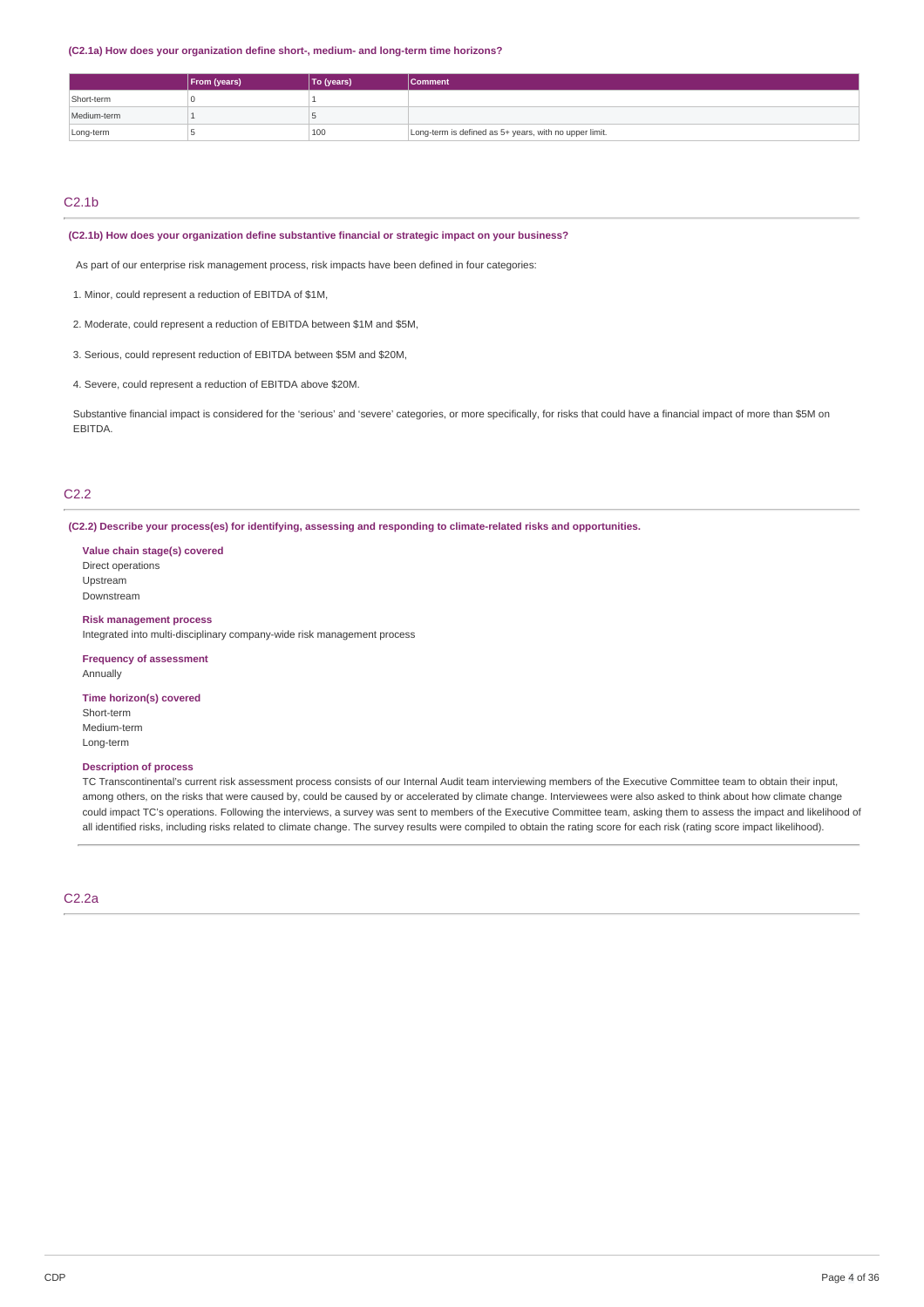**(C2.1a) How does your organization define short-, medium- and long-term time horizons?**

|             | From (years) | To (years) | Comment                                                |
|-------------|--------------|------------|--------------------------------------------------------|
| Short-term  |              |            |                                                        |
| Medium-term |              |            |                                                        |
| Long-term   |              | 100        | Long-term is defined as 5+ years, with no upper limit. |

# $C2.1<sub>b</sub>$

#### **(C2.1b) How does your organization define substantive financial or strategic impact on your business?**

As part of our enterprise risk management process, risk impacts have been defined in four categories:

1. Minor, could represent a reduction of EBITDA of \$1M,

2. Moderate, could represent a reduction of EBITDA between \$1M and \$5M,

3. Serious, could represent reduction of EBITDA between \$5M and \$20M,

4. Severe, could represent a reduction of EBITDA above \$20M.

Substantive financial impact is considered for the 'serious' and 'severe' categories, or more specifically, for risks that could have a financial impact of more than \$5M on EBITDA.

# C2.2

**(C2.2) Describe your process(es) for identifying, assessing and responding to climate-related risks and opportunities.**

**Value chain stage(s) covered** Direct operations Upstream Downstream

#### **Risk management process**

Integrated into multi-disciplinary company-wide risk management process

**Frequency of assessment** Annually

#### **Time horizon(s) covered**

Short-term Medium-term Long-term

#### **Description of process**

TC Transcontinental's current risk assessment process consists of our Internal Audit team interviewing members of the Executive Committee team to obtain their input, among others, on the risks that were caused by, could be caused by or accelerated by climate change. Interviewees were also asked to think about how climate change could impact TC's operations. Following the interviews, a survey was sent to members of the Executive Committee team, asking them to assess the impact and likelihood of all identified risks, including risks related to climate change. The survey results were compiled to obtain the rating score for each risk (rating score impact likelihood).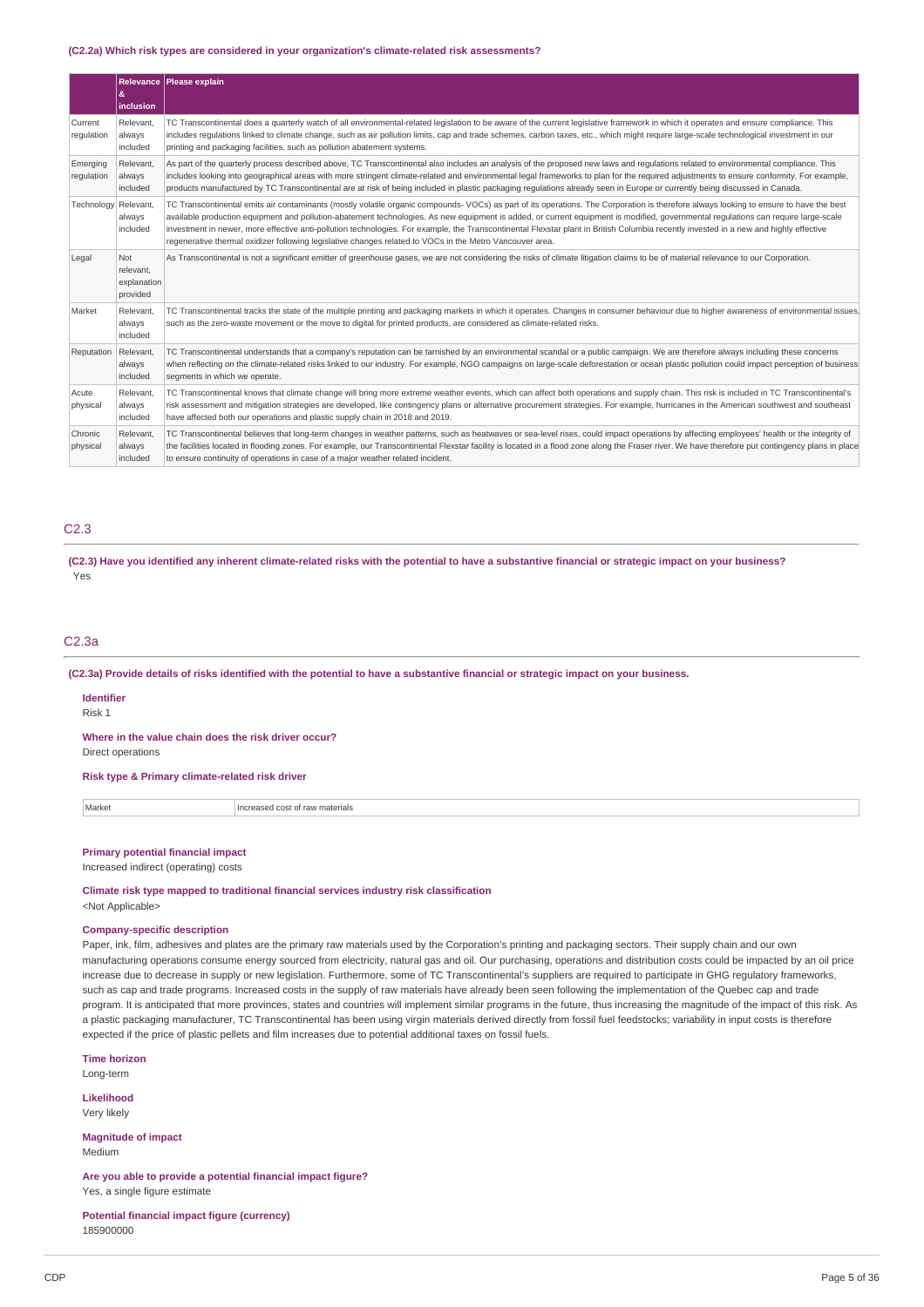#### **(C2.2a) Which risk types are considered in your organization's climate-related risk assessments?**

|                        | &<br>inclusion                              | Relevance   Please explain                                                                                                                                                                                                                                                                                                                                                                                                                                                                                                                                                                                                                                                       |
|------------------------|---------------------------------------------|----------------------------------------------------------------------------------------------------------------------------------------------------------------------------------------------------------------------------------------------------------------------------------------------------------------------------------------------------------------------------------------------------------------------------------------------------------------------------------------------------------------------------------------------------------------------------------------------------------------------------------------------------------------------------------|
| Current<br>regulation  | Relevant.<br>always<br>included             | TC Transcontinental does a quarterly watch of all environmental-related legislation to be aware of the current legislative framework in which it operates and ensure compliance. This<br>includes regulations linked to climate change, such as air pollution limits, cap and trade schemes, carbon taxes, etc., which might require large-scale technological investment in our<br>printing and packaging facilities, such as pollution abatement systems.                                                                                                                                                                                                                      |
| Emerging<br>regulation | Relevant,<br>always<br>included             | As part of the quarterly process described above, TC Transcontinental also includes an analysis of the proposed new laws and requlations related to environmental compliance. This<br>includes looking into geographical areas with more stringent climate-related and environmental legal frameworks to plan for the required adjustments to ensure conformity. For example,<br>products manufactured by TC Transcontinental are at risk of being included in plastic packaging regulations already seen in Europe or currently being discussed in Canada.                                                                                                                      |
| Technology Relevant,   | always<br>included                          | TC Transcontinental emits air contaminants (mostly volatile organic compounds-VOCs) as part of its operations. The Corporation is therefore always looking to ensure to have the best<br>available production equipment and pollution-abatement technologies. As new equipment is added, or current equipment is modified, governmental regulations can require large-scale<br>investment in newer, more effective anti-pollution technologies. For example, the Transcontinental Flexstar plant in British Columbia recently invested in a new and highly effective<br>regenerative thermal oxidizer following legislative changes related to VOCs in the Metro Vancouver area. |
| Legal                  | Not<br>relevant,<br>explanation<br>provided | As Transcontinental is not a significant emitter of greenhouse gases, we are not considering the risks of climate litigation claims to be of material relevance to our Corporation.                                                                                                                                                                                                                                                                                                                                                                                                                                                                                              |
| Market                 | Relevant.<br>always<br>included             | TC Transcontinental tracks the state of the multiple printing and packaging markets in which it operates. Changes in consumer behaviour due to higher awareness of environmental issues.<br>such as the zero-waste movement or the move to digital for printed products, are considered as climate-related risks.                                                                                                                                                                                                                                                                                                                                                                |
| Reputation             | Relevant,<br>always<br>included             | TC Transcontinental understands that a company's reputation can be tarnished by an environmental scandal or a public campaign. We are therefore always including these concerns<br>when reflecting on the climate-related risks linked to our industry. For example, NGO campaigns on large-scale deforestation or ocean plastic pollution could impact perception of business<br>segments in which we operate.                                                                                                                                                                                                                                                                  |
| Acute<br>physical      | Relevant.<br>always<br>included             | TC Transcontinental knows that climate change will bring more extreme weather events, which can affect both operations and supply chain. This risk is included in TC Transcontinental's<br>risk assessment and mitigation strategies are developed, like contingency plans or alternative procurement strategies. For example, hurricanes in the American southwest and southeast<br>have affected both our operations and plastic supply chain in 2018 and 2019.                                                                                                                                                                                                                |
| Chronic<br>physical    | Relevant,<br>always<br>included             | TC Transcontinental believes that long-term changes in weather patterns, such as heatwaves or sea-level rises, could impact operations by affecting employees' health or the integrity of<br>the facilities located in flooding zones. For example, our Transcontinental Flexstar facility is located in a flood zone along the Fraser river. We have therefore put contingency plans in place<br>to ensure continuity of operations in case of a major weather related incident.                                                                                                                                                                                                |

### C2.3

(C2.3) Have you identified any inherent climate-related risks with the potential to have a substantive financial or strategic impact on your business? Yes

### C2.3a

(C2.3a) Provide details of risks identified with the potential to have a substantive financial or strategic impact on your business.

#### **Identifier**

Risk 1

# **Where in the value chain does the risk driver occur?**

Direct operations

### **Risk type & Primary climate-related risk driver**

Market **Increased cost of raw materials** 

### **Primary potential financial impact**

Increased indirect (operating) costs

#### **Climate risk type mapped to traditional financial services industry risk classification** <Not Applicable>

### **Company-specific description**

Paper, ink, film, adhesives and plates are the primary raw materials used by the Corporation's printing and packaging sectors. Their supply chain and our own manufacturing operations consume energy sourced from electricity, natural gas and oil. Our purchasing, operations and distribution costs could be impacted by an oil price increase due to decrease in supply or new legislation. Furthermore, some of TC Transcontinental's suppliers are required to participate in GHG regulatory frameworks, such as cap and trade programs. Increased costs in the supply of raw materials have already been seen following the implementation of the Quebec cap and trade program. It is anticipated that more provinces, states and countries will implement similar programs in the future, thus increasing the magnitude of the impact of this risk. As a plastic packaging manufacturer, TC Transcontinental has been using virgin materials derived directly from fossil fuel feedstocks; variability in input costs is therefore expected if the price of plastic pellets and film increases due to potential additional taxes on fossil fuels.

**Time horizon**

Long-term

**Likelihood** Very likely

**Magnitude of impact** Medium

**Are you able to provide a potential financial impact figure?** Yes, a single figure estimate

**Potential financial impact figure (currency)** 185900000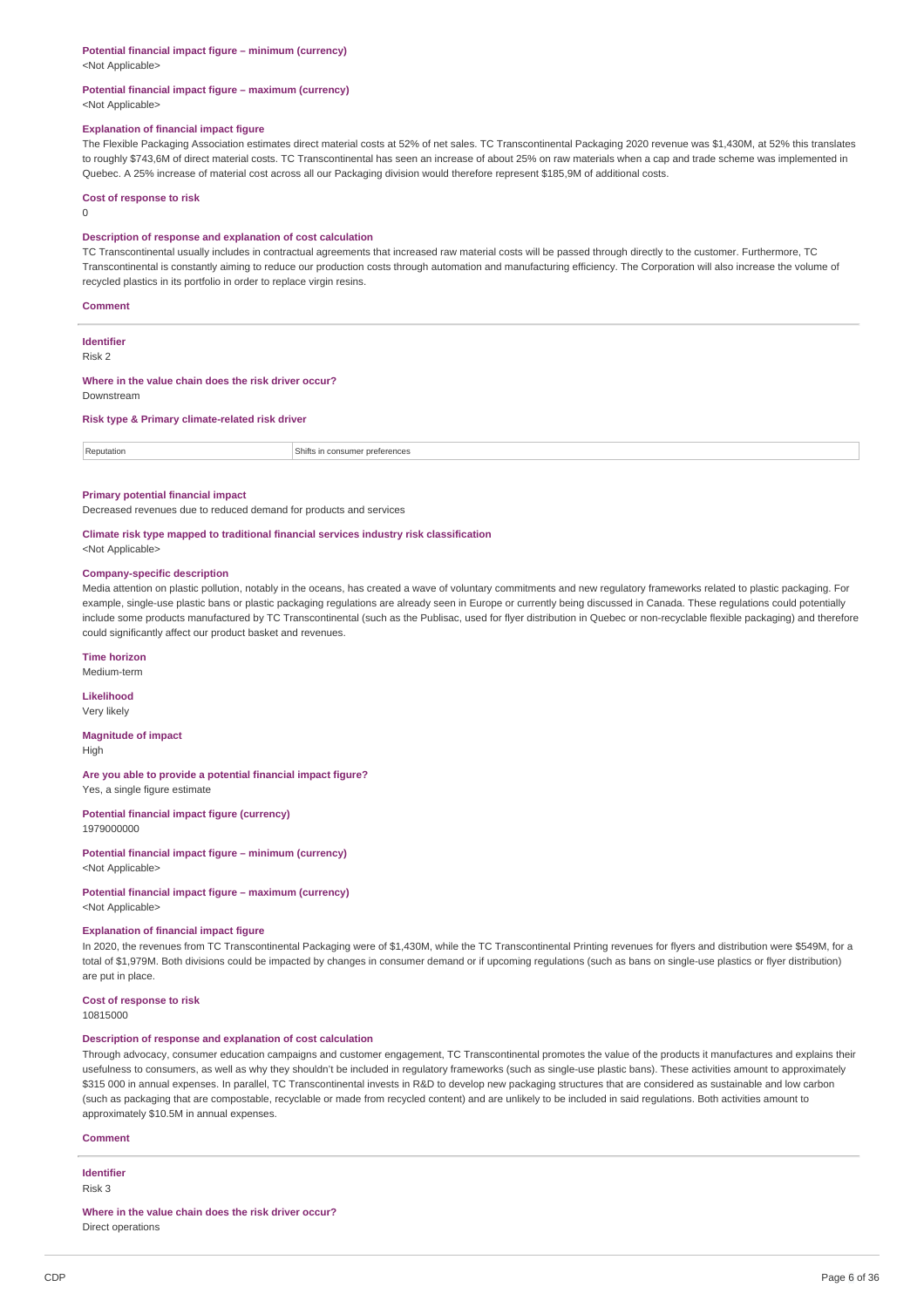#### **Potential financial impact figure – minimum (currency)**

<Not Applicable>

#### **Potential financial impact figure – maximum (currency)** <Not Applicable>

#### **Explanation of financial impact figure**

The Flexible Packaging Association estimates direct material costs at 52% of net sales. TC Transcontinental Packaging 2020 revenue was \$1,430M, at 52% this translates to roughly \$743,6M of direct material costs. TC Transcontinental has seen an increase of about 25% on raw materials when a cap and trade scheme was implemented in Quebec. A 25% increase of material cost across all our Packaging division would therefore represent \$185,9M of additional costs.

#### **Cost of response to risk**

 $\theta$ 

#### **Description of response and explanation of cost calculation**

TC Transcontinental usually includes in contractual agreements that increased raw material costs will be passed through directly to the customer. Furthermore, TC Transcontinental is constantly aiming to reduce our production costs through automation and manufacturing efficiency. The Corporation will also increase the volume of recycled plastics in its portfolio in order to replace virgin resins.

#### **Comment**

**Identifier**

Risk 2

**Where in the value chain does the risk driver occur?** Downstream

**Risk type & Primary climate-related risk driver**

Reputation Reputation Shifts in consumer preferences

#### **Primary potential financial impact**

Decreased revenues due to reduced demand for products and services

### **Climate risk type mapped to traditional financial services industry risk classification**

<Not Applicable>

#### **Company-specific description**

Media attention on plastic pollution, notably in the oceans, has created a wave of voluntary commitments and new regulatory frameworks related to plastic packaging. For example, single-use plastic bans or plastic packaging regulations are already seen in Europe or currently being discussed in Canada. These regulations could potentially include some products manufactured by TC Transcontinental (such as the Publisac, used for flyer distribution in Quebec or non-recyclable flexible packaging) and therefore could significantly affect our product basket and revenues.

#### **Time horizon**

Medium-term

## **Likelihood**

Very likely

#### **Magnitude of impact** High

**Are you able to provide a potential financial impact figure?** Yes, a single figure estimate

**Potential financial impact figure (currency)**

1979000000

**Potential financial impact figure – minimum (currency)** <Not Applicable>

#### **Potential financial impact figure – maximum (currency)** <Not Applicable>

#### **Explanation of financial impact figure**

In 2020, the revenues from TC Transcontinental Packaging were of \$1,430M, while the TC Transcontinental Printing revenues for flyers and distribution were \$549M, for a total of \$1,979M. Both divisions could be impacted by changes in consumer demand or if upcoming regulations (such as bans on single-use plastics or flyer distribution) are put in place.

### **Cost of response to risk**

10815000

#### **Description of response and explanation of cost calculation**

Through advocacy, consumer education campaigns and customer engagement, TC Transcontinental promotes the value of the products it manufactures and explains their usefulness to consumers, as well as why they shouldn't be included in regulatory frameworks (such as single-use plastic bans). These activities amount to approximately \$315 000 in annual expenses. In parallel, TC Transcontinental invests in R&D to develop new packaging structures that are considered as sustainable and low carbon (such as packaging that are compostable, recyclable or made from recycled content) and are unlikely to be included in said regulations. Both activities amount to approximately \$10.5M in annual expenses.

#### **Comment**

**Identifier**

#### Risk 3

**Where in the value chain does the risk driver occur?** Direct operations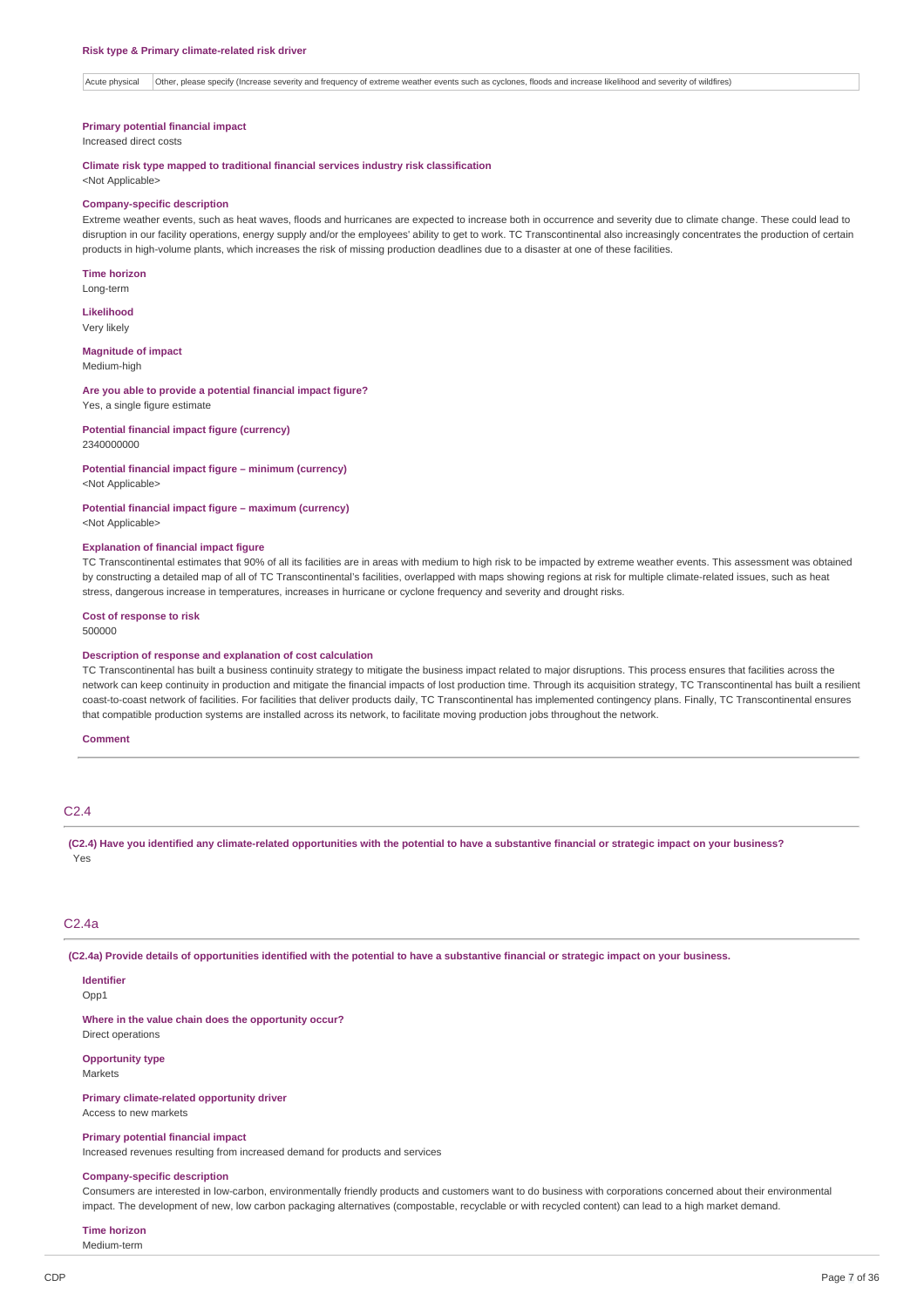Acute physical Other, please specify (Increase severity and frequency of extreme weather events such as cyclones, floods and increase likelihood and severity of wildfires)

#### **Primary potential financial impact**

Increased direct costs

### **Climate risk type mapped to traditional financial services industry risk classification**

<Not Applicable>

#### **Company-specific description**

Extreme weather events, such as heat waves, floods and hurricanes are expected to increase both in occurrence and severity due to climate change. These could lead to disruption in our facility operations, energy supply and/or the employees' ability to get to work. TC Transcontinental also increasingly concentrates the production of certain products in high-volume plants, which increases the risk of missing production deadlines due to a disaster at one of these facilities.

**Time horizon** Long-term

**Likelihood** Very likely

**Magnitude of impact** Medium-high

#### **Are you able to provide a potential financial impact figure?** Yes, a single figure estimate

**Potential financial impact figure (currency)** 2340000000

#### **Potential financial impact figure – minimum (currency)** <Not Applicable>

**Potential financial impact figure – maximum (currency)**

<Not Applicable>

### **Explanation of financial impact figure**

TC Transcontinental estimates that 90% of all its facilities are in areas with medium to high risk to be impacted by extreme weather events. This assessment was obtained by constructing a detailed map of all of TC Transcontinental's facilities, overlapped with maps showing regions at risk for multiple climate-related issues, such as heat stress, dangerous increase in temperatures, increases in hurricane or cyclone frequency and severity and drought risks.

#### **Cost of response to risk**

500000

#### **Description of response and explanation of cost calculation**

TC Transcontinental has built a business continuity strategy to mitigate the business impact related to major disruptions. This process ensures that facilities across the network can keep continuity in production and mitigate the financial impacts of lost production time. Through its acquisition strategy, TC Transcontinental has built a resilient coast-to-coast network of facilities. For facilities that deliver products daily, TC Transcontinental has implemented contingency plans. Finally, TC Transcontinental ensures that compatible production systems are installed across its network, to facilitate moving production jobs throughout the network.

#### **Comment**

# C2.4

(C2.4) Have you identified any climate-related opportunities with the potential to have a substantive financial or strategic impact on your business? Yes

#### C2.4a

(C2.4a) Provide details of opportunities identified with the potential to have a substantive financial or strategic impact on your business.

#### **Identifier** Opp1

**Where in the value chain does the opportunity occur?** Direct operations

**Opportunity type** Markets

**Primary climate-related opportunity driver** Access to new markets

**Primary potential financial impact**

Increased revenues resulting from increased demand for products and services

#### **Company-specific description**

Consumers are interested in low-carbon, environmentally friendly products and customers want to do business with corporations concerned about their environmental impact. The development of new, low carbon packaging alternatives (compostable, recyclable or with recycled content) can lead to a high market demand.

### **Time horizon**

Medium-term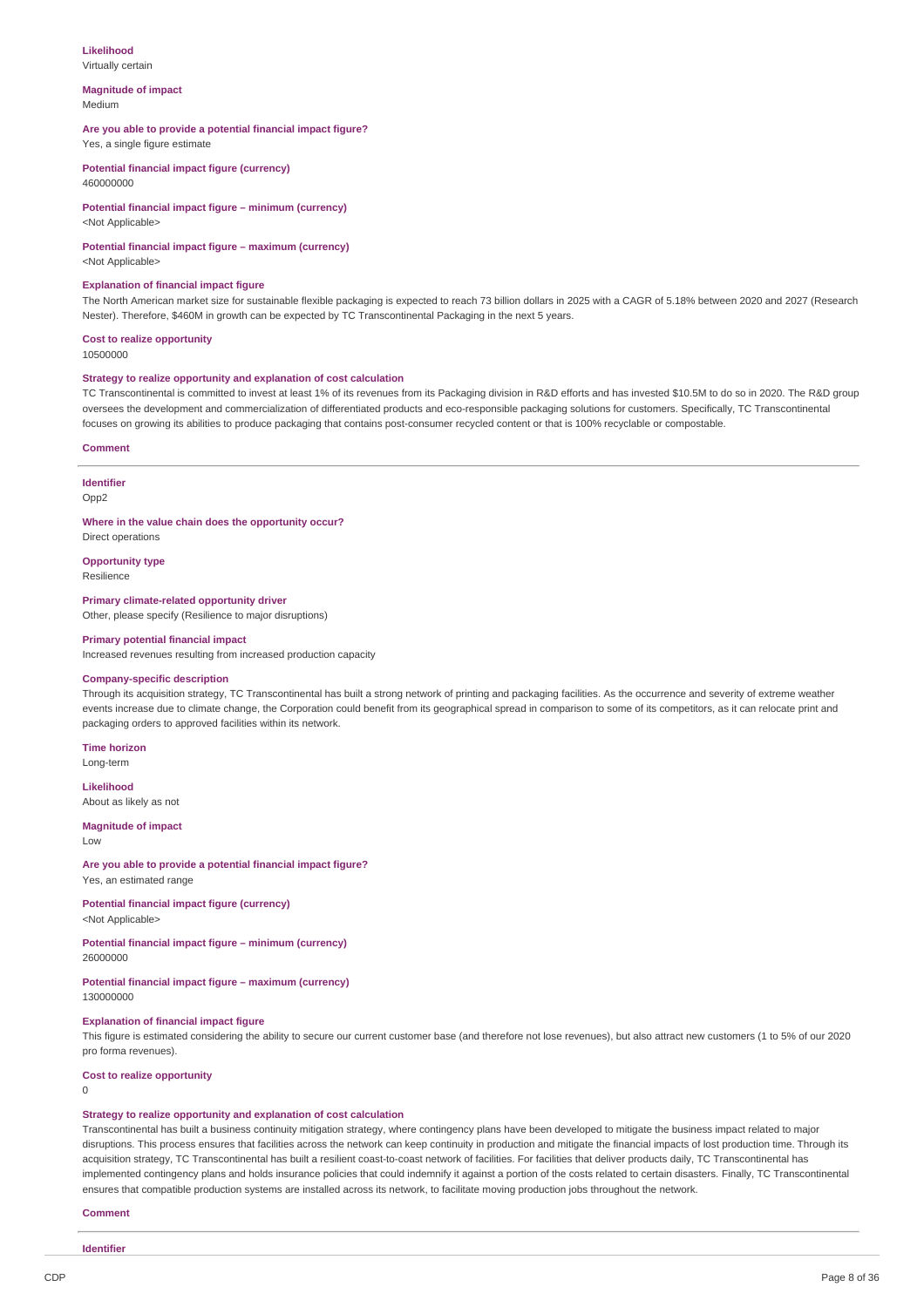#### **Likelihood**

Virtually certain

#### **Magnitude of impact** Medium

#### **Are you able to provide a potential financial impact figure?**

Yes, a single figure estimate

**Potential financial impact figure (currency)** 460000000

#### **Potential financial impact figure – minimum (currency)** <Not Applicable>

**Potential financial impact figure – maximum (currency)**

<Not Applicable>

#### **Explanation of financial impact figure**

The North American market size for sustainable flexible packaging is expected to reach 73 billion dollars in 2025 with a CAGR of 5.18% between 2020 and 2027 (Research Nester). Therefore, \$460M in growth can be expected by TC Transcontinental Packaging in the next 5 years.

#### **Cost to realize opportunity**

10500000

#### **Strategy to realize opportunity and explanation of cost calculation**

TC Transcontinental is committed to invest at least 1% of its revenues from its Packaging division in R&D efforts and has invested \$10.5M to do so in 2020. The R&D group oversees the development and commercialization of differentiated products and eco-responsible packaging solutions for customers. Specifically, TC Transcontinental focuses on growing its abilities to produce packaging that contains post-consumer recycled content or that is 100% recyclable or compostable.

#### **Comment**

#### **Identifier**

Opp<sub>2</sub>

**Where in the value chain does the opportunity occur?**

Direct operations **Opportunity type**

Resilience

**Primary climate-related opportunity driver** Other, please specify (Resilience to major disruptions)

#### **Primary potential financial impact**

Increased revenues resulting from increased production capacity

#### **Company-specific description**

Through its acquisition strategy, TC Transcontinental has built a strong network of printing and packaging facilities. As the occurrence and severity of extreme weather events increase due to climate change, the Corporation could benefit from its geographical spread in comparison to some of its competitors, as it can relocate print and packaging orders to approved facilities within its network.

#### **Time horizon**

Long-term **Likelihood**

About as likely as not

### **Magnitude of impact**

Low

### **Are you able to provide a potential financial impact figure?**

Yes, an estimated range

#### **Potential financial impact figure (currency)** <Not Applicable>

#### **Potential financial impact figure – minimum (currency)** 26000000

**Potential financial impact figure – maximum (currency)** 130000000

#### **Explanation of financial impact figure**

This figure is estimated considering the ability to secure our current customer base (and therefore not lose revenues), but also attract new customers (1 to 5% of our 2020 pro forma revenues).

### **Cost to realize opportunity**

 $\theta$ 

#### **Strategy to realize opportunity and explanation of cost calculation**

Transcontinental has built a business continuity mitigation strategy, where contingency plans have been developed to mitigate the business impact related to major disruptions. This process ensures that facilities across the network can keep continuity in production and mitigate the financial impacts of lost production time. Through its acquisition strategy, TC Transcontinental has built a resilient coast-to-coast network of facilities. For facilities that deliver products daily, TC Transcontinental has implemented contingency plans and holds insurance policies that could indemnify it against a portion of the costs related to certain disasters. Finally, TC Transcontinental ensures that compatible production systems are installed across its network, to facilitate moving production jobs throughout the network.

#### **Comment**

**Identifier**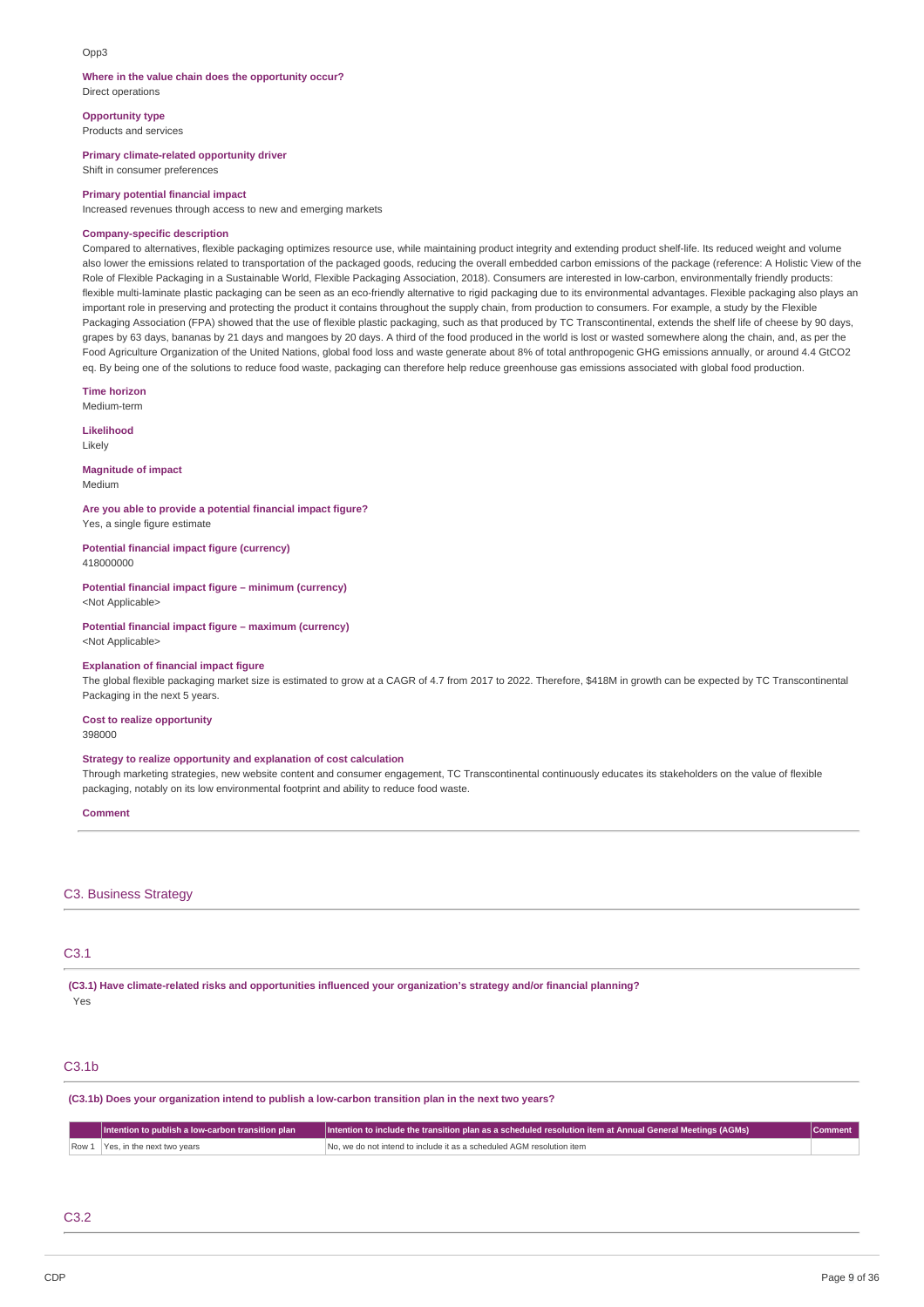#### $Onn3$

### **Where in the value chain does the opportunity occur?**

Direct operations

**Opportunity type** Products and services

**Primary climate-related opportunity driver**

Shift in consumer preferences

#### **Primary potential financial impact**

Increased revenues through access to new and emerging markets

#### **Company-specific description**

Compared to alternatives, flexible packaging optimizes resource use, while maintaining product integrity and extending product shelf-life. Its reduced weight and volume also lower the emissions related to transportation of the packaged goods, reducing the overall embedded carbon emissions of the package (reference: A Holistic View of the Role of Flexible Packaging in a Sustainable World, Flexible Packaging Association, 2018). Consumers are interested in low-carbon, environmentally friendly products: flexible multi-laminate plastic packaging can be seen as an eco-friendly alternative to rigid packaging due to its environmental advantages. Flexible packaging also plays an important role in preserving and protecting the product it contains throughout the supply chain, from production to consumers. For example, a study by the Flexible Packaging Association (FPA) showed that the use of flexible plastic packaging, such as that produced by TC Transcontinental, extends the shelf life of cheese by 90 days, grapes by 63 days, bananas by 21 days and mangoes by 20 days. A third of the food produced in the world is lost or wasted somewhere along the chain, and, as per the Food Agriculture Organization of the United Nations, global food loss and waste generate about 8% of total anthropogenic GHG emissions annually, or around 4.4 GtCO2 eq. By being one of the solutions to reduce food waste, packaging can therefore help reduce greenhouse gas emissions associated with global food production.

**Time horizon**

# Medium-term

**Likelihood** Likely

# **Magnitude of impact**

Medium

### **Are you able to provide a potential financial impact figure?**

Yes, a single figure estimate

**Potential financial impact figure (currency)** 418000000

# **Potential financial impact figure – minimum (currency)**

<Not Applicable>

#### **Potential financial impact figure – maximum (currency)** <Not Applicable>

### **Explanation of financial impact figure**

The global flexible packaging market size is estimated to grow at a CAGR of 4.7 from 2017 to 2022. Therefore, \$418M in growth can be expected by TC Transcontinental Packaging in the next 5 years.

#### **Cost to realize opportunity** 398000

### **Strategy to realize opportunity and explanation of cost calculation**

Through marketing strategies, new website content and consumer engagement, TC Transcontinental continuously educates its stakeholders on the value of flexible packaging, notably on its low environmental footprint and ability to reduce food waste.

#### **Comment**

### C3. Business Strategy

#### C3.1

**(C3.1) Have climate-related risks and opportunities influenced your organization's strategy and/or financial planning?** Yes

#### C3.1b

**(C3.1b) Does your organization intend to publish a low-carbon transition plan in the next two years?**

| Intention to publish a low-carbon transition plan | $\mid$  Intention to include the transition plan as a scheduled resolution item at Annual General Meetings (AGMs) |  |
|---------------------------------------------------|-------------------------------------------------------------------------------------------------------------------|--|
| Row 1 Yes, in the next two years                  | No, we do not intend to include it as a scheduled AGM resolution item                                             |  |

### C3.2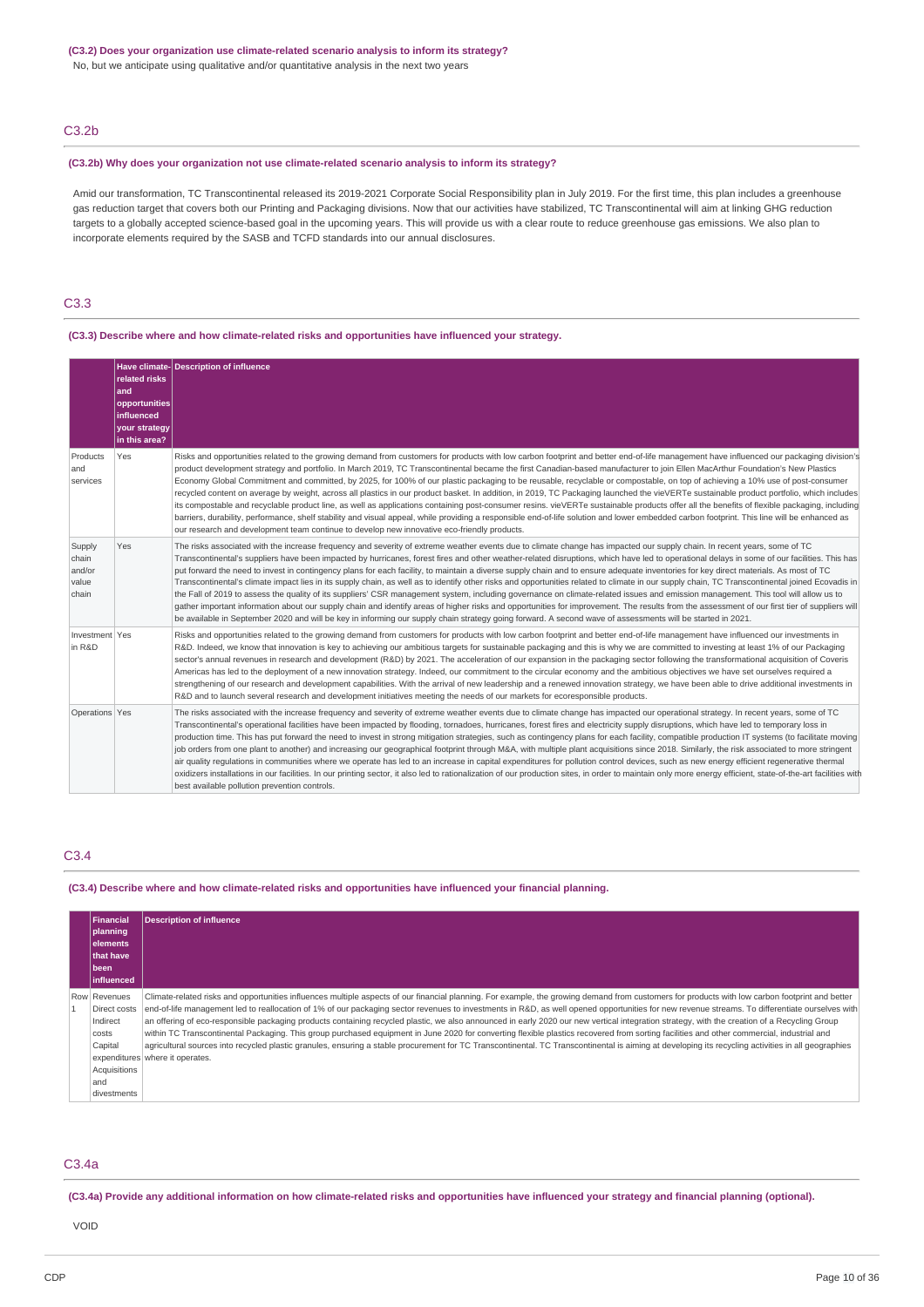#### **(C3.2) Does your organization use climate-related scenario analysis to inform its strategy?**

No, but we anticipate using qualitative and/or quantitative analysis in the next two years

### C3.2b

#### **(C3.2b) Why does your organization not use climate-related scenario analysis to inform its strategy?**

Amid our transformation, TC Transcontinental released its 2019-2021 Corporate Social Responsibility plan in July 2019. For the first time, this plan includes a greenhouse gas reduction target that covers both our Printing and Packaging divisions. Now that our activities have stabilized, TC Transcontinental will aim at linking GHG reduction targets to a globally accepted science-based goal in the upcoming years. This will provide us with a clear route to reduce greenhouse gas emissions. We also plan to incorporate elements required by the SASB and TCFD standards into our annual disclosures.

### C3.3

### **(C3.3) Describe where and how climate-related risks and opportunities have influenced your strategy.**

|                                             | related risks<br>and<br>opportunities<br>influenced<br>your strategy<br>in this area? | Have climate-Description of influence                                                                                                                                                                                                                                                                                                                                                                                                                                                                                                                                                                                                                                                                                                                                                                                                                                                                                                                                                                                                                                                                                                                                                                                                                                                                                   |
|---------------------------------------------|---------------------------------------------------------------------------------------|-------------------------------------------------------------------------------------------------------------------------------------------------------------------------------------------------------------------------------------------------------------------------------------------------------------------------------------------------------------------------------------------------------------------------------------------------------------------------------------------------------------------------------------------------------------------------------------------------------------------------------------------------------------------------------------------------------------------------------------------------------------------------------------------------------------------------------------------------------------------------------------------------------------------------------------------------------------------------------------------------------------------------------------------------------------------------------------------------------------------------------------------------------------------------------------------------------------------------------------------------------------------------------------------------------------------------|
| Products<br>and<br>services                 | Yes                                                                                   | Risks and opportunities related to the growing demand from customers for products with low carbon footprint and better end-of-life management have influenced our packaging division's<br>product development strategy and portfolio. In March 2019, TC Transcontinental became the first Canadian-based manufacturer to join Ellen MacArthur Foundation's New Plastics<br>Economy Global Commitment and committed, by 2025, for 100% of our plastic packaging to be reusable, recyclable or compostable, on top of achieving a 10% use of post-consumer<br>recycled content on average by weight, across all plastics in our product basket. In addition, in 2019, TC Packaging launched the vieVERTe sustainable product portfolio, which includes<br>its compostable and recyclable product line, as well as applications containing post-consumer resins. vieVERTe sustainable products offer all the benefits of flexible packaging, including<br>barriers, durability, performance, shelf stability and visual appeal, while providing a responsible end-of-life solution and lower embedded carbon footprint. This line will be enhanced as<br>our research and development team continue to develop new innovative eco-friendly products.                                                                       |
| Supply<br>chain<br>and/or<br>value<br>chain | Yes                                                                                   | The risks associated with the increase frequency and severity of extreme weather events due to climate change has impacted our supply chain. In recent years, some of TC<br>Transcontinental's suppliers have been impacted by hurricanes, forest fires and other weather-related disruptions, which have led to operational delays in some of our facilities. This has<br>put forward the need to invest in contingency plans for each facility, to maintain a diverse supply chain and to ensure adequate inventories for key direct materials. As most of TC<br>Transcontinental's climate impact lies in its supply chain, as well as to identify other risks and opportunities related to climate in our supply chain, TC Transcontinental joined Ecovadis in<br>the Fall of 2019 to assess the quality of its suppliers' CSR management system, including governance on climate-related issues and emission management. This tool will allow us to<br>gather important information about our supply chain and identify areas of higher risks and opportunities for improvement. The results from the assessment of our first tier of suppliers will<br>be available in September 2020 and will be key in informing our supply chain strategy going forward. A second wave of assessments will be started in 2021. |
| Investment Yes<br>in R&D                    |                                                                                       | Risks and opportunities related to the growing demand from customers for products with low carbon footprint and better end-of-life management have influenced our investments in<br>R&D. Indeed, we know that innovation is key to achieving our ambitious targets for sustainable packaging and this is why we are committed to investing at least 1% of our Packaging<br>sector's annual revenues in research and development (R&D) by 2021. The acceleration of our expansion in the packaging sector following the transformational acquisition of Coveris<br>Americas has led to the deployment of a new innovation strategy. Indeed, our commitment to the circular economy and the ambitious objectives we have set ourselves required a<br>strengthening of our research and development capabilities. With the arrival of new leadership and a renewed innovation strategy, we have been able to drive additional investments in<br>R&D and to launch several research and development initiatives meeting the needs of our markets for ecoresponsible products.                                                                                                                                                                                                                                               |
| Operations Yes                              |                                                                                       | The risks associated with the increase frequency and severity of extreme weather events due to climate change has impacted our operational strategy. In recent years, some of TC<br>Transcontinental's operational facilities have been impacted by flooding, tornadoes, hurricanes, forest fires and electricity supply disruptions, which have led to temporary loss in<br>production time. This has put forward the need to invest in strong mitigation strategies, such as contingency plans for each facility, compatible production IT systems (to facilitate moving<br>job orders from one plant to another) and increasing our geographical footprint through M&A, with multiple plant acquisitions since 2018. Similarly, the risk associated to more stringent<br>air quality requlations in communities where we operate has led to an increase in capital expenditures for pollution control devices, such as new energy efficient regenerative thermal<br>oxidizers installations in our facilities. In our printing sector, it also led to rationalization of our production sites, in order to maintain only more energy efficient, state-of-the-art facilities with<br>best available pollution prevention controls.                                                                                    |

### C3.4

#### **(C3.4) Describe where and how climate-related risks and opportunities have influenced your financial planning.**

| Financial          | <b>Description of influence</b>                                                                                                                                                                     |
|--------------------|-----------------------------------------------------------------------------------------------------------------------------------------------------------------------------------------------------|
| planning           |                                                                                                                                                                                                     |
| lelements          |                                                                                                                                                                                                     |
| that have          |                                                                                                                                                                                                     |
| l been             |                                                                                                                                                                                                     |
| <b>linfluenced</b> |                                                                                                                                                                                                     |
| Row Revenues       | Climate-related risks and opportunities influences multiple aspects of our financial planning. For example, the growing demand from customers for products with low carbon footprint and better     |
| Direct costs       | end-of-life management led to reallocation of 1% of our packaging sector revenues to investments in R&D, as well opened opportunities for new revenue streams. To differentiate ourselves with      |
| Indirect           | an offering of eco-responsible packaging products containing recycled plastic, we also announced in early 2020 our new vertical integration strategy, with the creation of a Recycling Group        |
| costs              | within TC Transcontinental Packaging. This group purchased equipment in June 2020 for converting flexible plastics recovered from sorting facilities and other commercial, industrial and           |
| Capital            | agricultural sources into recycled plastic granules, ensuring a stable procurement for TC Transcontinental. TC Transcontinental is aiming at developing its recycling activities in all geographies |
|                    | expenditures where it operates.                                                                                                                                                                     |
| Acquisitions       |                                                                                                                                                                                                     |
| and                |                                                                                                                                                                                                     |
| divestments        |                                                                                                                                                                                                     |

### C3.4a

(C3.4a) Provide any additional information on how climate-related risks and opportunities have influenced your strategy and financial planning (optional).

VOID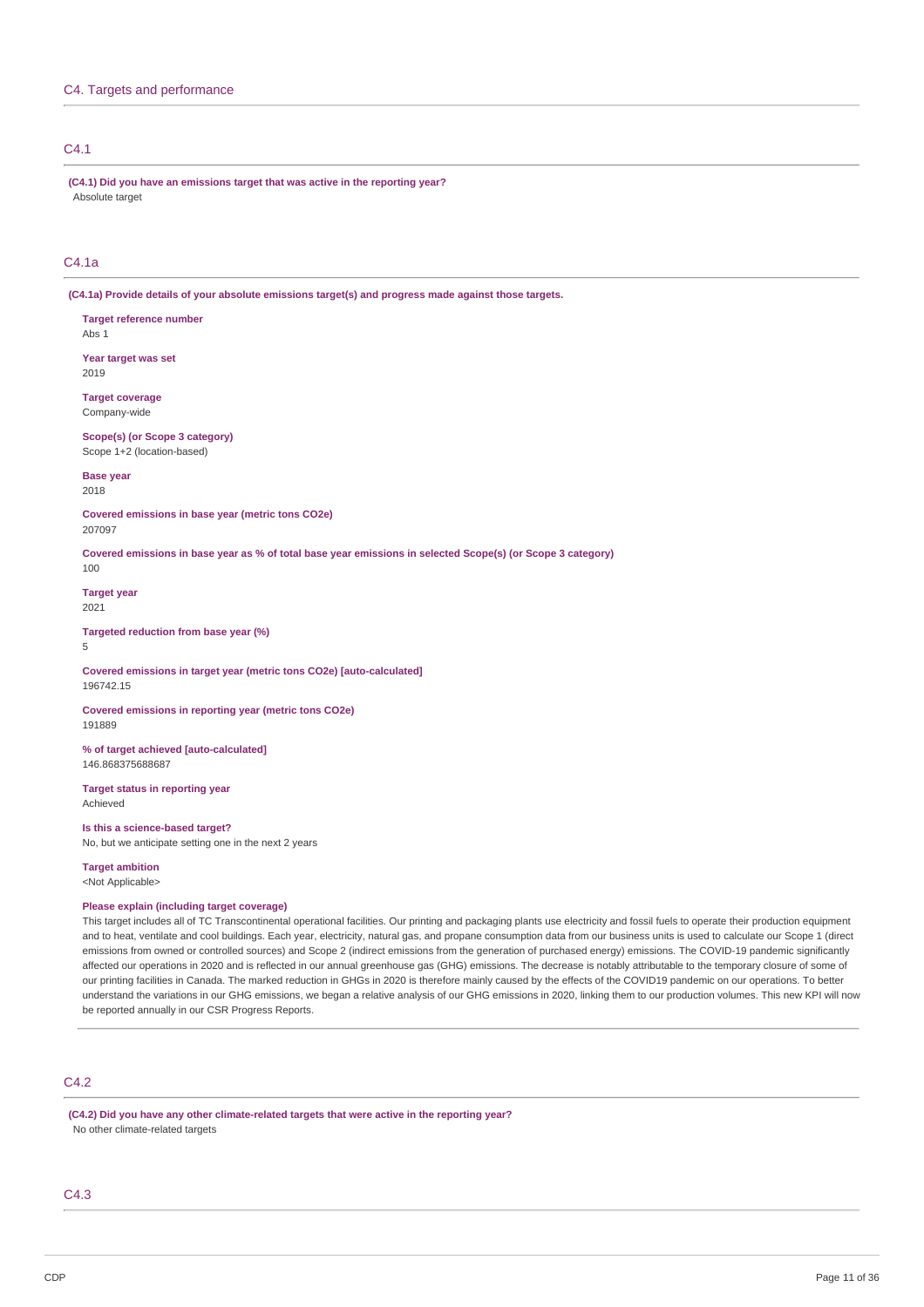# C4.1

**(C4.1) Did you have an emissions target that was active in the reporting year?** Absolute target

# C4.1a

**(C4.1a) Provide details of your absolute emissions target(s) and progress made against those targets.**

**Target reference number** Abs 1

**Year target was set** 2019

**Target coverage** Company-wide

**Scope(s) (or Scope 3 category)** Scope 1+2 (location-based)

**Base year** 2018

**Covered emissions in base year (metric tons CO2e)** 207097

Covered emissions in base year as % of total base year emissions in selected Scope(s) (or Scope 3 category) 100

**Target year** 2021

5

**Targeted reduction from base year (%)**

**Covered emissions in target year (metric tons CO2e) [auto-calculated]** 196742.15

**Covered emissions in reporting year (metric tons CO2e)** 191889

**% of target achieved [auto-calculated]** 146.868375688687

**Target status in reporting year** Achieved

**Is this a science-based target?** No, but we anticipate setting one in the next 2 years

**Target ambition**

<Not Applicable>

### **Please explain (including target coverage)**

This target includes all of TC Transcontinental operational facilities. Our printing and packaging plants use electricity and fossil fuels to operate their production equipment and to heat, ventilate and cool buildings. Each year, electricity, natural gas, and propane consumption data from our business units is used to calculate our Scope 1 (direct emissions from owned or controlled sources) and Scope 2 (indirect emissions from the generation of purchased energy) emissions. The COVID-19 pandemic significantly affected our operations in 2020 and is reflected in our annual greenhouse gas (GHG) emissions. The decrease is notably attributable to the temporary closure of some of our printing facilities in Canada. The marked reduction in GHGs in 2020 is therefore mainly caused by the effects of the COVID19 pandemic on our operations. To better understand the variations in our GHG emissions, we began a relative analysis of our GHG emissions in 2020, linking them to our production volumes. This new KPI will now be reported annually in our CSR Progress Reports.

# C4.2

**(C4.2) Did you have any other climate-related targets that were active in the reporting year?** No other climate-related targets

C4.3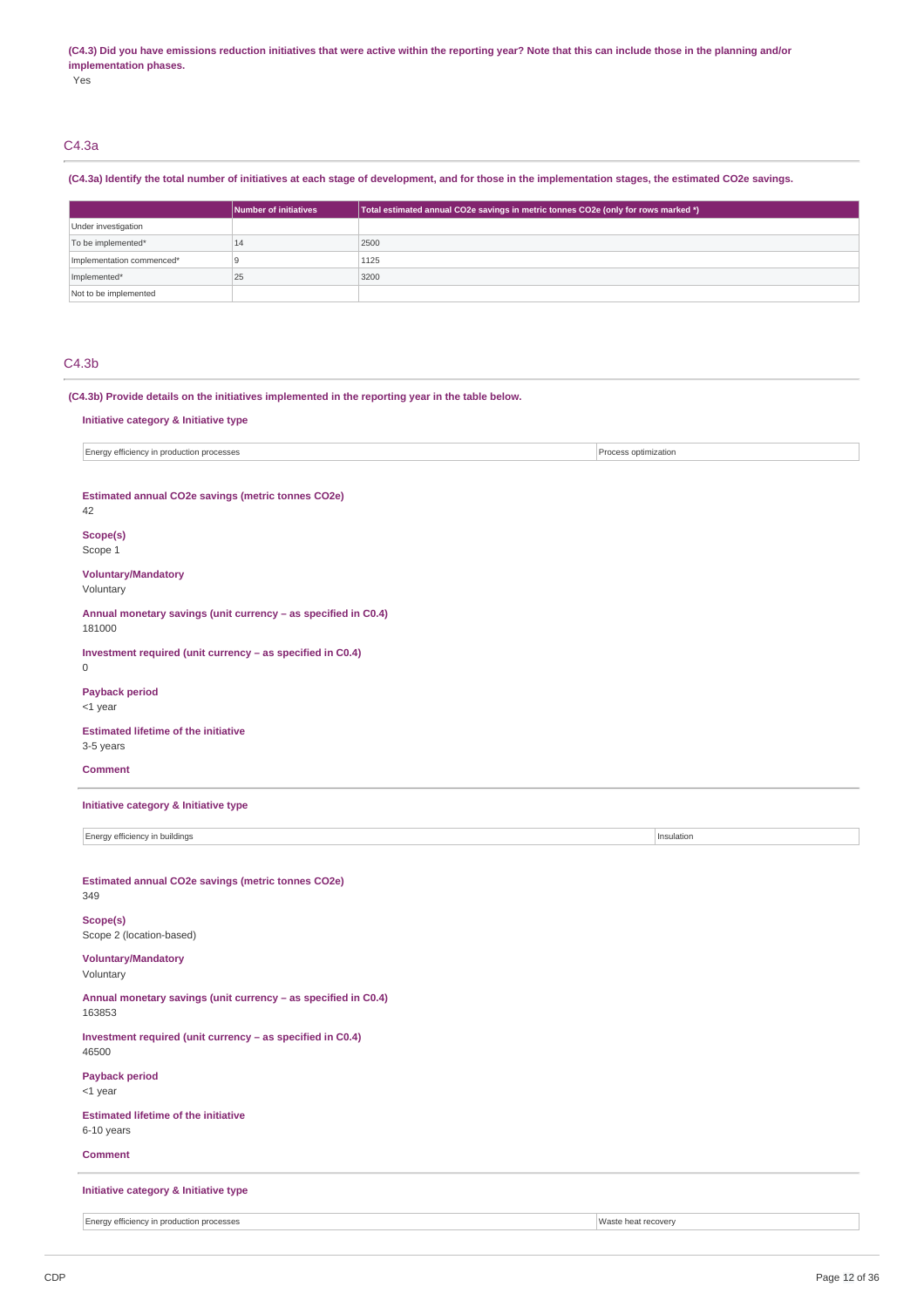#### (C4.3) Did you have emissions reduction initiatives that were active within the reporting year? Note that this can include those in the planning and/or **implementation phases.**

Yes

### C4.3a

### (C4.3a) Identify the total number of initiatives at each stage of development, and for those in the implementation stages, the estimated CO2e savings.

|                           | Number of initiatives | Total estimated annual CO2e savings in metric tonnes CO2e (only for rows marked *) |
|---------------------------|-----------------------|------------------------------------------------------------------------------------|
| Under investigation       |                       |                                                                                    |
| To be implemented*        | 14                    | 2500                                                                               |
| Implementation commenced* |                       | 1125                                                                               |
| Implemented*              | 25                    | 3200                                                                               |
| Not to be implemented     |                       |                                                                                    |

### C4.3b

**(C4.3b) Provide details on the initiatives implemented in the reporting year in the table below.**

#### **Initiative category & Initiative type**

Energy efficiency in production processes Process optimization

#### **Estimated annual CO2e savings (metric tonnes CO2e)**

42

# **Scope(s)**

Scope 1

#### **Voluntary/Mandatory** Voluntary

**Annual monetary savings (unit currency – as specified in C0.4)** 181000

**Investment required (unit currency – as specified in C0.4)** 0

# **Payback period**

<1 year

### **Estimated lifetime of the initiative** 3-5 years

### **Comment**

**Initiative category & Initiative type**

Energy efficiency in buildings **Insulation Insulation Insulation Insulation** 

#### **Estimated annual CO2e savings (metric tonnes CO2e)** 349

**Scope(s)** Scope 2 (location-based)

# **Voluntary/Mandatory**

Voluntary

### **Annual monetary savings (unit currency – as specified in C0.4)** 163853

**Investment required (unit currency – as specified in C0.4)** 46500

# **Payback period**

<1 year

#### **Estimated lifetime of the initiative** 6-10 years

**Comment**

### **Initiative category & Initiative type**

Energy efficiency in production processes Waste heat recovery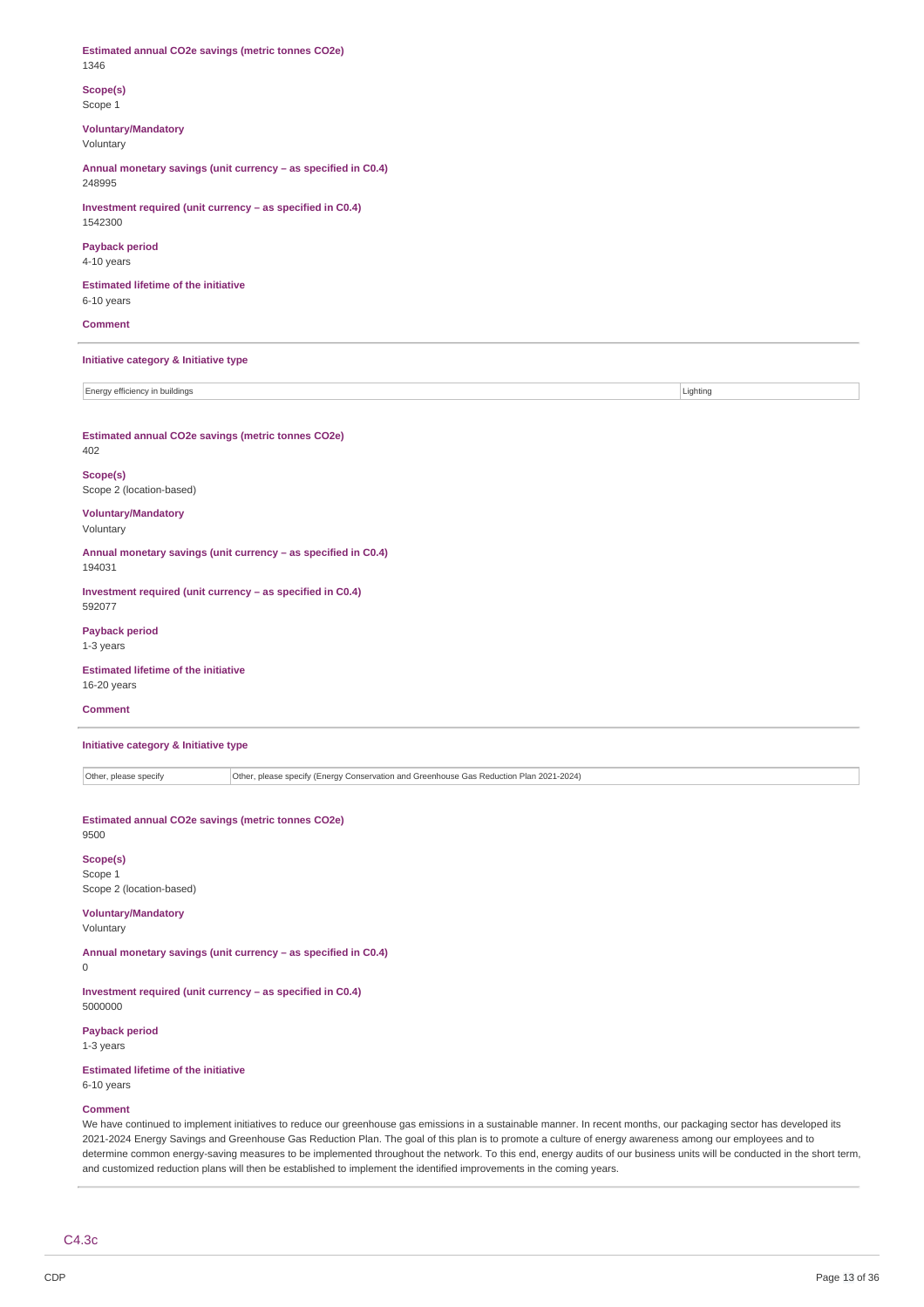**Estimated annual CO2e savings (metric tonnes CO2e)** 1346

**Scope(s)** Scope 1

### **Voluntary/Mandatory** Voluntary

**Annual monetary savings (unit currency – as specified in C0.4)** 248995

**Investment required (unit currency – as specified in C0.4)** 1542300

**Payback period** 4-10 years

**Estimated lifetime of the initiative** 6-10 years

**Comment**

#### **Initiative category & Initiative type**

Energy efficiency in buildings **Lighting** Lighting **Lighting** 

**Estimated annual CO2e savings (metric tonnes CO2e)** 402

**Scope(s)** Scope 2 (location-based)

**Voluntary/Mandatory** Voluntary

**Annual monetary savings (unit currency – as specified in C0.4)** 194031

**Investment required (unit currency – as specified in C0.4)** 592077

**Payback period** 1-3 years

**Estimated lifetime of the initiative** 16-20 years

### **Comment**

**Initiative category & Initiative type**

Other, please specify Other, please specify (Energy Conservation and Greenhouse Gas Reduction Plan 2021-2024)

**Estimated annual CO2e savings (metric tonnes CO2e)** 9500

# **Scope(s)**

Scope 1 Scope 2 (location-based)

### **Voluntary/Mandatory**

Voluntary

 $\overline{0}$ 

**Annual monetary savings (unit currency – as specified in C0.4)**

**Investment required (unit currency – as specified in C0.4)** 5000000

**Payback period** 1-3 years

**Estimated lifetime of the initiative** 6-10 years

#### **Comment**

We have continued to implement initiatives to reduce our greenhouse gas emissions in a sustainable manner. In recent months, our packaging sector has developed its 2021-2024 Energy Savings and Greenhouse Gas Reduction Plan. The goal of this plan is to promote a culture of energy awareness among our employees and to determine common energy-saving measures to be implemented throughout the network. To this end, energy audits of our business units will be conducted in the short term, and customized reduction plans will then be established to implement the identified improvements in the coming years.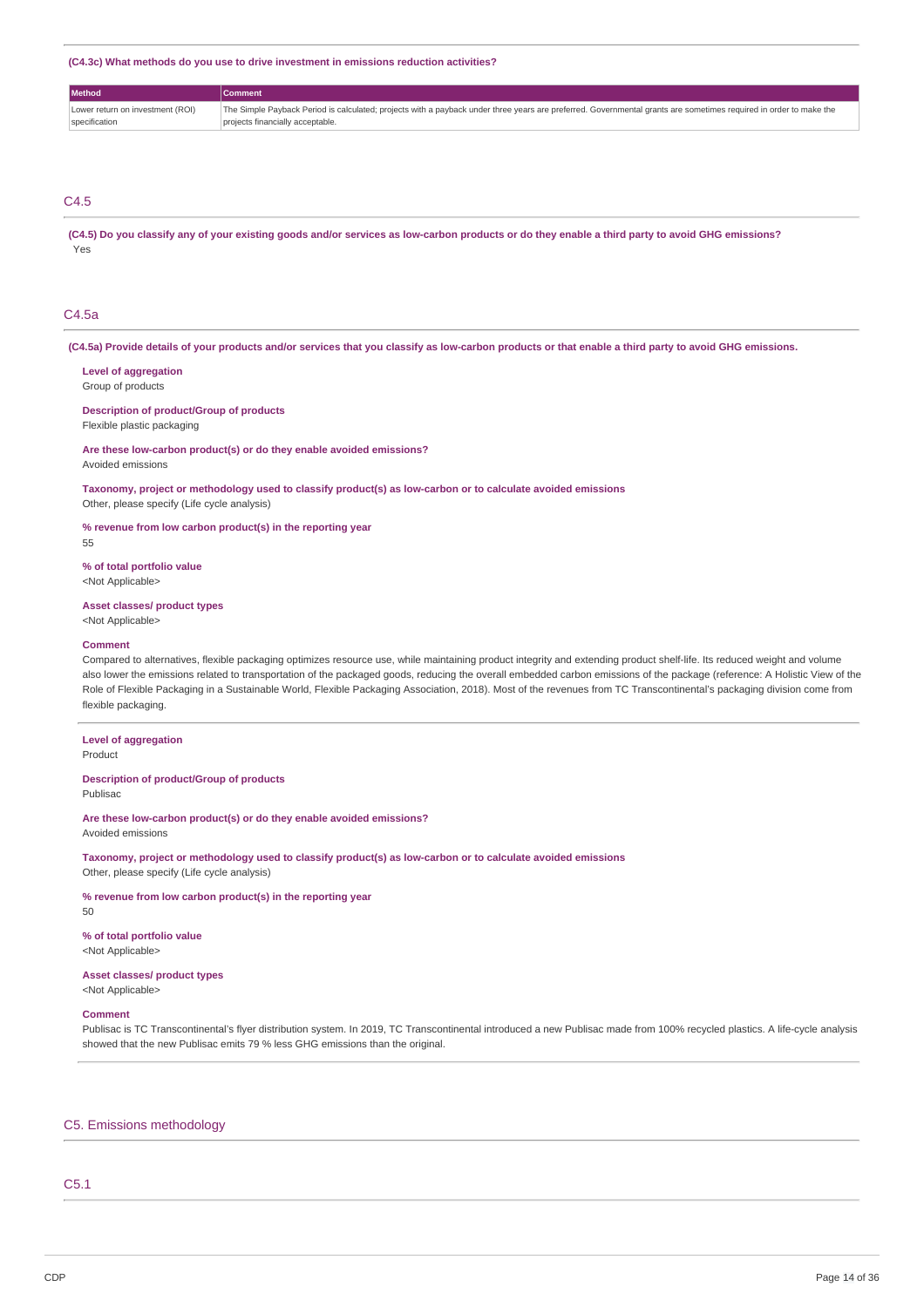**(C4.3c) What methods do you use to drive investment in emissions reduction activities?**

| <b>Method</b>                    | Comment                                                                                                                                                           |
|----------------------------------|-------------------------------------------------------------------------------------------------------------------------------------------------------------------|
| Lower return on investment (ROI) | The Simple Payback Period is calculated; projects with a payback under three years are preferred. Governmental grants are sometimes required in order to make the |
| specification                    | projects financially acceptable.                                                                                                                                  |

# C4.5

(C4.5) Do you classify any of your existing goods and/or services as low-carbon products or do they enable a third party to avoid GHG emissions? Yes

### C4.5a

(C4.5a) Provide details of your products and/or services that you classify as low-carbon products or that enable a third party to avoid GHG emissions.

#### **Level of aggregation**

Group of products

### **Description of product/Group of products**

Flexible plastic packaging

**Are these low-carbon product(s) or do they enable avoided emissions?** Avoided emissions

**Taxonomy, project or methodology used to classify product(s) as low-carbon or to calculate avoided emissions** Other, please specify (Life cycle analysis)

**% revenue from low carbon product(s) in the reporting year** 55

#### **% of total portfolio value**

<Not Applicable>

#### **Asset classes/ product types**

<Not Applicable>

#### **Comment**

Compared to alternatives, flexible packaging optimizes resource use, while maintaining product integrity and extending product shelf-life. Its reduced weight and volume also lower the emissions related to transportation of the packaged goods, reducing the overall embedded carbon emissions of the package (reference: A Holistic View of the Role of Flexible Packaging in a Sustainable World, Flexible Packaging Association, 2018). Most of the revenues from TC Transcontinental's packaging division come from flexible packaging.

# **Level of aggregation**

Product

#### **Description of product/Group of products**

Publisac

**Are these low-carbon product(s) or do they enable avoided emissions?** Avoided emissions

**Taxonomy, project or methodology used to classify product(s) as low-carbon or to calculate avoided emissions** Other, please specify (Life cycle analysis)

**% revenue from low carbon product(s) in the reporting year**

50

# **% of total portfolio value**

<Not Applicable>

### **Asset classes/ product types**

<Not Applicable>

#### **Comment**

Publisac is TC Transcontinental's flyer distribution system. In 2019, TC Transcontinental introduced a new Publisac made from 100% recycled plastics. A life-cycle analysis showed that the new Publisac emits 79 % less GHG emissions than the original.

### C5. Emissions methodology

### C5.1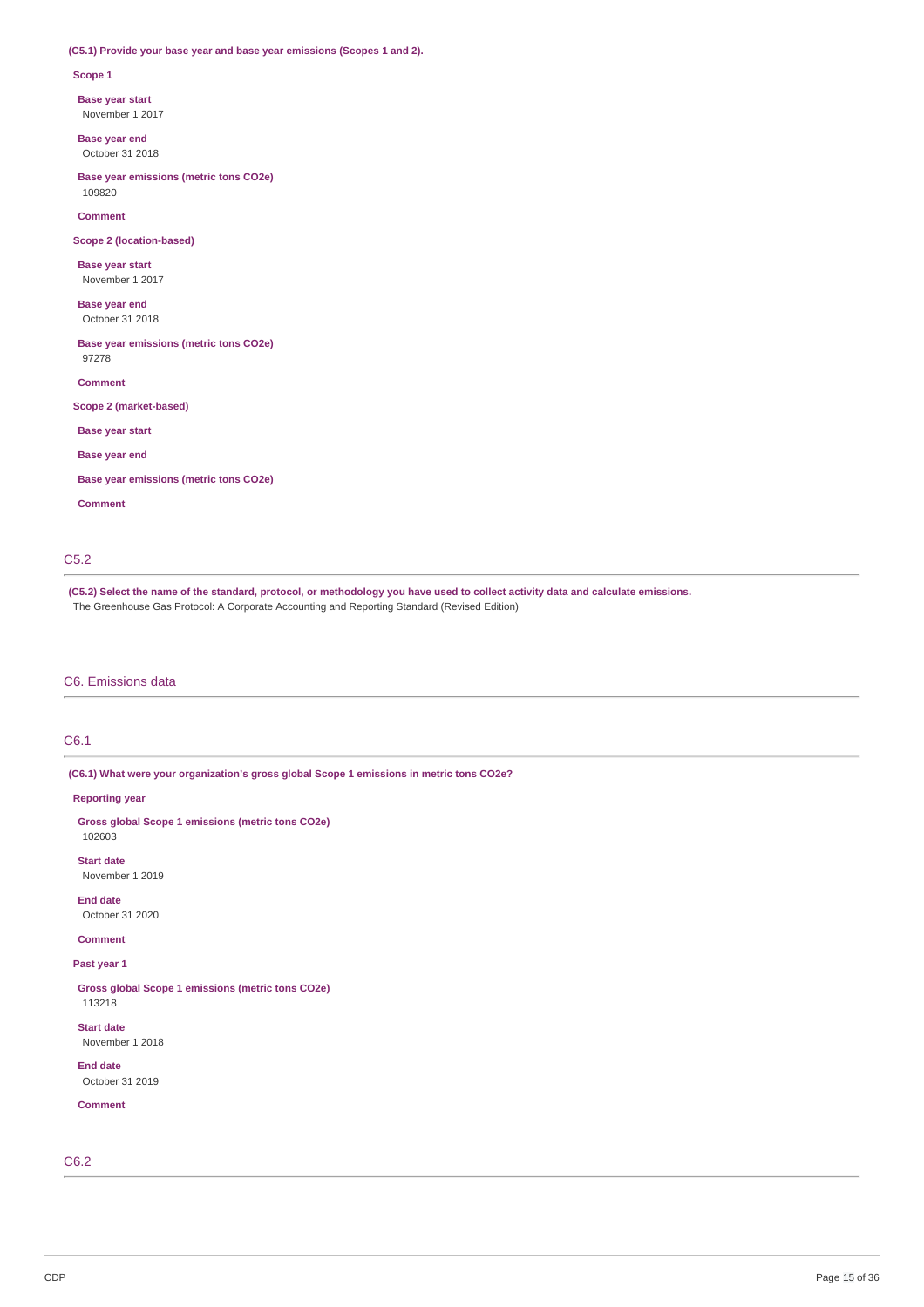### **(C5.1) Provide your base year and base year emissions (Scopes 1 and 2).**

#### **Scope 1**

**Base year start**

November 1 2017

**Base year end** October 31 2018

**Base year emissions (metric tons CO2e)** 109820

**Comment**

**Scope 2 (location-based)**

**Base year start** November 1 2017

**Base year end** October 31 2018

**Base year emissions (metric tons CO2e)** 97278

**Comment**

**Scope 2 (market-based)**

**Base year start**

**Base year end**

**Base year emissions (metric tons CO2e)**

**Comment**

### C5.2

(C5.2) Select the name of the standard, protocol, or methodology you have used to collect activity data and calculate emissions. The Greenhouse Gas Protocol: A Corporate Accounting and Reporting Standard (Revised Edition)

### C6. Emissions data

### C6.1

**(C6.1) What were your organization's gross global Scope 1 emissions in metric tons CO2e?**

**Reporting year**

**Gross global Scope 1 emissions (metric tons CO2e)** 102603

**Start date** November 1 2019

**End date**

October 31 2020

**Comment**

# **Past year 1**

**Gross global Scope 1 emissions (metric tons CO2e)** 113218

**Start date** November 1 2018

**End date** October 31 2019

**Comment**

C6.2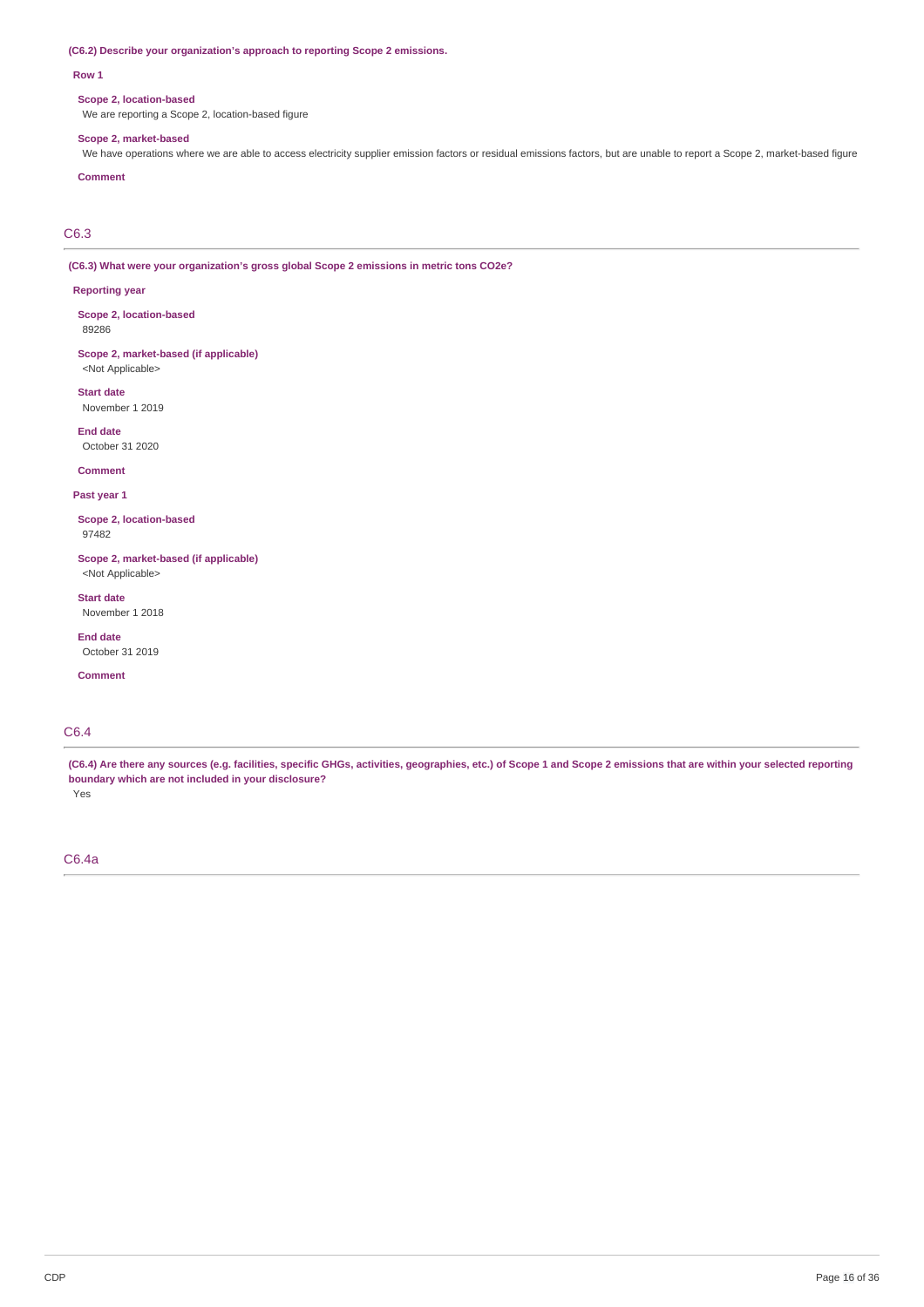#### **(C6.2) Describe your organization's approach to reporting Scope 2 emissions.**

#### **Row 1**

### **Scope 2, location-based**

We are reporting a Scope 2, location-based figure

#### **Scope 2, market-based**

We have operations where we are able to access electricity supplier emission factors or residual emissions factors, but are unable to report a Scope 2, market-based figure

### **Comment**

C6.3

**(C6.3) What were your organization's gross global Scope 2 emissions in metric tons CO2e?**

#### **Reporting year**

**Scope 2, location-based** 89286

**Scope 2, market-based (if applicable)** <Not Applicable>

**Start date** November 1 2019

**End date** October 31 2020

**Comment**

**Past year 1**

**Scope 2, location-based** 97482

**Scope 2, market-based (if applicable)** <Not Applicable>

**Start date**

November 1 2018

**End date** October 31 2019

**Comment**

### C6.4

(C6.4) Are there any sources (e.g. facilities, specific GHGs, activities, geographies, etc.) of Scope 1 and Scope 2 emissions that are within your selected reporting **boundary which are not included in your disclosure?** Yes

# C6.4a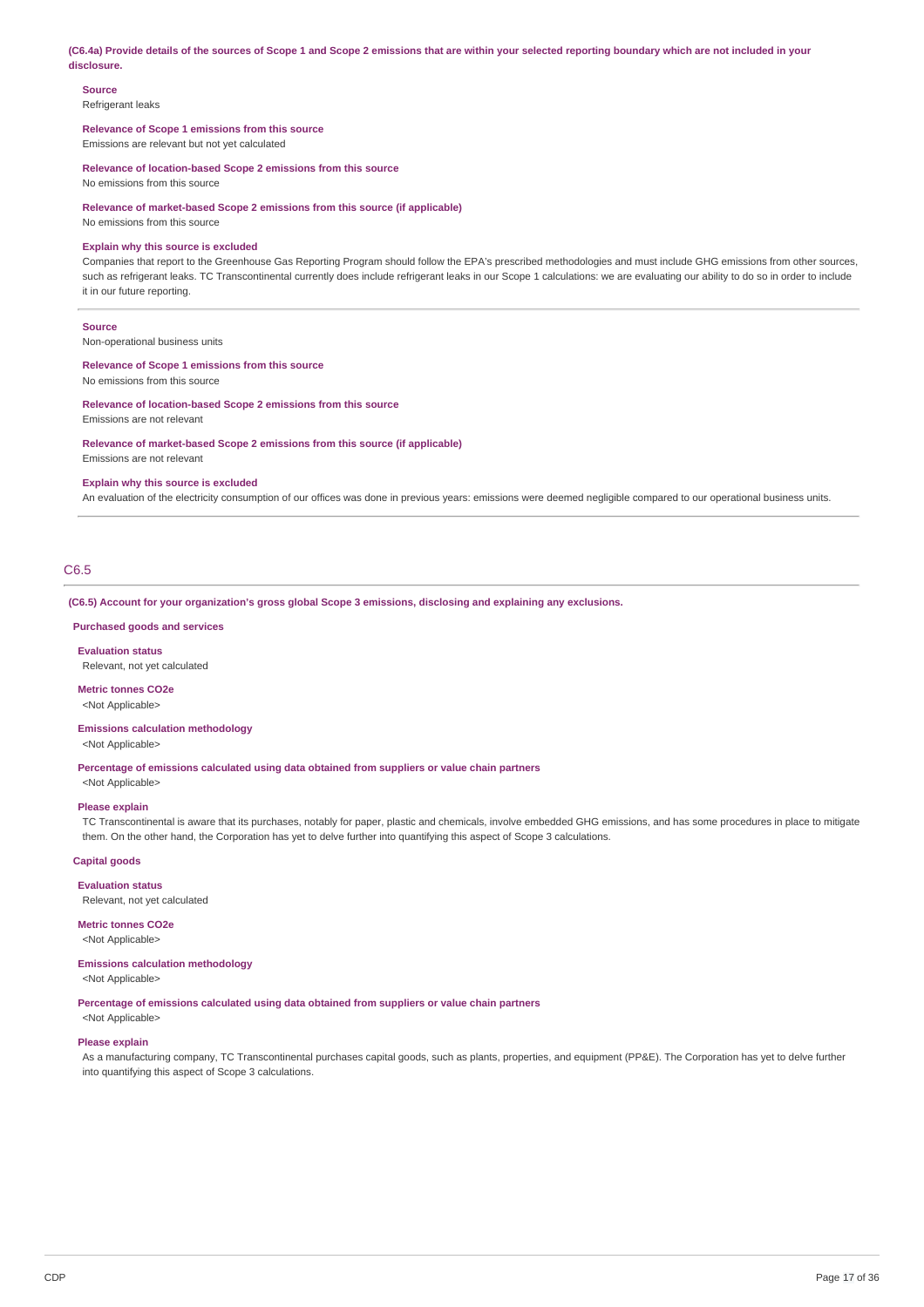(C6.4a) Provide details of the sources of Scope 1 and Scope 2 emissions that are within your selected reporting boundary which are not included in your **disclosure.**

**Source**

Refrigerant leaks

**Relevance of Scope 1 emissions from this source**

Emissions are relevant but not yet calculated

**Relevance of location-based Scope 2 emissions from this source**

No emissions from this source

**Relevance of market-based Scope 2 emissions from this source (if applicable)**

No emissions from this source

#### **Explain why this source is excluded**

Companies that report to the Greenhouse Gas Reporting Program should follow the EPA's prescribed methodologies and must include GHG emissions from other sources, such as refrigerant leaks. TC Transcontinental currently does include refrigerant leaks in our Scope 1 calculations: we are evaluating our ability to do so in order to include it in our future reporting.

#### **Source**

Non-operational business units

### **Relevance of Scope 1 emissions from this source**

No emissions from this source

#### **Relevance of location-based Scope 2 emissions from this source**

Emissions are not relevant

**Relevance of market-based Scope 2 emissions from this source (if applicable)** Emissions are not relevant

#### **Explain why this source is excluded**

An evaluation of the electricity consumption of our offices was done in previous years: emissions were deemed negligible compared to our operational business units.

### C6.5

**(C6.5) Account for your organization's gross global Scope 3 emissions, disclosing and explaining any exclusions.**

#### **Purchased goods and services**

**Evaluation status** Relevant, not yet calculated

#### **Metric tonnes CO2e** <Not Applicable>

#### **Emissions calculation methodology**

<Not Applicable>

**Percentage of emissions calculated using data obtained from suppliers or value chain partners**

## <Not Applicable> **Please explain**

TC Transcontinental is aware that its purchases, notably for paper, plastic and chemicals, involve embedded GHG emissions, and has some procedures in place to mitigate them. On the other hand, the Corporation has yet to delve further into quantifying this aspect of Scope 3 calculations.

#### **Capital goods**

**Evaluation status** Relevant, not yet calculated

**Metric tonnes CO2e** <Not Applicable>

# **Emissions calculation methodology**

<Not Applicable>

#### **Percentage of emissions calculated using data obtained from suppliers or value chain partners**

<Not Applicable>

#### **Please explain**

As a manufacturing company, TC Transcontinental purchases capital goods, such as plants, properties, and equipment (PP&E). The Corporation has yet to delve further into quantifying this aspect of Scope 3 calculations.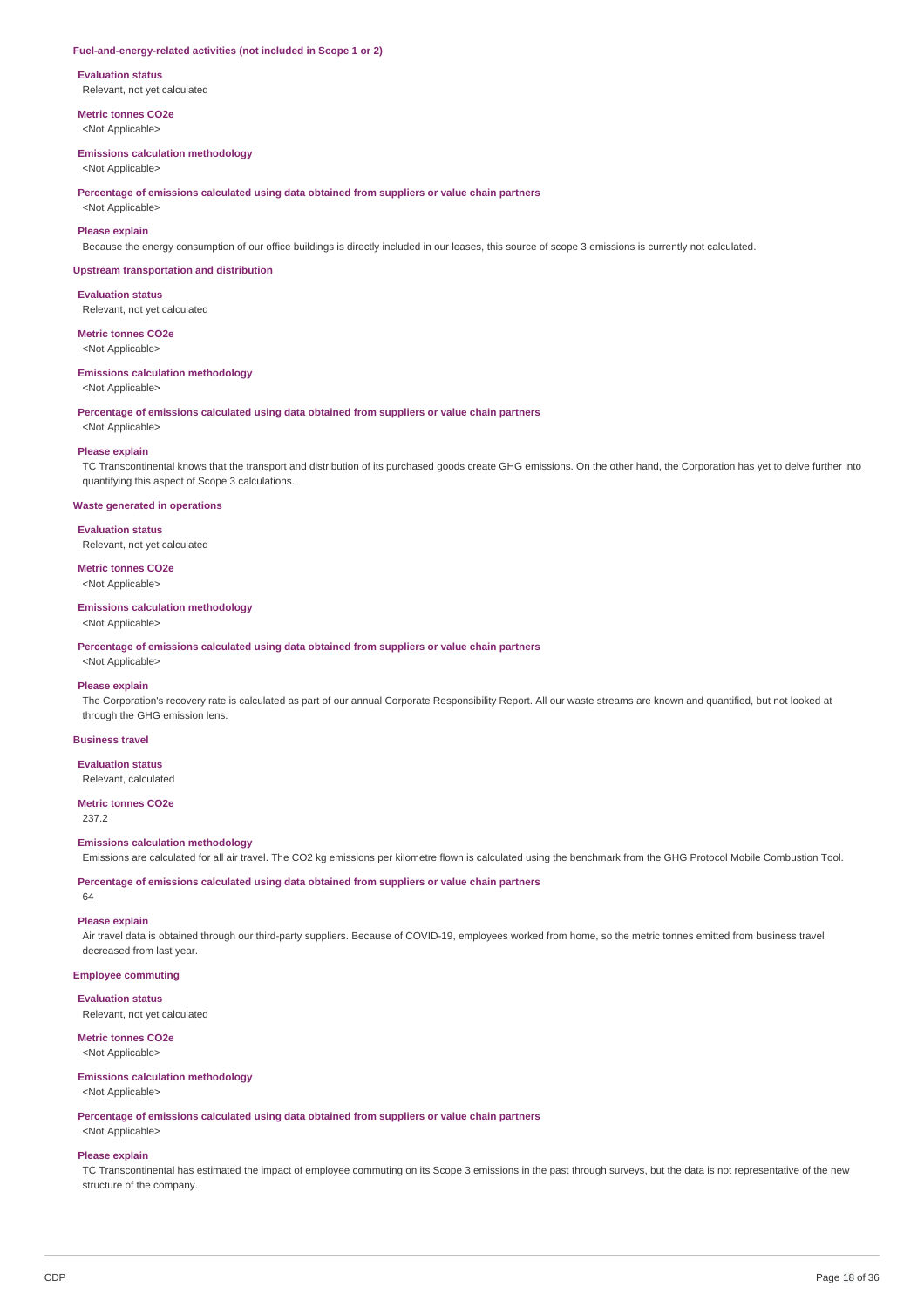#### **Fuel-and-energy-related activities (not included in Scope 1 or 2)**

**Evaluation status** Relevant, not yet calculated

**Metric tonnes CO2e**

<Not Applicable>

### **Emissions calculation methodology**

<Not Applicable>

**Percentage of emissions calculated using data obtained from suppliers or value chain partners**

<Not Applicable>

### **Please explain**

Because the energy consumption of our office buildings is directly included in our leases, this source of scope 3 emissions is currently not calculated.

#### **Upstream transportation and distribution**

**Evaluation status** Relevant, not yet calculated

**Metric tonnes CO2e**

<Not Applicable>

#### **Emissions calculation methodology**

<Not Applicable>

**Percentage of emissions calculated using data obtained from suppliers or value chain partners**

<Not Applicable>

#### **Please explain**

TC Transcontinental knows that the transport and distribution of its purchased goods create GHG emissions. On the other hand, the Corporation has yet to delve further into quantifying this aspect of Scope 3 calculations.

#### **Waste generated in operations**

**Evaluation status** Relevant, not yet calculated

**Metric tonnes CO2e**

<Not Applicable>

### **Emissions calculation methodology**

<Not Applicable>

**Percentage of emissions calculated using data obtained from suppliers or value chain partners**

<Not Applicable>

#### **Please explain**

The Corporation's recovery rate is calculated as part of our annual Corporate Responsibility Report. All our waste streams are known and quantified, but not looked at through the GHG emission lens.

### **Business travel**

**Evaluation status** Relevant, calculated

### **Metric tonnes CO2e**

237.2

#### **Emissions calculation methodology**

Emissions are calculated for all air travel. The CO2 kg emissions per kilometre flown is calculated using the benchmark from the GHG Protocol Mobile Combustion Tool.

**Percentage of emissions calculated using data obtained from suppliers or value chain partners**

# **Please explain**

64

Air travel data is obtained through our third-party suppliers. Because of COVID-19, employees worked from home, so the metric tonnes emitted from business travel decreased from last year.

### **Employee commuting**

**Evaluation status**

Relevant, not yet calculated

# **Metric tonnes CO2e**

<Not Applicable>

# **Emissions calculation methodology**

<Not Applicable>

**Percentage of emissions calculated using data obtained from suppliers or value chain partners**

<Not Applicable>

### **Please explain**

TC Transcontinental has estimated the impact of employee commuting on its Scope 3 emissions in the past through surveys, but the data is not representative of the new structure of the company.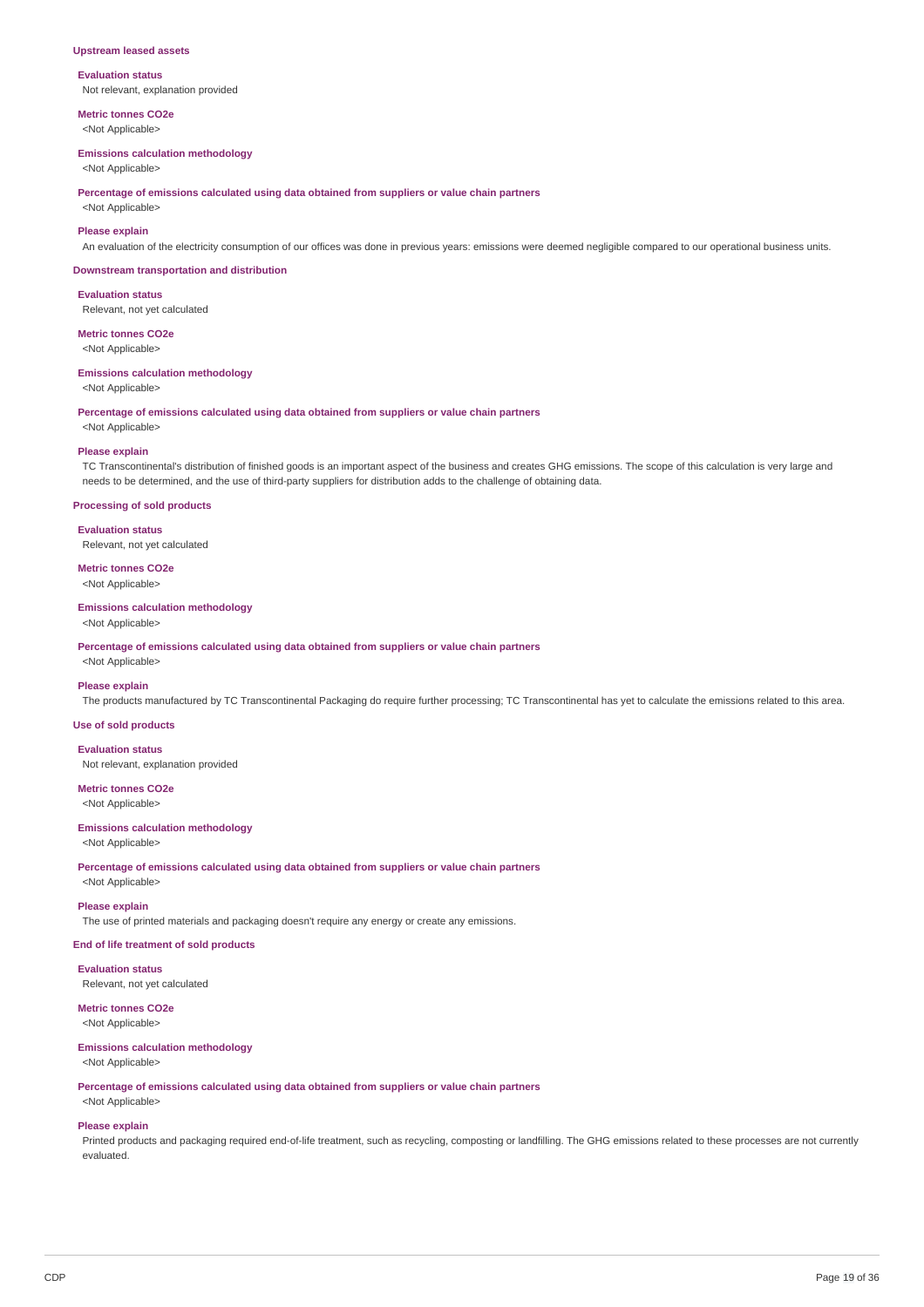#### **Upstream leased assets**

#### **Evaluation status** Not relevant, explanation provided

**Metric tonnes CO2e**

<Not Applicable>

#### **Emissions calculation methodology**

<Not Applicable>

**Percentage of emissions calculated using data obtained from suppliers or value chain partners**

<Not Applicable>

### **Please explain**

An evaluation of the electricity consumption of our offices was done in previous years: emissions were deemed negligible compared to our operational business units.

#### **Downstream transportation and distribution**

**Evaluation status** Relevant, not yet calculated

**Metric tonnes CO2e**

<Not Applicable>

#### **Emissions calculation methodology**

<Not Applicable>

**Percentage of emissions calculated using data obtained from suppliers or value chain partners**

# <Not Applicable> **Please explain**

TC Transcontinental's distribution of finished goods is an important aspect of the business and creates GHG emissions. The scope of this calculation is very large and needs to be determined, and the use of third-party suppliers for distribution adds to the challenge of obtaining data.

#### **Processing of sold products**

**Evaluation status** Relevant, not yet calculated

# **Metric tonnes CO2e**

<Not Applicable>

### **Emissions calculation methodology**

<Not Applicable>

**Percentage of emissions calculated using data obtained from suppliers or value chain partners**

<Not Applicable>

#### **Please explain**

The products manufactured by TC Transcontinental Packaging do require further processing; TC Transcontinental has yet to calculate the emissions related to this area.

#### **Use of sold products**

**Evaluation status** Not relevant, explanation provided

# **Metric tonnes CO2e**

<Not Applicable>

### **Emissions calculation methodology**

<Not Applicable>

**Percentage of emissions calculated using data obtained from suppliers or value chain partners** <Not Applicable>

#### **Please explain**

The use of printed materials and packaging doesn't require any energy or create any emissions.

### **End of life treatment of sold products**

**Evaluation status** Relevant, not yet calculated

# **Metric tonnes CO2e**

<Not Applicable>

### **Emissions calculation methodology**

<Not Applicable>

#### **Percentage of emissions calculated using data obtained from suppliers or value chain partners** <Not Applicable>

#### **Please explain**

Printed products and packaging required end-of-life treatment, such as recycling, composting or landfilling. The GHG emissions related to these processes are not currently evaluated.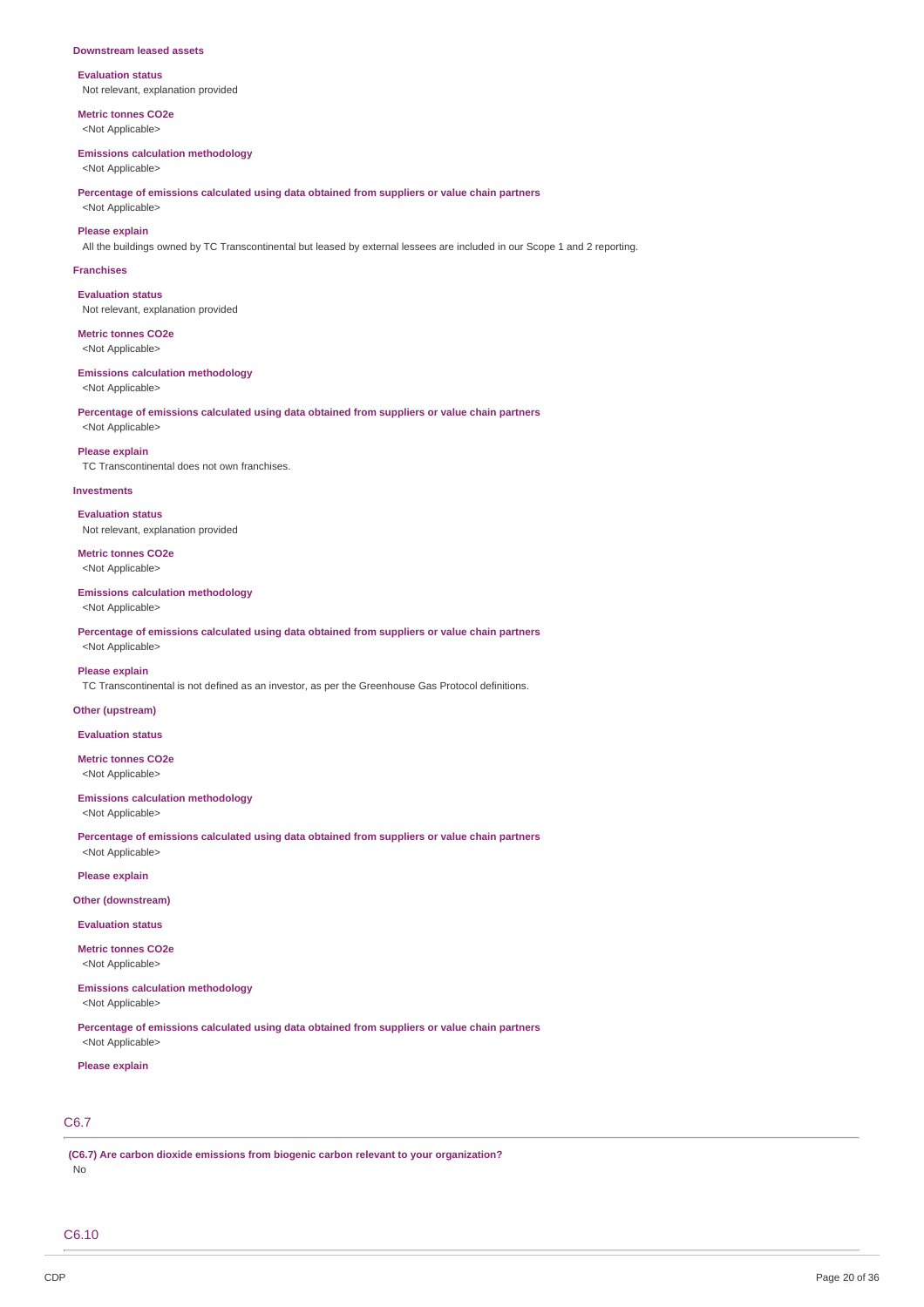#### **Downstream leased assets**

**Evaluation status** Not relevant, explanation provided

**Metric tonnes CO2e** <Not Applicable>

#### **Emissions calculation methodology**

<Not Applicable>

**Percentage of emissions calculated using data obtained from suppliers or value chain partners**

<Not Applicable> **Please explain**

All the buildings owned by TC Transcontinental but leased by external lessees are included in our Scope 1 and 2 reporting.

#### **Franchises**

**Evaluation status** Not relevant, explanation provided

**Metric tonnes CO2e** <Not Applicable>

### **Emissions calculation methodology**

<Not Applicable>

**Percentage of emissions calculated using data obtained from suppliers or value chain partners** <Not Applicable>

#### **Please explain**

TC Transcontinental does not own franchises.

#### **Investments**

**Evaluation status** Not relevant, explanation provided

**Metric tonnes CO2e** <Not Applicable>

#### **Emissions calculation methodology**

<Not Applicable>

**Percentage of emissions calculated using data obtained from suppliers or value chain partners** <Not Applicable>

#### **Please explain**

TC Transcontinental is not defined as an investor, as per the Greenhouse Gas Protocol definitions.

#### **Other (upstream)**

**Evaluation status**

**Metric tonnes CO2e** <Not Applicable>

#### **Emissions calculation methodology**

<Not Applicable>

**Percentage of emissions calculated using data obtained from suppliers or value chain partners** <Not Applicable>

**Please explain**

#### **Other (downstream)**

**Evaluation status**

**Metric tonnes CO2e** <Not Applicable>

# **Emissions calculation methodology**

<Not Applicable>

**Percentage of emissions calculated using data obtained from suppliers or value chain partners** <Not Applicable>

#### **Please explain**

# C6.7

**(C6.7) Are carbon dioxide emissions from biogenic carbon relevant to your organization?** No

C6.10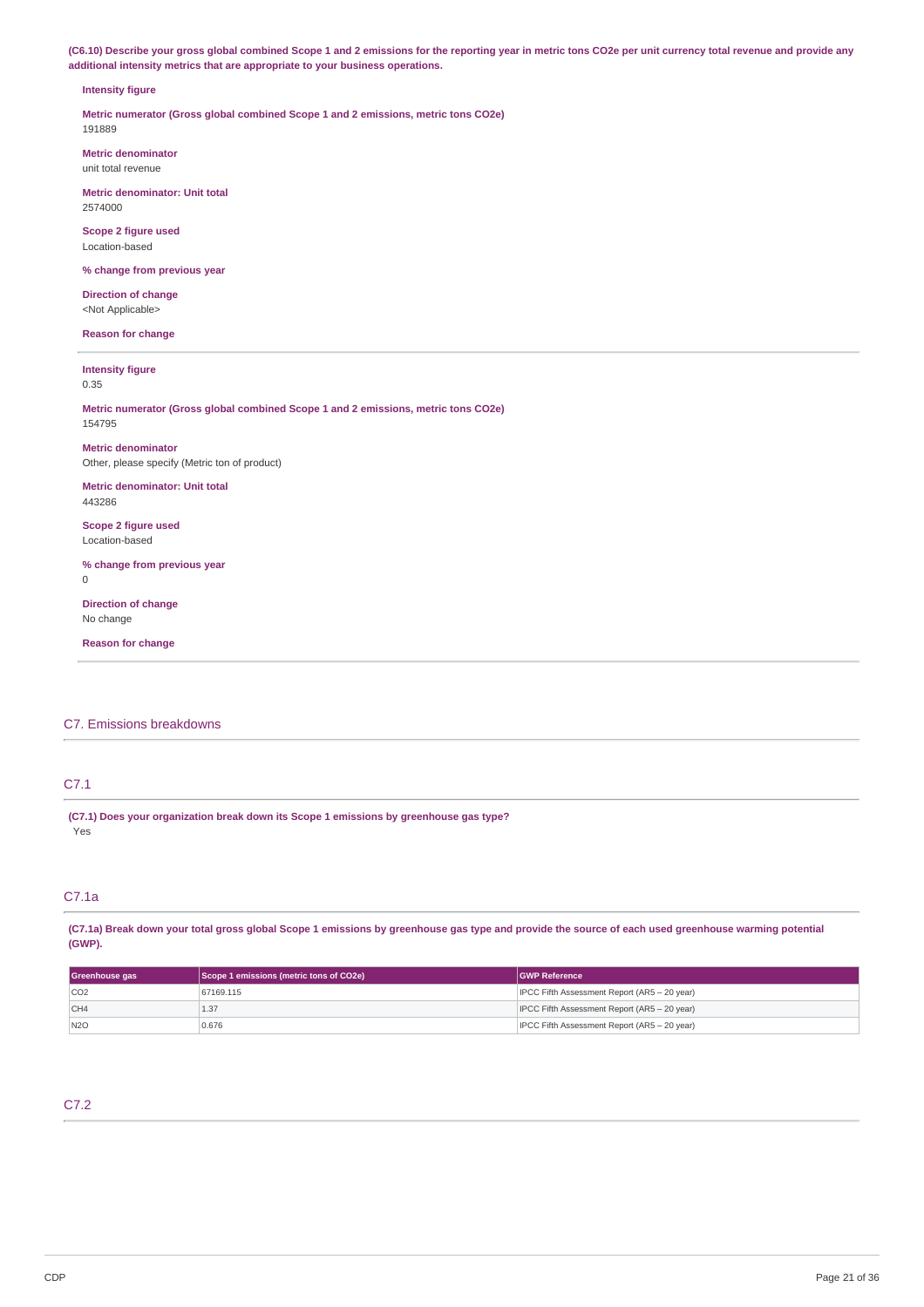(C6.10) Describe your gross global combined Scope 1 and 2 emissions for the reporting year in metric tons CO2e per unit currency total revenue and provide any **additional intensity metrics that are appropriate to your business operations.**

#### **Intensity figure**

**Metric numerator (Gross global combined Scope 1 and 2 emissions, metric tons CO2e)** 191889

**Metric denominator** unit total revenue

**Metric denominator: Unit total** 2574000

**Scope 2 figure used** Location-based

**% change from previous year**

**Direction of change** <Not Applicable>

**Reason for change**

#### **Intensity figure**

0.35

**Metric numerator (Gross global combined Scope 1 and 2 emissions, metric tons CO2e)** 154795

**Metric denominator** Other, please specify (Metric ton of product)

**Metric denominator: Unit total** 443286

**Scope 2 figure used** Location-based

**% change from previous year**  $\Omega$ 

**Direction of change** No change

**Reason for change**

### C7. Emissions breakdowns

### C7.1

**(C7.1) Does your organization break down its Scope 1 emissions by greenhouse gas type?** Yes

### C7.1a

(C7.1a) Break down your total gross global Scope 1 emissions by greenhouse gas type and provide the source of each used greenhouse warming potential **(GWP).**

| Greenhouse gas | Scope 1 emissions (metric tons of CO2e) | <b>GWP Reference</b>                         |  |
|----------------|-----------------------------------------|----------------------------------------------|--|
| CO2            | 67169.115                               | IPCC Fifth Assessment Report (AR5 - 20 year) |  |
| CH4            | 1.37                                    | IPCC Fifth Assessment Report (AR5 - 20 year) |  |
| N2O            | 0.676                                   | IPCC Fifth Assessment Report (AR5 - 20 year) |  |

# C7.2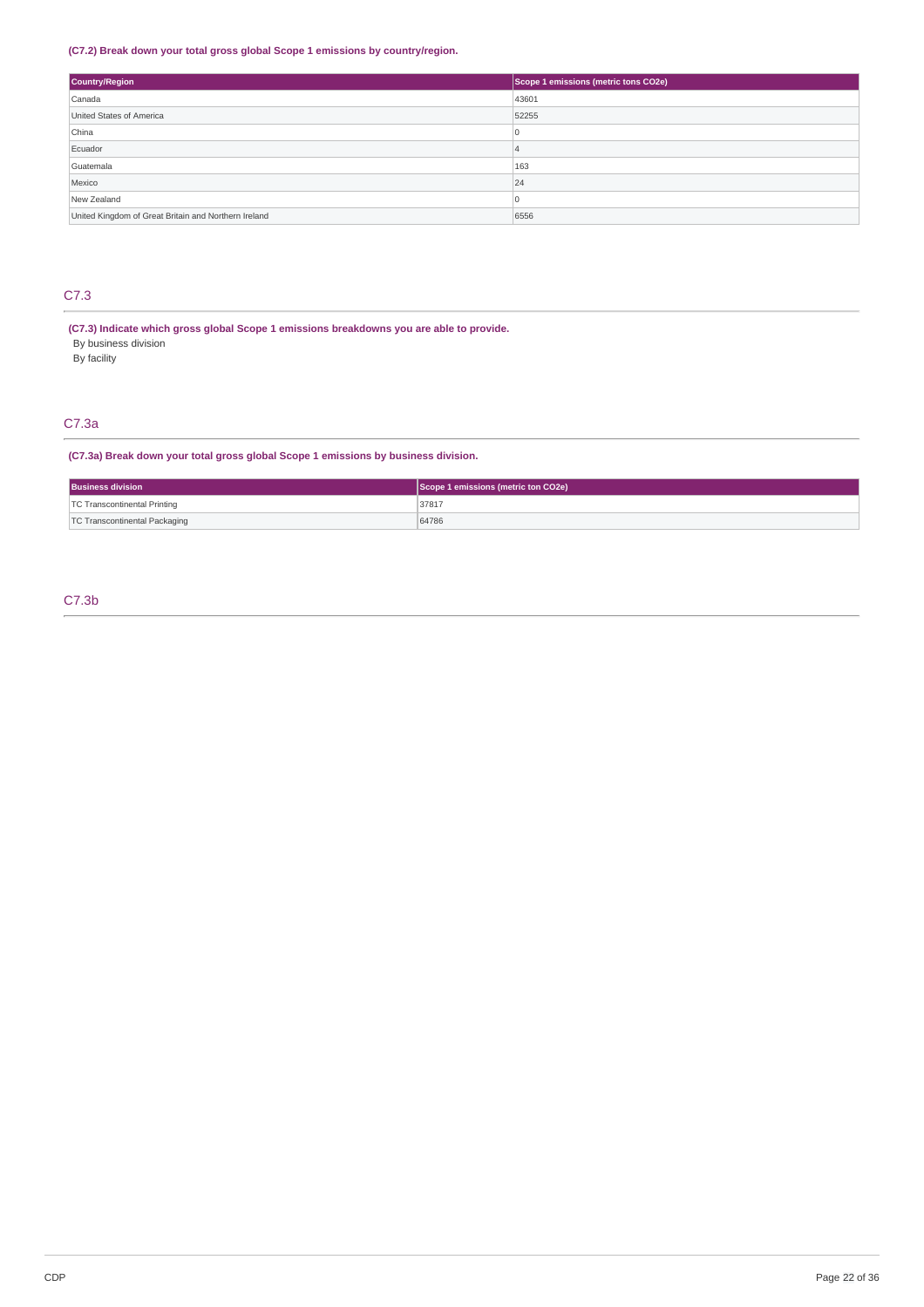### **(C7.2) Break down your total gross global Scope 1 emissions by country/region.**

| Country/Region                                       | Scope 1 emissions (metric tons CO2e) |  |
|------------------------------------------------------|--------------------------------------|--|
| Canada                                               | 43601                                |  |
| United States of America                             | 52255                                |  |
| China                                                | U                                    |  |
| Ecuador                                              | 4                                    |  |
| Guatemala                                            | 163                                  |  |
| Mexico                                               | 24                                   |  |
| New Zealand                                          |                                      |  |
| United Kingdom of Great Britain and Northern Ireland | 6556                                 |  |

# C7.3

**(C7.3) Indicate which gross global Scope 1 emissions breakdowns you are able to provide.** By business division

By facility

### C7.3a

### **(C7.3a) Break down your total gross global Scope 1 emissions by business division.**

| <b>Business division</b>            | Scope 1 emissions (metric ton CO2e) |  |
|-------------------------------------|-------------------------------------|--|
| <b>TC Transcontinental Printing</b> | 3781                                |  |
| TC Transcontinental Packaging       | 64786                               |  |

### C7.3b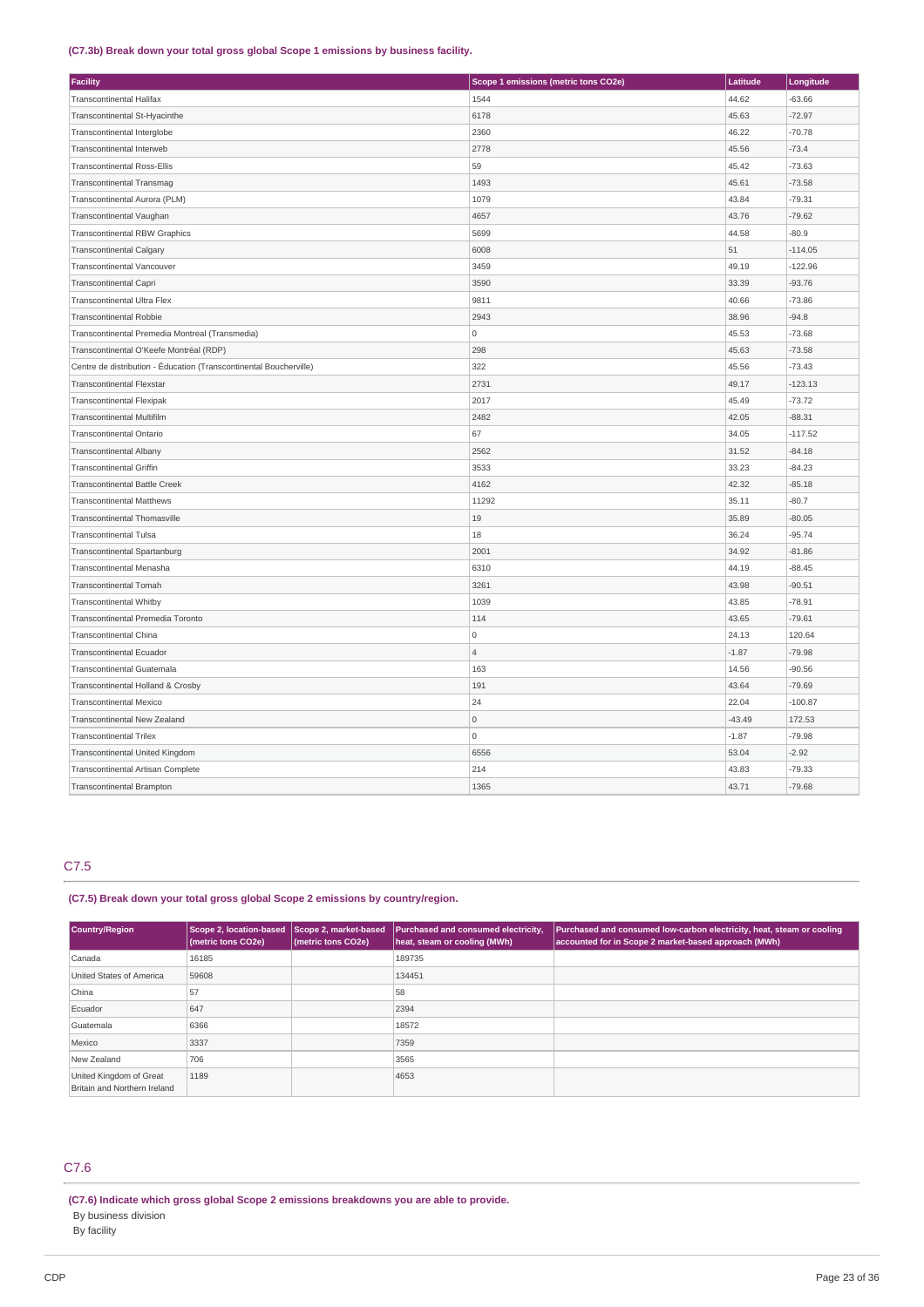### **(C7.3b) Break down your total gross global Scope 1 emissions by business facility.**

| <b>Facility</b>                                                    | Scope 1 emissions (metric tons CO2e) | Latitude | Longitude |
|--------------------------------------------------------------------|--------------------------------------|----------|-----------|
| <b>Transcontinental Halifax</b>                                    | 1544                                 | 44.62    | $-63.66$  |
| Transcontinental St-Hyacinthe                                      | 6178                                 | 45.63    | $-72.97$  |
| Transcontinental Interglobe                                        | 2360                                 | 46.22    | $-70.78$  |
| Transcontinental Interweb                                          | 2778                                 | 45.56    | $-73.4$   |
| <b>Transcontinental Ross-Ellis</b>                                 | 59                                   | 45.42    | $-73.63$  |
| <b>Transcontinental Transmag</b>                                   | 1493                                 | 45.61    | $-73.58$  |
| Transcontinental Aurora (PLM)                                      | 1079                                 | 43.84    | $-79.31$  |
| Transcontinental Vaughan                                           | 4657                                 | 43.76    | $-79.62$  |
| <b>Transcontinental RBW Graphics</b>                               | 5699                                 | 44.58    | $-80.9$   |
| <b>Transcontinental Calgary</b>                                    | 6008                                 | 51       | $-114.05$ |
| <b>Transcontinental Vancouver</b>                                  | 3459                                 | 49.19    | $-122.96$ |
| <b>Transcontinental Capri</b>                                      | 3590                                 | 33.39    | $-93.76$  |
| Transcontinental Ultra Flex                                        | 9811                                 | 40.66    | $-73.86$  |
| <b>Transcontinental Robbie</b>                                     | 2943                                 | 38.96    | $-94.8$   |
| Transcontinental Premedia Montreal (Transmedia)                    | 0                                    | 45.53    | $-73.68$  |
| Transcontinental O'Keefe Montréal (RDP)                            | 298                                  | 45.63    | $-73.58$  |
| Centre de distribution - Éducation (Transcontinental Boucherville) | 322                                  | 45.56    | $-73.43$  |
| <b>Transcontinental Flexstar</b>                                   | 2731                                 | 49.17    | $-123.13$ |
| <b>Transcontinental Flexipak</b>                                   | 2017                                 | 45.49    | $-73.72$  |
| <b>Transcontinental Multifilm</b>                                  | 2482                                 | 42.05    | $-88.31$  |
| Transcontinental Ontario                                           | 67                                   | 34.05    | $-117.52$ |
| <b>Transcontinental Albany</b>                                     | 2562                                 | 31.52    | $-84.18$  |
| <b>Transcontinental Griffin</b>                                    | 3533                                 | 33.23    | $-84.23$  |
| <b>Transcontinental Battle Creek</b>                               | 4162                                 | 42.32    | $-85.18$  |
| <b>Transcontinental Matthews</b>                                   | 11292                                | 35.11    | $-80.7$   |
| Transcontinental Thomasville                                       | 19                                   | 35.89    | $-80.05$  |
| <b>Transcontinental Tulsa</b>                                      | 18                                   | 36.24    | $-95.74$  |
| Transcontinental Spartanburg                                       | 2001                                 | 34.92    | $-81.86$  |
| Transcontinental Menasha                                           | 6310                                 | 44.19    | $-88.45$  |
| <b>Transcontinental Tomah</b>                                      | 3261                                 | 43.98    | $-90.51$  |
| <b>Transcontinental Whitby</b>                                     | 1039                                 | 43.85    | $-78.91$  |
| Transcontinental Premedia Toronto                                  | 114                                  | 43.65    | $-79.61$  |
| Transcontinental China                                             | O                                    | 24.13    | 120.64    |
| <b>Transcontinental Ecuador</b>                                    | $\overline{4}$                       | $-1.87$  | $-79.98$  |
| Transcontinental Guatemala                                         | 163                                  | 14.56    | $-90.56$  |
| Transcontinental Holland & Crosby                                  | 191                                  | 43.64    | $-79.69$  |
| <b>Transcontinental Mexico</b>                                     | 24                                   | 22.04    | $-100.87$ |
| Transcontinental New Zealand                                       | $\overline{0}$                       | $-43.49$ | 172.53    |
| <b>Transcontinental Trilex</b>                                     | 0                                    | $-1.87$  | $-79.98$  |
| Transcontinental United Kingdom                                    | 6556                                 | 53.04    | $-2.92$   |
| Transcontinental Artisan Complete                                  | 214                                  | 43.83    | $-79.33$  |
| <b>Transcontinental Brampton</b>                                   | 1365                                 | 43.71    | $-79.68$  |

# C7.5

### **(C7.5) Break down your total gross global Scope 2 emissions by country/region.**

| <b>Country/Region</b>                                   | Scope 2, location-based Scope 2, market-based<br>(metric tons CO2e) | (metric tons CO2e) | Purchased and consumed electricity,<br>heat, steam or cooling (MWh) | Purchased and consumed low-carbon electricity, heat, steam or cooling<br>accounted for in Scope 2 market-based approach (MWh) |
|---------------------------------------------------------|---------------------------------------------------------------------|--------------------|---------------------------------------------------------------------|-------------------------------------------------------------------------------------------------------------------------------|
| Canada                                                  | 16185                                                               |                    | 189735                                                              |                                                                                                                               |
| United States of America                                | 59608                                                               |                    | 134451                                                              |                                                                                                                               |
| China                                                   | 57                                                                  |                    | 58                                                                  |                                                                                                                               |
| Ecuador                                                 | 647                                                                 |                    | 2394                                                                |                                                                                                                               |
| Guatemala                                               | 6366                                                                |                    | 18572                                                               |                                                                                                                               |
| Mexico                                                  | 3337                                                                |                    | 7359                                                                |                                                                                                                               |
| New Zealand                                             | 706                                                                 |                    | 3565                                                                |                                                                                                                               |
| United Kingdom of Great<br>Britain and Northern Ireland | 1189                                                                |                    | 4653                                                                |                                                                                                                               |

# C7.6

**<sup>(</sup>C7.6) Indicate which gross global Scope 2 emissions breakdowns you are able to provide.** By business division By facility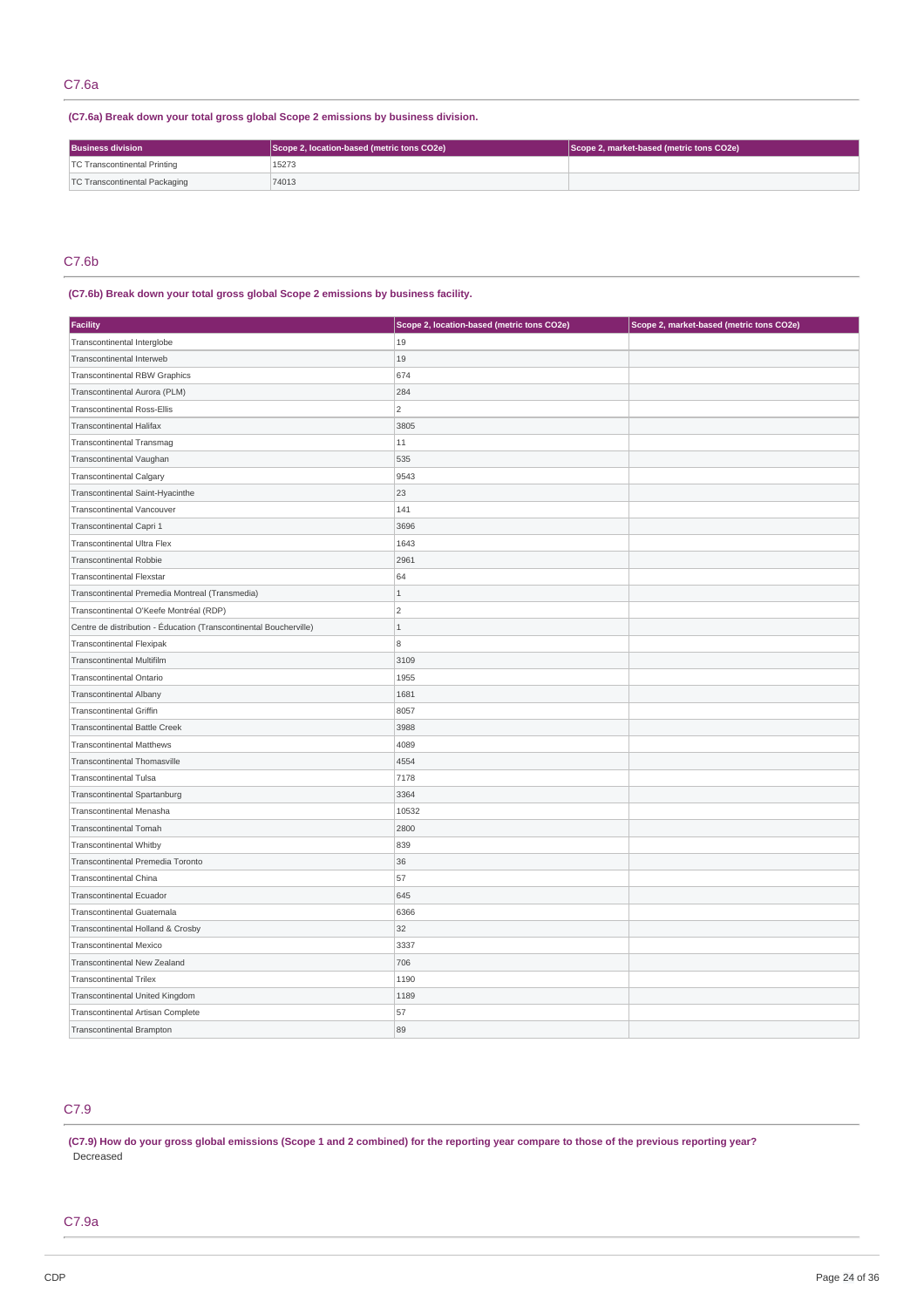**(C7.6a) Break down your total gross global Scope 2 emissions by business division.**

| <b>Business division</b>      | Scope 2, location-based (metric tons CO2e) | Scope 2, market-based (metric tons CO2e) |
|-------------------------------|--------------------------------------------|------------------------------------------|
| TC Transcontinental Printing  | 15273                                      |                                          |
| TC Transcontinental Packaging | 74013                                      |                                          |

# C7.6b

## **(C7.6b) Break down your total gross global Scope 2 emissions by business facility.**

| <b>Facility</b>                                                    | Scope 2, location-based (metric tons CO2e) | Scope 2, market-based (metric tons CO2e) |
|--------------------------------------------------------------------|--------------------------------------------|------------------------------------------|
| Transcontinental Interglobe                                        | 19                                         |                                          |
| Transcontinental Interweb                                          | 19                                         |                                          |
| <b>Transcontinental RBW Graphics</b>                               | 674                                        |                                          |
| Transcontinental Aurora (PLM)                                      | 284                                        |                                          |
| <b>Transcontinental Ross-Ellis</b>                                 | $\overline{c}$                             |                                          |
| <b>Transcontinental Halifax</b>                                    | 3805                                       |                                          |
| Transcontinental Transmag                                          | $11\,$                                     |                                          |
| Transcontinental Vaughan                                           | 535                                        |                                          |
| <b>Transcontinental Calgary</b>                                    | 9543                                       |                                          |
| Transcontinental Saint-Hyacinthe                                   | 23                                         |                                          |
| Transcontinental Vancouver                                         | 141                                        |                                          |
| Transcontinental Capri 1                                           | 3696                                       |                                          |
| Transcontinental Ultra Flex                                        | 1643                                       |                                          |
| Transcontinental Robbie                                            | 2961                                       |                                          |
| <b>Transcontinental Flexstar</b>                                   | 64                                         |                                          |
| Transcontinental Premedia Montreal (Transmedia)                    | $\mathbf{1}$                               |                                          |
| Transcontinental O'Keefe Montréal (RDP)                            | $\overline{c}$                             |                                          |
| Centre de distribution - Éducation (Transcontinental Boucherville) | $\,1\,$                                    |                                          |
| <b>Transcontinental Flexipak</b>                                   | 8                                          |                                          |
| <b>Transcontinental Multifilm</b>                                  | 3109                                       |                                          |
| Transcontinental Ontario                                           | 1955                                       |                                          |
| <b>Transcontinental Albany</b>                                     | 1681                                       |                                          |
| Transcontinental Griffin                                           | 8057                                       |                                          |
| <b>Transcontinental Battle Creek</b>                               | 3988                                       |                                          |
| <b>Transcontinental Matthews</b>                                   | 4089                                       |                                          |
| Transcontinental Thomasville                                       | 4554                                       |                                          |
| <b>Transcontinental Tulsa</b>                                      | 7178                                       |                                          |
| Transcontinental Spartanburg                                       | 3364                                       |                                          |
| Transcontinental Menasha                                           | 10532                                      |                                          |
| <b>Transcontinental Tomah</b>                                      | 2800                                       |                                          |
| <b>Transcontinental Whitby</b>                                     | 839                                        |                                          |
| Transcontinental Premedia Toronto                                  | 36                                         |                                          |
| Transcontinental China                                             | 57                                         |                                          |
| <b>Transcontinental Ecuador</b>                                    | 645                                        |                                          |
| Transcontinental Guatemala                                         | 6366                                       |                                          |
| Transcontinental Holland & Crosby                                  | 32                                         |                                          |
| <b>Transcontinental Mexico</b>                                     | 3337                                       |                                          |
| Transcontinental New Zealand                                       | 706                                        |                                          |
| <b>Transcontinental Trilex</b>                                     | 1190                                       |                                          |
| Transcontinental United Kingdom                                    | 1189                                       |                                          |
| Transcontinental Artisan Complete                                  | 57                                         |                                          |
| <b>Transcontinental Brampton</b>                                   | 89                                         |                                          |

# C7.9

(C7.9) How do your gross global emissions (Scope 1 and 2 combined) for the reporting year compare to those of the previous reporting year? Decreased

# C7.9a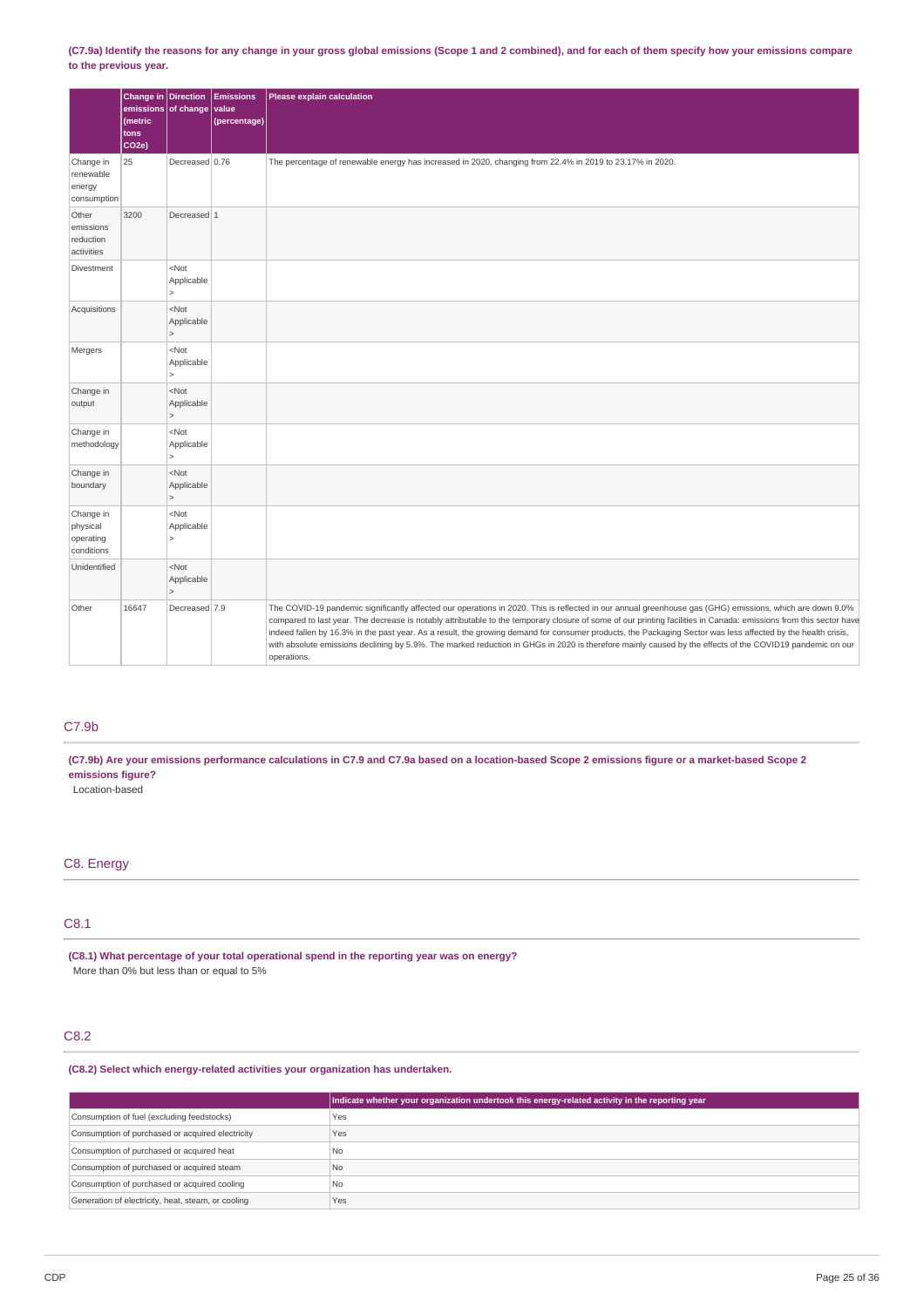(C7.9a) Identify the reasons for any change in your gross global emissions (Scope 1 and 2 combined), and for each of them specify how your emissions compare **to the previous year.**

|                                                  | Change in Direction<br>emissions of change<br>(metric<br>tons<br>CO <sub>2</sub> e) |                                                    | <b>Emissions</b><br>value<br>(percentage) | Please explain calculation                                                                                                                                                                                                                                                                                                                                                                                                                                                                                                                                                                                                                                                |
|--------------------------------------------------|-------------------------------------------------------------------------------------|----------------------------------------------------|-------------------------------------------|---------------------------------------------------------------------------------------------------------------------------------------------------------------------------------------------------------------------------------------------------------------------------------------------------------------------------------------------------------------------------------------------------------------------------------------------------------------------------------------------------------------------------------------------------------------------------------------------------------------------------------------------------------------------------|
| Change in<br>renewable<br>energy<br>consumption  | 25                                                                                  | Decreased 0.76                                     |                                           | The percentage of renewable energy has increased in 2020, changing from 22.4% in 2019 to 23.17% in 2020.                                                                                                                                                                                                                                                                                                                                                                                                                                                                                                                                                                  |
| Other<br>emissions<br>reduction<br>activities    | 3200                                                                                | Decreased 1                                        |                                           |                                                                                                                                                                                                                                                                                                                                                                                                                                                                                                                                                                                                                                                                           |
| Divestment                                       |                                                                                     | $<$ Not<br>Applicable<br>$\vert$                   |                                           |                                                                                                                                                                                                                                                                                                                                                                                                                                                                                                                                                                                                                                                                           |
| Acquisitions                                     |                                                                                     | $<$ Not<br>Applicable<br>$\vert$                   |                                           |                                                                                                                                                                                                                                                                                                                                                                                                                                                                                                                                                                                                                                                                           |
| Mergers                                          |                                                                                     | <not<br>Applicable<br/><math>\vert</math></not<br> |                                           |                                                                                                                                                                                                                                                                                                                                                                                                                                                                                                                                                                                                                                                                           |
| Change in<br>output                              |                                                                                     | $<$ Not<br>Applicable<br>$\vert$                   |                                           |                                                                                                                                                                                                                                                                                                                                                                                                                                                                                                                                                                                                                                                                           |
| Change in<br>methodology                         |                                                                                     | $<$ Not<br>Applicable<br>$\vert$                   |                                           |                                                                                                                                                                                                                                                                                                                                                                                                                                                                                                                                                                                                                                                                           |
| Change in<br>boundary                            |                                                                                     | $<$ Not<br>Applicable<br>$\vert$                   |                                           |                                                                                                                                                                                                                                                                                                                                                                                                                                                                                                                                                                                                                                                                           |
| Change in<br>physical<br>operating<br>conditions |                                                                                     | $<$ Not<br>Applicable<br>$\vert$                   |                                           |                                                                                                                                                                                                                                                                                                                                                                                                                                                                                                                                                                                                                                                                           |
| Unidentified                                     |                                                                                     | $<$ Not<br>Applicable<br>$\vert$                   |                                           |                                                                                                                                                                                                                                                                                                                                                                                                                                                                                                                                                                                                                                                                           |
| Other                                            | 16647                                                                               | Decreased 7.9                                      |                                           | The COVID-19 pandemic significantly affected our operations in 2020. This is reflected in our annual greenhouse gas (GHG) emissions, which are down 9.0%<br>compared to last year. The decrease is notably attributable to the temporary closure of some of our printing facilities in Canada: emissions from this sector have<br>indeed fallen by 16.3% in the past year. As a result, the growing demand for consumer products, the Packaging Sector was less affected by the health crisis,<br>with absolute emissions declining by 5.9%. The marked reduction in GHGs in 2020 is therefore mainly caused by the effects of the COVID19 pandemic on our<br>operations. |

### C7.9b

(C7.9b) Are your emissions performance calculations in C7.9 and C7.9a based on a location-based Scope 2 emissions figure or a market-based Scope 2 **emissions figure?**

Location-based

# C8. Energy

# C8.1

**(C8.1) What percentage of your total operational spend in the reporting year was on energy?** More than 0% but less than or equal to 5%

### C8.2

**(C8.2) Select which energy-related activities your organization has undertaken.**

|                                                    | Indicate whether your organization undertook this energy-related activity in the reporting year |
|----------------------------------------------------|-------------------------------------------------------------------------------------------------|
| Consumption of fuel (excluding feedstocks)         | Yes                                                                                             |
| Consumption of purchased or acquired electricity   | Yes                                                                                             |
| Consumption of purchased or acquired heat          | l No                                                                                            |
| Consumption of purchased or acquired steam         | No.                                                                                             |
| Consumption of purchased or acquired cooling       | l No                                                                                            |
| Generation of electricity, heat, steam, or cooling | Yes                                                                                             |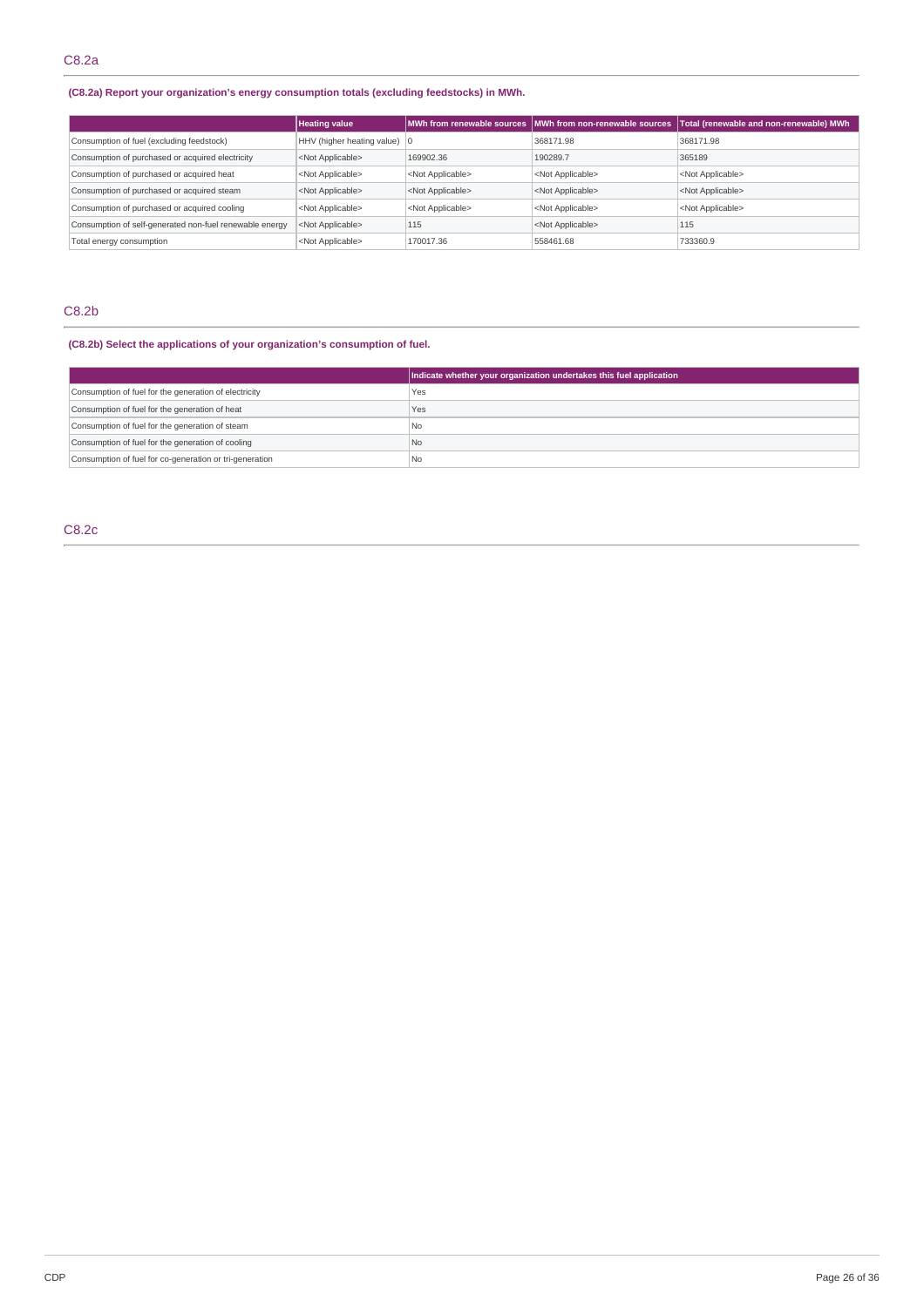# **(C8.2a) Report your organization's energy consumption totals (excluding feedstocks) in MWh.**

|                                                         | <b>Heating value</b>                   |                           | MWh from renewable sources   MWh from non-renewable sources | Total (renewable and non-renewable) MWh |
|---------------------------------------------------------|----------------------------------------|---------------------------|-------------------------------------------------------------|-----------------------------------------|
| Consumption of fuel (excluding feedstock)               | HHV (higher heating value) $ 0\rangle$ |                           | 368171.98                                                   | 368171.98                               |
| Consumption of purchased or acquired electricity        | <not applicable=""></not>              | 169902.36                 | 190289.7                                                    | 365189                                  |
| Consumption of purchased or acquired heat               | <not applicable=""></not>              | <not applicable=""></not> | <not applicable=""></not>                                   | <not applicable=""></not>               |
| Consumption of purchased or acquired steam              | <not applicable=""></not>              | <not applicable=""></not> | <not applicable=""></not>                                   | <not applicable=""></not>               |
| Consumption of purchased or acquired cooling            | <not applicable=""></not>              | <not applicable=""></not> | <not applicable=""></not>                                   | <not applicable=""></not>               |
| Consumption of self-generated non-fuel renewable energy | <not applicable=""></not>              | 115                       | <not applicable=""></not>                                   | 115                                     |
| Total energy consumption                                | <not applicable=""></not>              | 170017.36                 | 558461.68                                                   | 733360.9                                |

## C8.2b

### **(C8.2b) Select the applications of your organization's consumption of fuel.**

|                                                         | Indicate whether your organization undertakes this fuel application |
|---------------------------------------------------------|---------------------------------------------------------------------|
| Consumption of fuel for the generation of electricity   | Yes                                                                 |
| Consumption of fuel for the generation of heat          | Yes                                                                 |
| Consumption of fuel for the generation of steam         | No                                                                  |
| Consumption of fuel for the generation of cooling       | N <sub>o</sub>                                                      |
| Consumption of fuel for co-generation or tri-generation | No                                                                  |

# C8.2c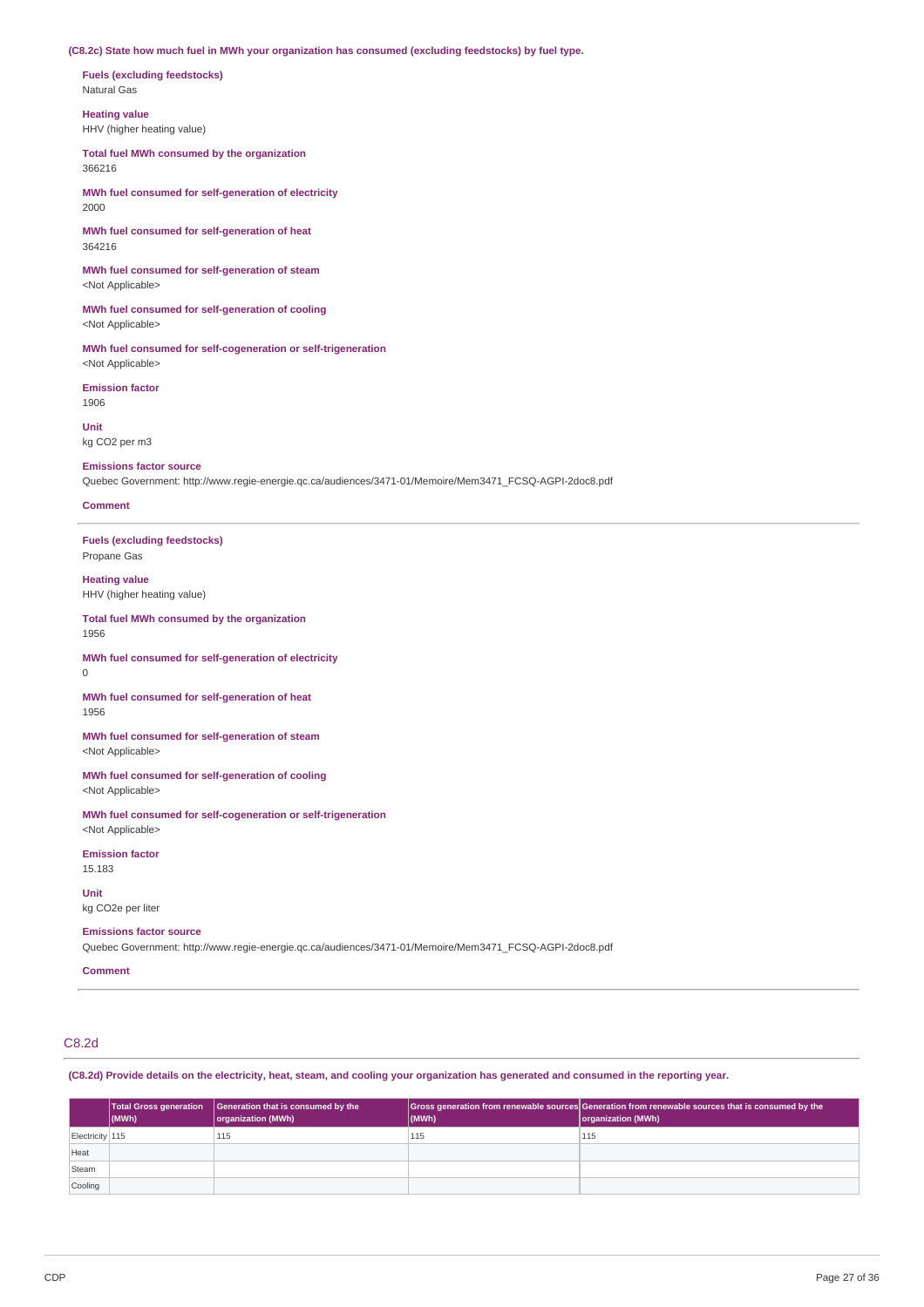**(C8.2c) State how much fuel in MWh your organization has consumed (excluding feedstocks) by fuel type.**

**Fuels (excluding feedstocks)** Natural Gas

**Heating value** HHV (higher heating value)

**Total fuel MWh consumed by the organization** 366216

**MWh fuel consumed for self-generation of electricity** 2000

**MWh fuel consumed for self-generation of heat** 364216

**MWh fuel consumed for self-generation of steam** <Not Applicable>

**MWh fuel consumed for self-generation of cooling** <Not Applicable>

**MWh fuel consumed for self-cogeneration or self-trigeneration** <Not Applicable>

**Emission factor** 1906

**Unit** kg CO2 per m3

#### **Emissions factor source**

Quebec Government: http://www.regie-energie.qc.ca/audiences/3471-01/Memoire/Mem3471\_FCSQ-AGPI-2doc8.pdf

### **Comment**

**Fuels (excluding feedstocks)** Propane Gas

**Heating value** HHV (higher heating value)

#### **Total fuel MWh consumed by the organization** 1956

**MWh fuel consumed for self-generation of electricity** 0

**MWh fuel consumed for self-generation of heat** 1956

**MWh fuel consumed for self-generation of steam** <Not Applicable>

**MWh fuel consumed for self-generation of cooling** <Not Applicable>

**MWh fuel consumed for self-cogeneration or self-trigeneration** <Not Applicable>

**Emission factor** 15.183

**Unit** kg CO2e per liter

#### **Emissions factor source**

Quebec Government: http://www.regie-energie.qc.ca/audiences/3471-01/Memoire/Mem3471\_FCSQ-AGPI-2doc8.pdf

**Comment**

# C8.2d

(C8.2d) Provide details on the electricity, heat, steam, and cooling your organization has generated and consumed in the reporting year.

|                 | (MWh) | Total Gross generation   Generation that is consumed by the<br>organization (MWh) | $\vert$ (MWh) | Gross generation from renewable sources Generation from renewable sources that is consumed by the<br>organization (MWh) |
|-----------------|-------|-----------------------------------------------------------------------------------|---------------|-------------------------------------------------------------------------------------------------------------------------|
| Electricity 115 |       | 115                                                                               | 115           | 115                                                                                                                     |
| Heat            |       |                                                                                   |               |                                                                                                                         |
| Steam           |       |                                                                                   |               |                                                                                                                         |
| Cooling         |       |                                                                                   |               |                                                                                                                         |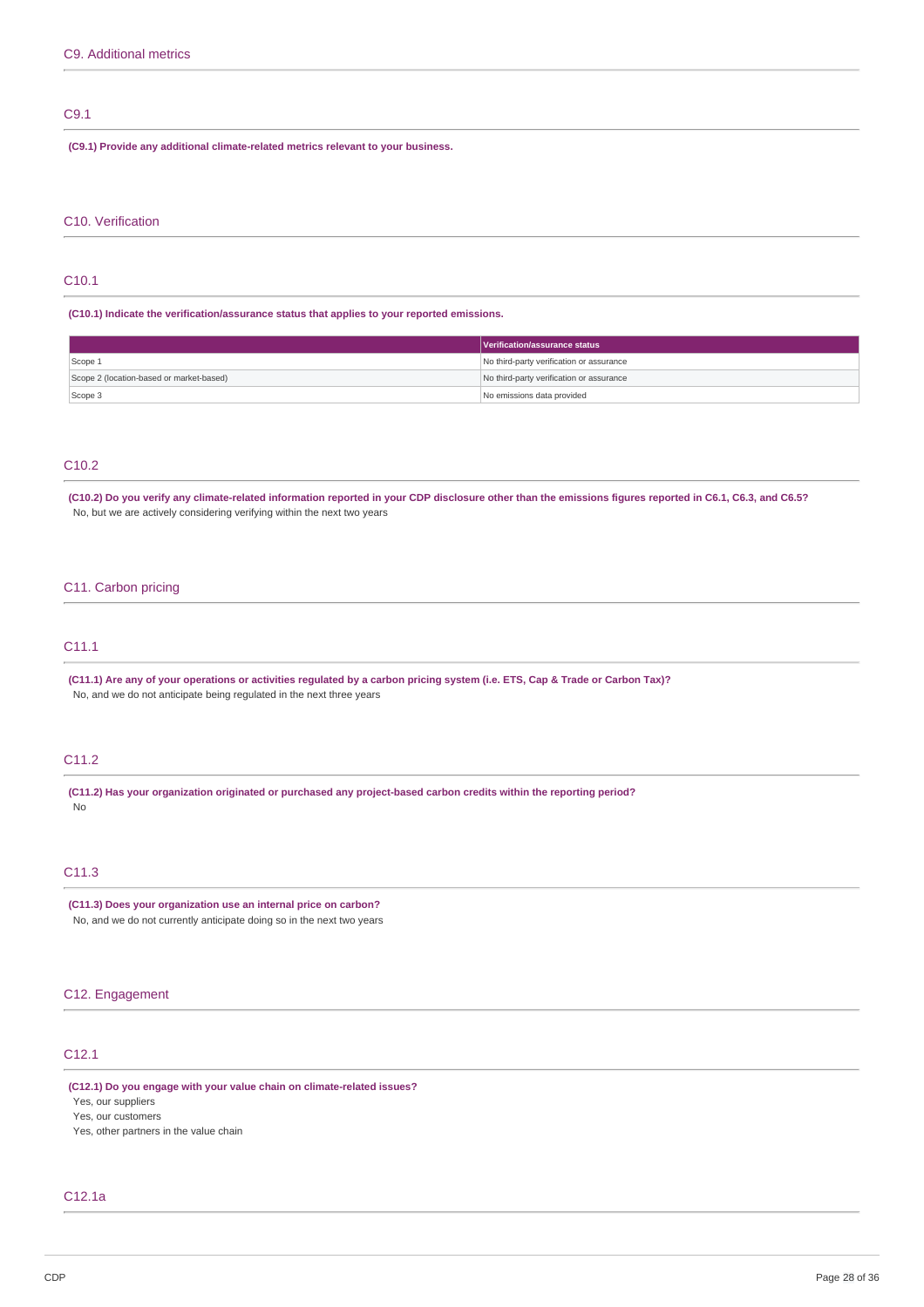# C9.1

**(C9.1) Provide any additional climate-related metrics relevant to your business.**

#### C10. Verification

### C10.1

**(C10.1) Indicate the verification/assurance status that applies to your reported emissions.**

|                                          | Verification/assurance status            |
|------------------------------------------|------------------------------------------|
| Scope 1                                  | No third-party verification or assurance |
| Scope 2 (location-based or market-based) | No third-party verification or assurance |
| Scope 3                                  | No emissions data provided               |

### C10.2

(C10.2) Do you verify any climate-related information reported in your CDP disclosure other than the emissions figures reported in C6.1, C6.3, and C6.5? No, but we are actively considering verifying within the next two years

### C11. Carbon pricing

### C11.1

(C11.1) Are any of your operations or activities regulated by a carbon pricing system (i.e. ETS, Cap & Trade or Carbon Tax)? No, and we do not anticipate being regulated in the next three years

### C11.2

**(C11.2) Has your organization originated or purchased any project-based carbon credits within the reporting period?** No

### C11.3

**(C11.3) Does your organization use an internal price on carbon?** No, and we do not currently anticipate doing so in the next two years

### C12. Engagement

# C12.1

**(C12.1) Do you engage with your value chain on climate-related issues?** Yes, our suppliers Yes, our customers

Yes, other partners in the value chain

### C12.1a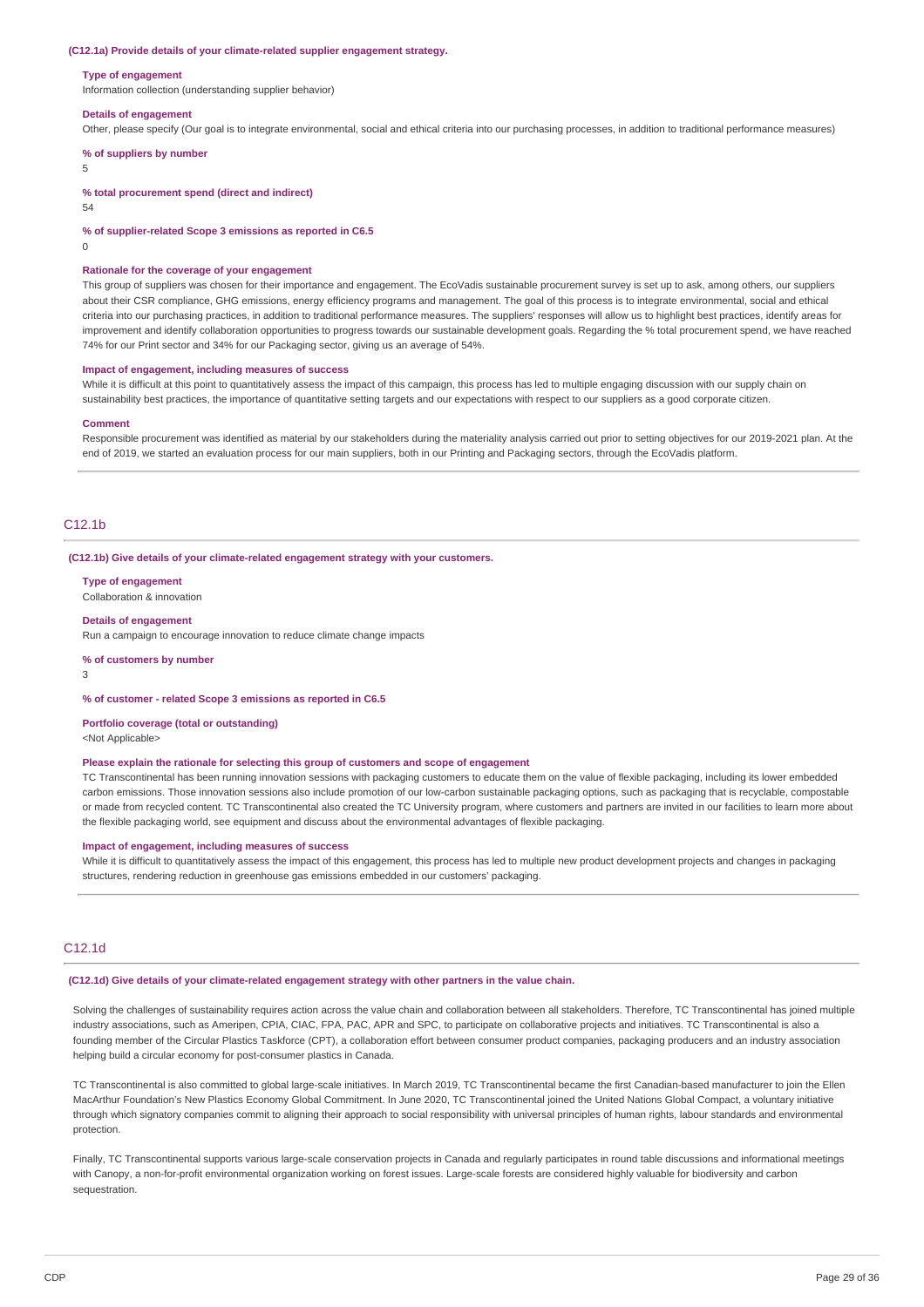#### **(C12.1a) Provide details of your climate-related supplier engagement strategy.**

#### **Type of engagement**

Information collection (understanding supplier behavior)

#### **Details of engagement**

Other, please specify (Our goal is to integrate environmental, social and ethical criteria into our purchasing processes, in addition to traditional performance measures)

#### **% of suppliers by number**

5

**% total procurement spend (direct and indirect)**

54

**% of supplier-related Scope 3 emissions as reported in C6.5**

 $\Omega$ 

#### **Rationale for the coverage of your engagement**

This group of suppliers was chosen for their importance and engagement. The EcoVadis sustainable procurement survey is set up to ask, among others, our suppliers about their CSR compliance, GHG emissions, energy efficiency programs and management. The goal of this process is to integrate environmental, social and ethical criteria into our purchasing practices, in addition to traditional performance measures. The suppliers' responses will allow us to highlight best practices, identify areas for improvement and identify collaboration opportunities to progress towards our sustainable development goals. Regarding the % total procurement spend, we have reached 74% for our Print sector and 34% for our Packaging sector, giving us an average of 54%.

#### **Impact of engagement, including measures of success**

While it is difficult at this point to quantitatively assess the impact of this campaign, this process has led to multiple engaging discussion with our supply chain on sustainability best practices, the importance of quantitative setting targets and our expectations with respect to our suppliers as a good corporate citizen.

#### **Comment**

Responsible procurement was identified as material by our stakeholders during the materiality analysis carried out prior to setting objectives for our 2019-2021 plan. At the end of 2019, we started an evaluation process for our main suppliers, both in our Printing and Packaging sectors, through the EcoVadis platform.

#### $C12.1<sub>b</sub>$

**(C12.1b) Give details of your climate-related engagement strategy with your customers.**

**Type of engagement** Collaboration & innovation

# **Details of engagement**

Run a campaign to encourage innovation to reduce climate change impacts

#### **% of customers by number**

3

#### **% of customer - related Scope 3 emissions as reported in C6.5**

### **Portfolio coverage (total or outstanding)**

<Not Applicable>

#### **Please explain the rationale for selecting this group of customers and scope of engagement**

TC Transcontinental has been running innovation sessions with packaging customers to educate them on the value of flexible packaging, including its lower embedded carbon emissions. Those innovation sessions also include promotion of our low-carbon sustainable packaging options, such as packaging that is recyclable, compostable or made from recycled content. TC Transcontinental also created the TC University program, where customers and partners are invited in our facilities to learn more about the flexible packaging world, see equipment and discuss about the environmental advantages of flexible packaging.

### **Impact of engagement, including measures of success**

While it is difficult to quantitatively assess the impact of this engagement, this process has led to multiple new product development projects and changes in packaging structures, rendering reduction in greenhouse gas emissions embedded in our customers' packaging.

### C12.1d

#### **(C12.1d) Give details of your climate-related engagement strategy with other partners in the value chain.**

Solving the challenges of sustainability requires action across the value chain and collaboration between all stakeholders. Therefore, TC Transcontinental has joined multiple industry associations, such as Ameripen, CPIA, CIAC, FPA, PAC, APR and SPC, to participate on collaborative projects and initiatives. TC Transcontinental is also a founding member of the Circular Plastics Taskforce (CPT), a collaboration effort between consumer product companies, packaging producers and an industry association helping build a circular economy for post-consumer plastics in Canada.

TC Transcontinental is also committed to global large-scale initiatives. In March 2019, TC Transcontinental became the first Canadian-based manufacturer to join the Ellen MacArthur Foundation's New Plastics Economy Global Commitment. In June 2020, TC Transcontinental joined the United Nations Global Compact, a voluntary initiative through which signatory companies commit to aligning their approach to social responsibility with universal principles of human rights, labour standards and environmental protection.

Finally, TC Transcontinental supports various large-scale conservation projects in Canada and regularly participates in round table discussions and informational meetings with Canopy, a non-for-profit environmental organization working on forest issues. Large-scale forests are considered highly valuable for biodiversity and carbon sequestration.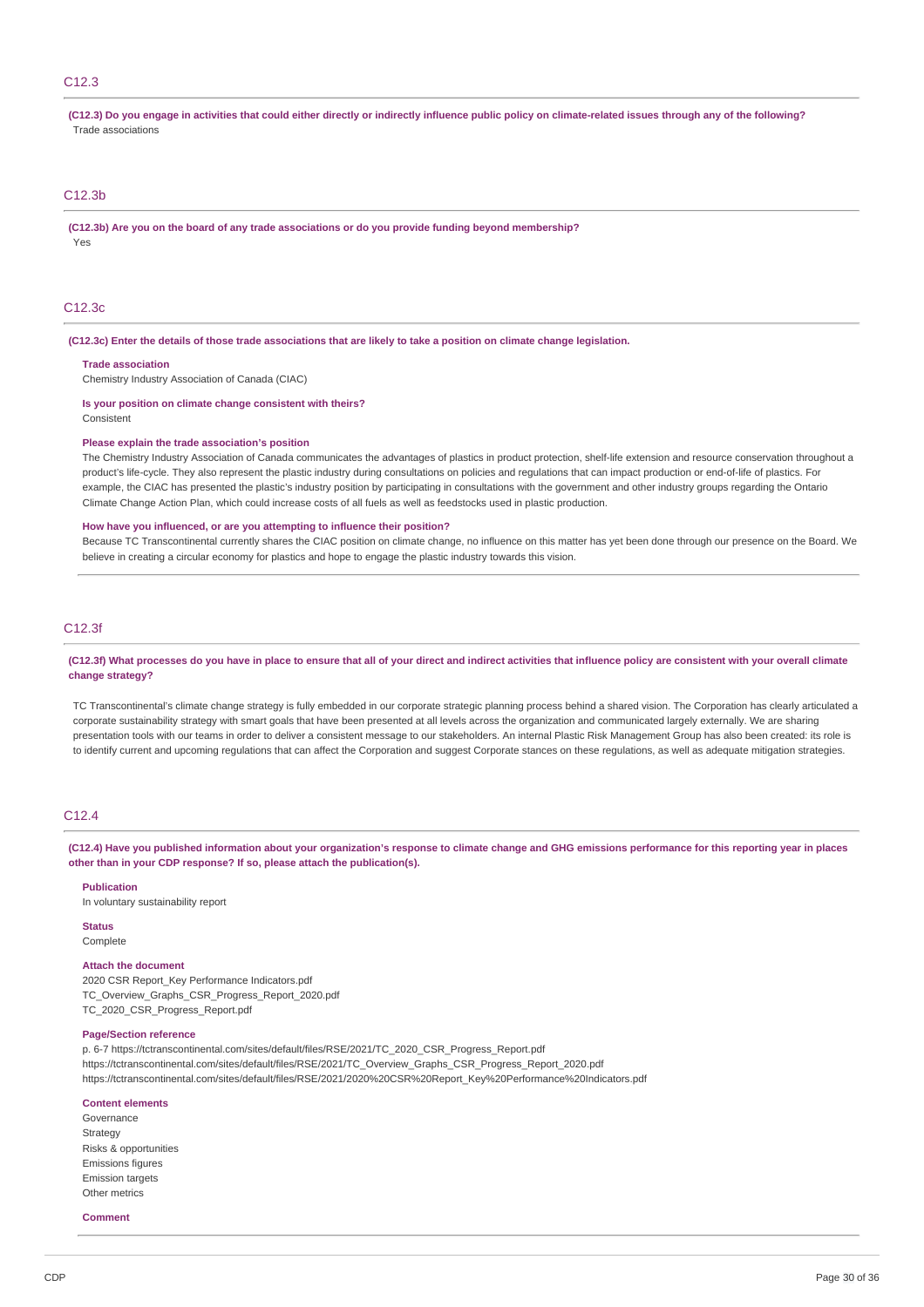### C12.3

(C12.3) Do you engage in activities that could either directly or indirectly influence public policy on climate-related issues through any of the following? Trade associations

### C12.3b

**(C12.3b) Are you on the board of any trade associations or do you provide funding beyond membership?** Yes

#### C12.3c

(C12.3c) Enter the details of those trade associations that are likely to take a position on climate change legislation.

#### **Trade association**

Chemistry Industry Association of Canada (CIAC)

**Is your position on climate change consistent with theirs?** Consistent

#### **Please explain the trade association's position**

The Chemistry Industry Association of Canada communicates the advantages of plastics in product protection, shelf-life extension and resource conservation throughout a product's life-cycle. They also represent the plastic industry during consultations on policies and regulations that can impact production or end-of-life of plastics. For example, the CIAC has presented the plastic's industry position by participating in consultations with the government and other industry groups regarding the Ontario Climate Change Action Plan, which could increase costs of all fuels as well as feedstocks used in plastic production.

#### **How have you influenced, or are you attempting to influence their position?**

Because TC Transcontinental currently shares the CIAC position on climate change, no influence on this matter has yet been done through our presence on the Board. We believe in creating a circular economy for plastics and hope to engage the plastic industry towards this vision.

### C12.3f

(C12.3f) What processes do you have in place to ensure that all of your direct and indirect activities that influence policy are consistent with your overall climate **change strategy?**

TC Transcontinental's climate change strategy is fully embedded in our corporate strategic planning process behind a shared vision. The Corporation has clearly articulated a corporate sustainability strategy with smart goals that have been presented at all levels across the organization and communicated largely externally. We are sharing presentation tools with our teams in order to deliver a consistent message to our stakeholders. An internal Plastic Risk Management Group has also been created: its role is to identify current and upcoming regulations that can affect the Corporation and suggest Corporate stances on these regulations, as well as adequate mitigation strategies.

### C12.4

(C12.4) Have you published information about your organization's response to climate change and GHG emissions performance for this reporting year in places **other than in your CDP response? If so, please attach the publication(s).**

#### **Publication**

In voluntary sustainability report

**Status**

# Complete

#### **Attach the document**

2020 CSR Report\_Key Performance Indicators.pdf TC\_Overview\_Graphs\_CSR\_Progress\_Report\_2020.pdf TC\_2020\_CSR\_Progress\_Report.pdf

#### **Page/Section reference**

p. 6-7 https://tctranscontinental.com/sites/default/files/RSE/2021/TC\_2020\_CSR\_Progress\_Report.pdf https://tctranscontinental.com/sites/default/files/RSE/2021/TC\_Overview\_Graphs\_CSR\_Progress\_Report\_2020.pdf https://tctranscontinental.com/sites/default/files/RSE/2021/2020%20CSR%20Report\_Key%20Performance%20Indicators.pdf

#### **Content elements**

Governance Strategy Risks & opportunities Emissions figures **Emission targets** Other metrics

#### **Comment**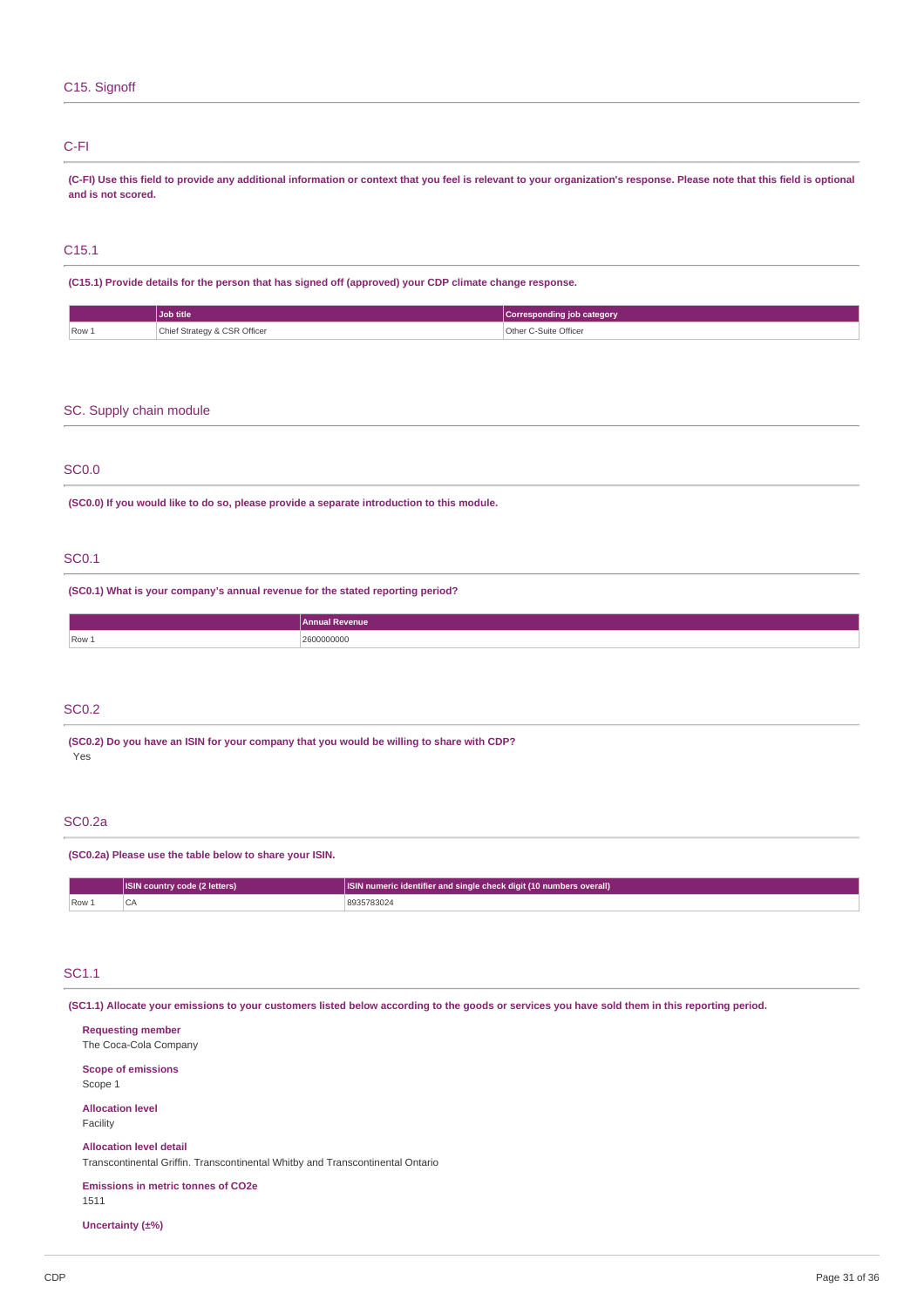### C15. Signoff

### C-FI

(C-FI) Use this field to provide any additional information or context that you feel is relevant to your organization's response. Please note that this field is optional **and is not scored.**

# C15.1

**(C15.1) Provide details for the person that has signed off (approved) your CDP climate change response.**

|       | Job title                              | Corresponding job category      |
|-------|----------------------------------------|---------------------------------|
| Row 1 | Chief Strategy & CSR Officer<br>.<br>. | Other C-Suite Officer<br>.<br>. |

### SC. Supply chain module

### SC0.0

**(SC0.0) If you would like to do so, please provide a separate introduction to this module.**

### SC0.1

**(SC0.1) What is your company's annual revenue for the stated reporting period?**

|                  | Annual Revenue |
|------------------|----------------|
| Row <sub>1</sub> | 0000000<br>.   |
|                  |                |

### SC0.2

**(SC0.2) Do you have an ISIN for your company that you would be willing to share with CDP?** Yes

## SC0.2a

**(SC0.2a) Please use the table below to share your ISIN.**

|         | ISIN country code (2 letters) | <b>ISIN numeric identifier and single check digit (10 numbers overall)</b> |
|---------|-------------------------------|----------------------------------------------------------------------------|
| $Row_+$ |                               | 8935783024                                                                 |

### SC1.1

(SC1.1) Allocate your emissions to your customers listed below according to the goods or services you have sold them in this reporting period.

**Requesting member** The Coca-Cola Company **Scope of emissions** Scope 1 **Allocation level** Facility **Allocation level detail**

Transcontinental Griffin. Transcontinental Whitby and Transcontinental Ontario

**Emissions in metric tonnes of CO2e** 1511

**Uncertainty (±%)**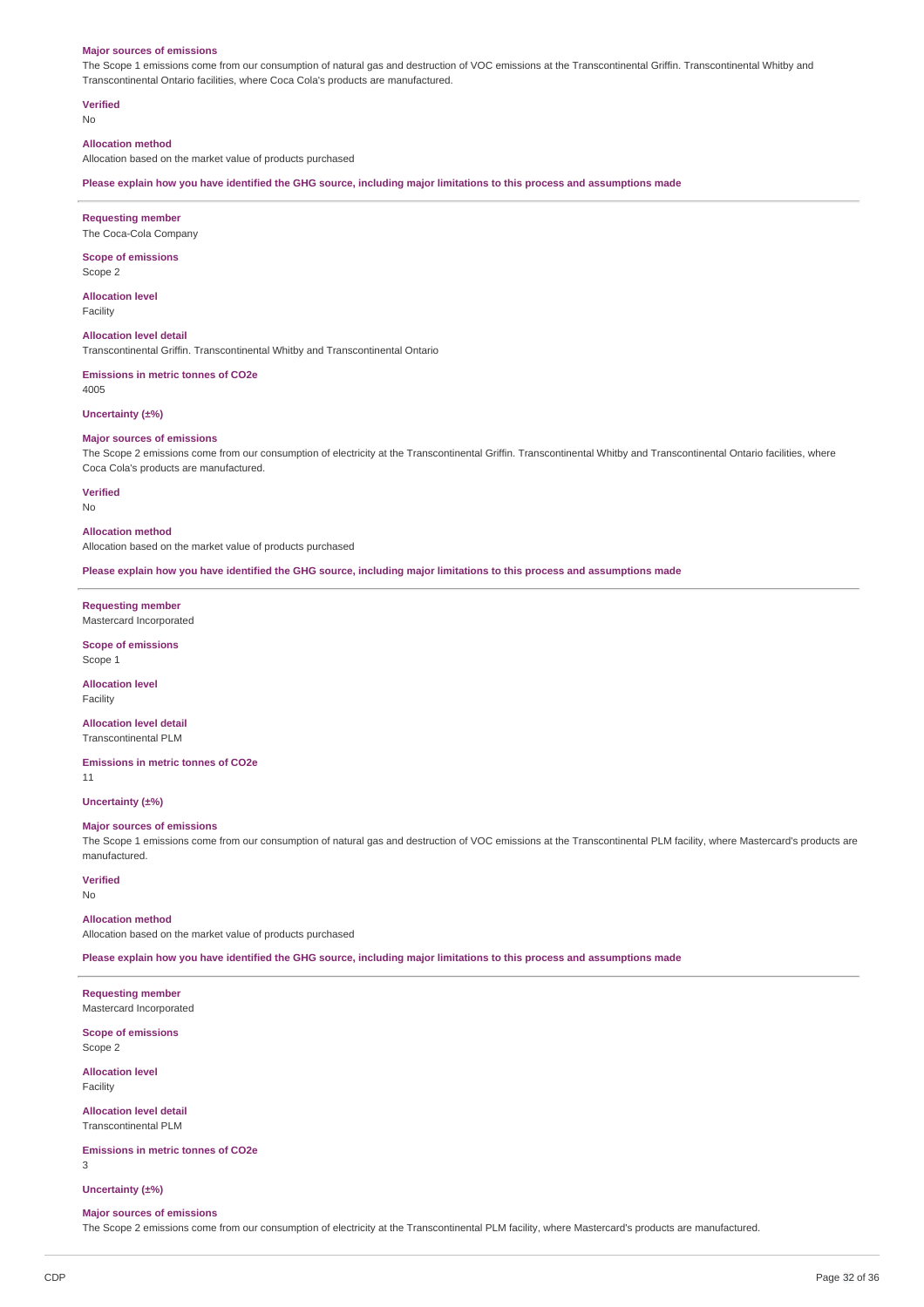#### **Major sources of emissions**

The Scope 1 emissions come from our consumption of natural gas and destruction of VOC emissions at the Transcontinental Griffin. Transcontinental Whitby and Transcontinental Ontario facilities, where Coca Cola's products are manufactured.

**Verified**

No

### **Allocation method**

Allocation based on the market value of products purchased

Please explain how you have identified the GHG source, including major limitations to this process and assumptions made

**Requesting member**

The Coca-Cola Company

**Scope of emissions** Scope 2

**Allocation level** Facility

**Allocation level detail** Transcontinental Griffin. Transcontinental Whitby and Transcontinental Ontario

**Emissions in metric tonnes of CO2e** 4005

#### **Uncertainty (±%)**

#### **Major sources of emissions**

The Scope 2 emissions come from our consumption of electricity at the Transcontinental Griffin. Transcontinental Whitby and Transcontinental Ontario facilities, where Coca Cola's products are manufactured.

**Verified**

#### No

**Allocation method**

Allocation based on the market value of products purchased

Please explain how you have identified the GHG source, including major limitations to this process and assumptions made

**Requesting member** Mastercard Incorporated

**Scope of emissions** Scope 1

**Allocation level** Facility

**Allocation level detail** Transcontinental PLM

**Emissions in metric tonnes of CO2e**

11

**Uncertainty (±%)**

#### **Major sources of emissions**

The Scope 1 emissions come from our consumption of natural gas and destruction of VOC emissions at the Transcontinental PLM facility, where Mastercard's products are manufactured.

### **Verified**

No

**Allocation method**

Allocation based on the market value of products purchased

Please explain how you have identified the GHG source, including major limitations to this process and assumptions made

**Requesting member**

Mastercard Incorporated

**Scope of emissions** Scope 2

**Allocation level** Facility

**Allocation level detail** Transcontinental PLM

**Emissions in metric tonnes of CO2e**

3

**Uncertainty (±%)**

#### **Major sources of emissions**

The Scope 2 emissions come from our consumption of electricity at the Transcontinental PLM facility, where Mastercard's products are manufactured.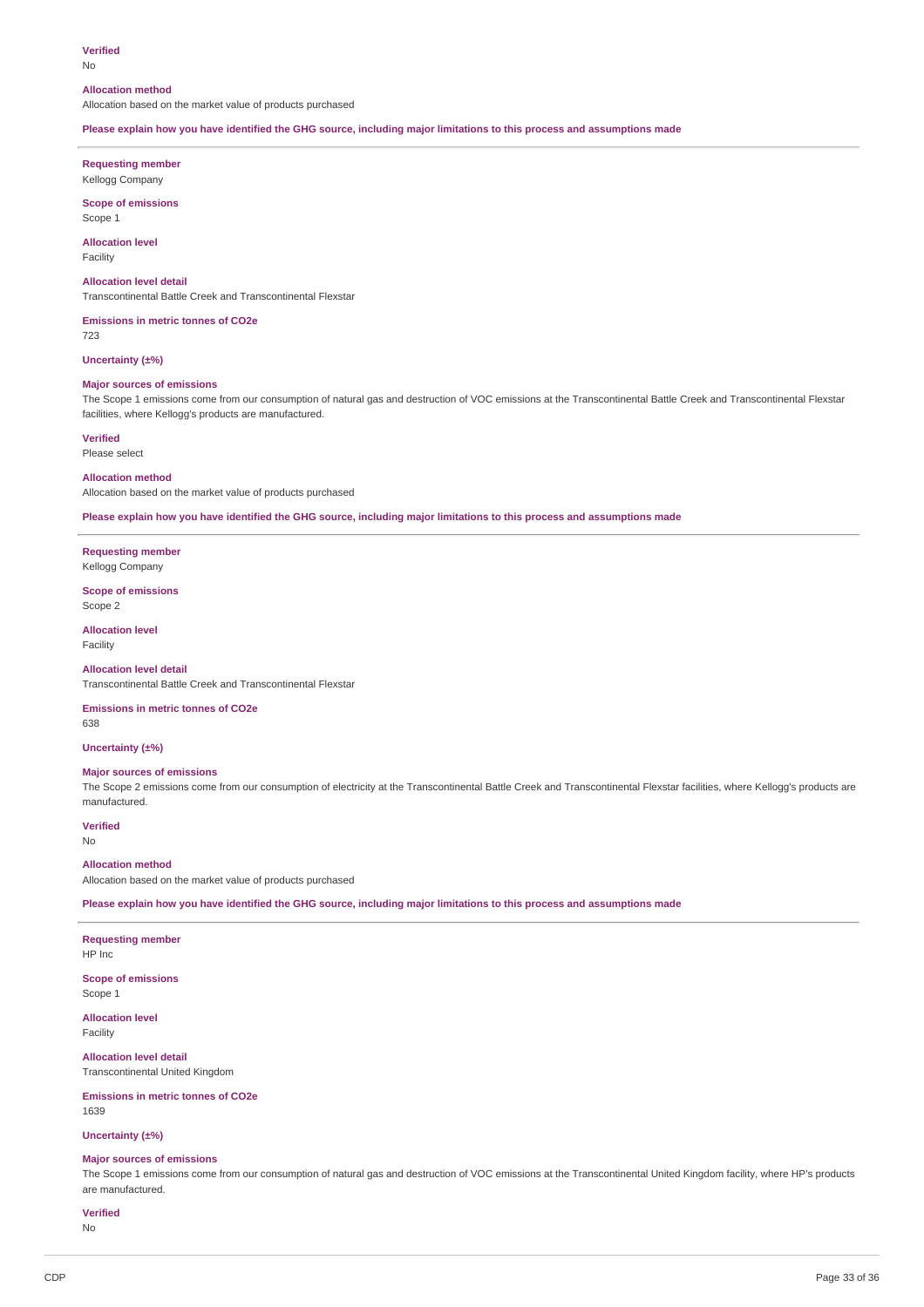#### **Verified**

No

#### **Allocation method**

Allocation based on the market value of products purchased

Please explain how you have identified the GHG source, including major limitations to this process and assumptions made

**Requesting member** Kellogg Company

**Scope of emissions** Scope 1

#### **Allocation level** Facility

#### **Allocation level detail**

Transcontinental Battle Creek and Transcontinental Flexstar

**Emissions in metric tonnes of CO2e**

723

### **Uncertainty (±%)**

#### **Major sources of emissions**

The Scope 1 emissions come from our consumption of natural gas and destruction of VOC emissions at the Transcontinental Battle Creek and Transcontinental Flexstar facilities, where Kellogg's products are manufactured.

**Verified**

### Please select

### **Allocation method**

Allocation based on the market value of products purchased

Please explain how you have identified the GHG source, including major limitations to this process and assumptions made

**Requesting member** Kellogg Company

#### **Scope of emissions** Scope 2

**Allocation level** Facility

#### **Allocation level detail**

Transcontinental Battle Creek and Transcontinental Flexstar

### **Emissions in metric tonnes of CO2e**

638

### **Uncertainty (±%)**

### **Major sources of emissions**

The Scope 2 emissions come from our consumption of electricity at the Transcontinental Battle Creek and Transcontinental Flexstar facilities, where Kellogg's products are manufactured.

**Verified** No

#### **Allocation method**

Allocation based on the market value of products purchased

Please explain how you have identified the GHG source, including major limitations to this process and assumptions made

### **Requesting member**

HP Inc

**Scope of emissions** Scope 1

**Allocation level** Facility

**Allocation level detail** Transcontinental United Kingdom

**Emissions in metric tonnes of CO2e** 1639

#### **Uncertainty (±%)**

#### **Major sources of emissions**

The Scope 1 emissions come from our consumption of natural gas and destruction of VOC emissions at the Transcontinental United Kingdom facility, where HP's products are manufactured.

### **Verified**

No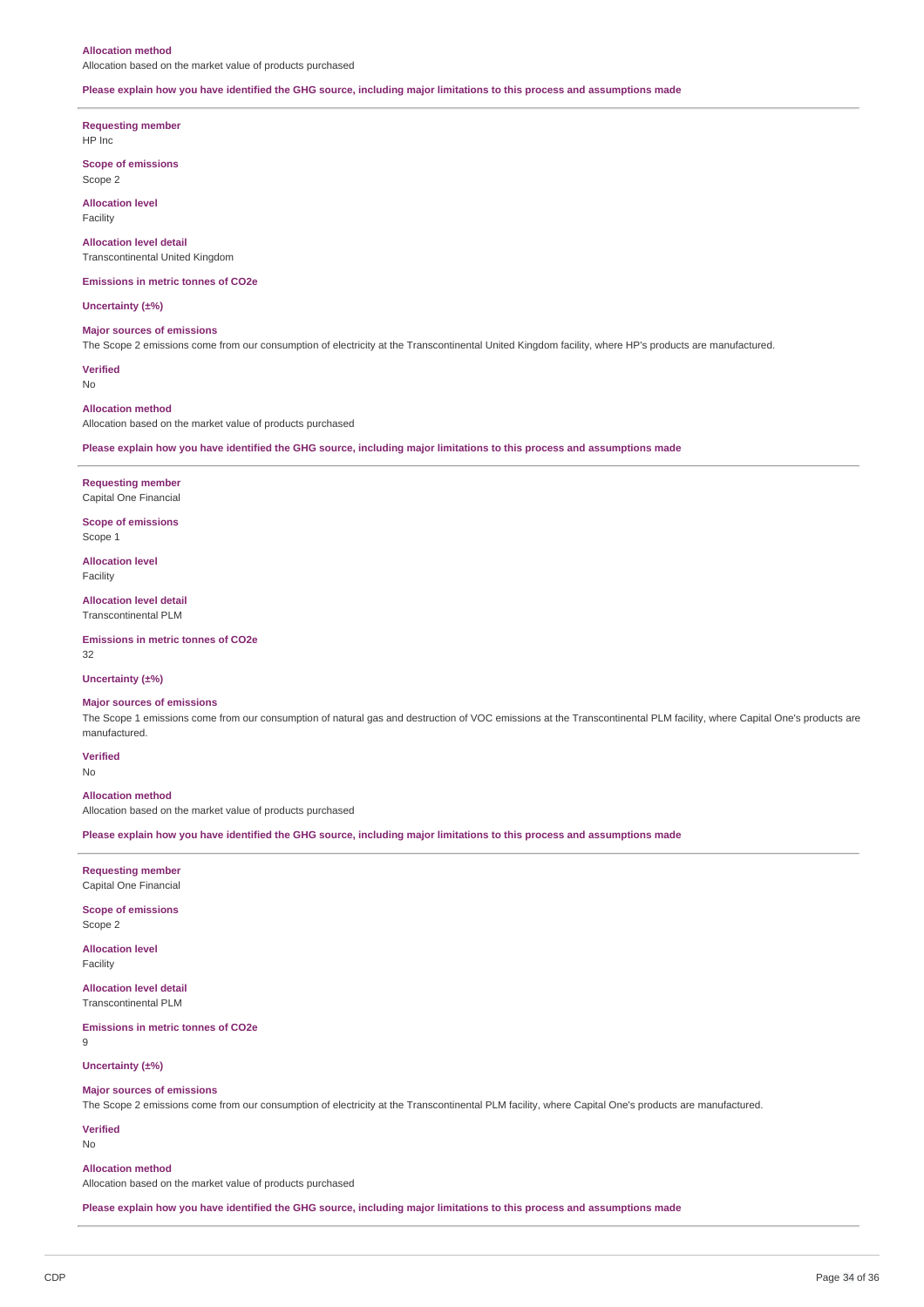#### **Allocation method**

Allocation based on the market value of products purchased

#### Please explain how you have identified the GHG source, including major limitations to this process and assumptions made

**Requesting member**

HP Inc

**Scope of emissions** Scope 2

**Allocation level** Facility

**Allocation level detail** Transcontinental United Kingdom

**Emissions in metric tonnes of CO2e**

**Uncertainty (±%)**

### **Major sources of emissions**

The Scope 2 emissions come from our consumption of electricity at the Transcontinental United Kingdom facility, where HP's products are manufactured.

**Verified**

No

#### **Allocation method**

Allocation based on the market value of products purchased

Please explain how you have identified the GHG source, including major limitations to this process and assumptions made

#### **Requesting member** Capital One Financial

**Scope of emissions**

Scope 1

**Allocation level** Facility

**Allocation level detail** Transcontinental PLM

**Emissions in metric tonnes of CO2e** 32

**Uncertainty (±%)**

### **Major sources of emissions**

The Scope 1 emissions come from our consumption of natural gas and destruction of VOC emissions at the Transcontinental PLM facility, where Capital One's products are manufactured.

### **Verified**

No

#### **Allocation method**

Allocation based on the market value of products purchased

Please explain how you have identified the GHG source, including major limitations to this process and assumptions made

#### **Requesting member** Capital One Financial

**Scope of emissions** Scope 2

**Allocation level** Facility

**Allocation level detail** Transcontinental PLM

**Emissions in metric tonnes of CO2e**

9

#### **Uncertainty (±%)**

#### **Major sources of emissions**

The Scope 2 emissions come from our consumption of electricity at the Transcontinental PLM facility, where Capital One's products are manufactured.

### **Verified**

No

#### **Allocation method**

Allocation based on the market value of products purchased

Please explain how you have identified the GHG source, including major limitations to this process and assumptions made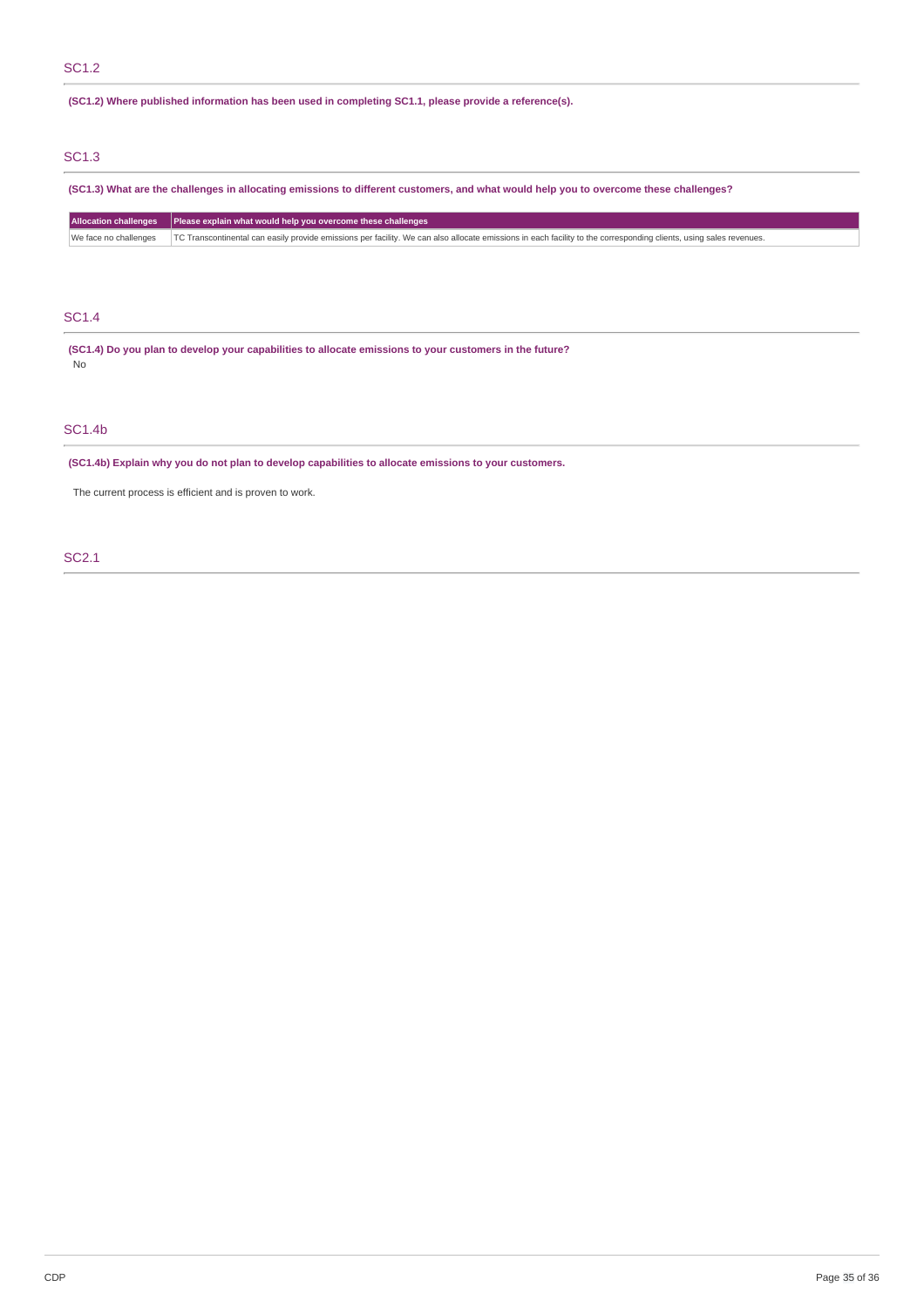### SC1.2

### **(SC1.2) Where published information has been used in completing SC1.1, please provide a reference(s).**

# SC1.3

(SC1.3) What are the challenges in allocating emissions to different customers, and what would help you to overcome these challenges?

| Allocation challenges   Please explain what would help you overcome these challenges                                                                                                       |  |
|--------------------------------------------------------------------------------------------------------------------------------------------------------------------------------------------|--|
| We face no challenges   TC Transcontinental can easily provide emissions per facility. We can also allocate emissions in each facility to the corresponding clients, using sales revenues. |  |

### SC1.4

**(SC1.4) Do you plan to develop your capabilities to allocate emissions to your customers in the future?** No

### SC1.4b

**(SC1.4b) Explain why you do not plan to develop capabilities to allocate emissions to your customers.**

The current process is efficient and is proven to work.